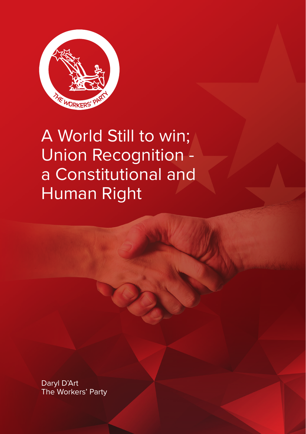

A World Still to win; Union Recognition a Constitutional and Human Right

Daryl D'Art The Workers' Party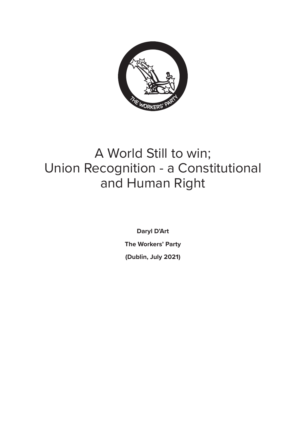

# A World Still to win; Union Recognition - a Constitutional and Human Right

**Daryl D'Art The Workers' Party (Dublin, July 2021)**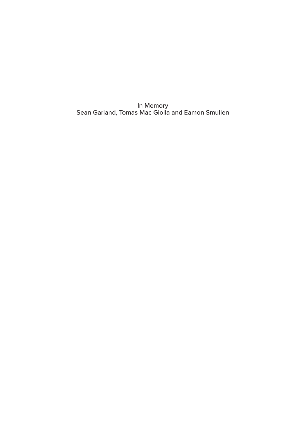In Memory Sean Garland, Tomas Mac Giolla and Eamon Smullen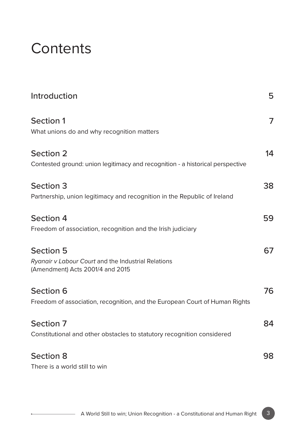# **Contents**

| Introduction                                                                                                | 5  |
|-------------------------------------------------------------------------------------------------------------|----|
| Section 1<br>What unions do and why recognition matters                                                     | 7  |
| Section 2<br>Contested ground: union legitimacy and recognition - a historical perspective                  | 14 |
| Section 3<br>Partnership, union legitimacy and recognition in the Republic of Ireland                       | 38 |
| Section 4<br>Freedom of association, recognition and the Irish judiciary                                    | 59 |
| <b>Section 5</b><br>Ryanair v Labour Court and the Industrial Relations<br>(Amendment) Acts 2001/4 and 2015 | 67 |
| Section 6<br>Freedom of association, recognition, and the European Court of Human Rights                    | 76 |
| Section 7<br>Constitutional and other obstacles to statutory recognition considered                         | 84 |
| Section 8<br>There is a world still to win                                                                  | 98 |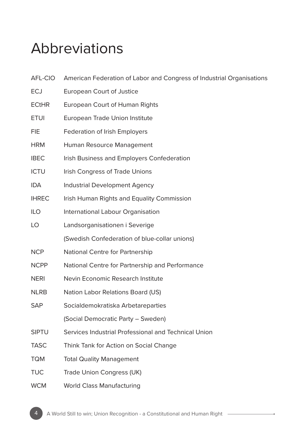# Abbreviations

| AFL-CIO      | American Federation of Labor and Congress of Industrial Organisations |
|--------------|-----------------------------------------------------------------------|
| <b>ECJ</b>   | European Court of Justice                                             |
| <b>ECtHR</b> | European Court of Human Rights                                        |
| <b>ETUI</b>  | European Trade Union Institute                                        |
| FIE          | Federation of Irish Employers                                         |
| HRM.         | Human Resource Management                                             |
| <b>IBEC</b>  | Irish Business and Employers Confederation                            |
| <b>ICTU</b>  | Irish Congress of Trade Unions                                        |
| IDA          | Industrial Development Agency                                         |
| <b>IHREC</b> | Irish Human Rights and Equality Commission                            |
| <b>ILO</b>   | International Labour Organisation                                     |
| LO           | Landsorganisationen i Severige                                        |
|              | (Swedish Confederation of blue-collar unions)                         |
| <b>NCP</b>   | National Centre for Partnership                                       |
| <b>NCPP</b>  | National Centre for Partnership and Performance                       |
| NERI         | Nevin Economic Research Institute                                     |
| NLRB.        | Nation Labor Relations Board (US)                                     |
| SAP          | Socialdemokratiska Arbetareparties                                    |
|              | (Social Democratic Party - Sweden)                                    |
| <b>SIPTU</b> | Services Industrial Professional and Technical Union                  |
| <b>TASC</b>  | Think Tank for Action on Social Change                                |
| <b>TQM</b>   | <b>Total Quality Management</b>                                       |
| TUC          | Trade Union Congress (UK)                                             |
| <b>WCM</b>   | <b>World Class Manufacturing</b>                                      |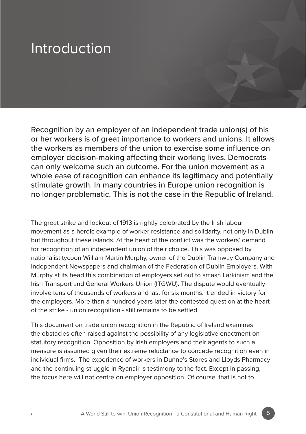# Introduction

Recognition by an employer of an independent trade union(s) of his or her workers is of great importance to workers and unions. It allows the workers as members of the union to exercise some influence on employer decision-making affecting their working lives. Democrats can only welcome such an outcome. For the union movement as a whole ease of recognition can enhance its legitimacy and potentially stimulate growth. In many countries in Europe union recognition is no longer problematic. This is not the case in the Republic of Ireland.

The great strike and lockout of 1913 is rightly celebrated by the Irish labour movement as a heroic example of worker resistance and solidarity, not only in Dublin but throughout these islands. At the heart of the conflict was the workers' demand for recognition of an independent union of their choice. This was opposed by nationalist tycoon William Martin Murphy, owner of the Dublin Tramway Company and Independent Newspapers and chairman of the Federation of Dublin Employers. With Murphy at its head this combination of employers set out to smash Larkinism and the Irish Transport and General Workers Union (ITGWU). The dispute would eventually involve tens of thousands of workers and last for six months. It ended in victory for the employers. More than a hundred years later the contested question at the heart of the strike - union recognition - still remains to be settled.

This document on trade union recognition in the Republic of Ireland examines the obstacles often raised against the possibility of any legislative enactment on statutory recognition. Opposition by Irish employers and their agents to such a measure is assumed given their extreme reluctance to concede recognition even in individual firms. The experience of workers in Dunne's Stores and Lloyds Pharmacy and the continuing struggle in Ryanair is testimony to the fact. Except in passing, the focus here will not centre on employer opposition. Of course, that is not to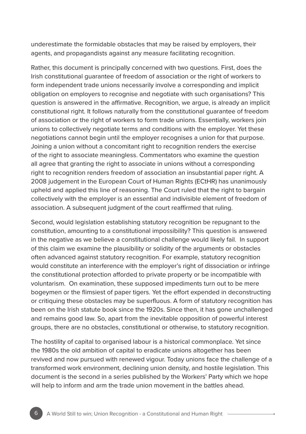underestimate the formidable obstacles that may be raised by employers, their agents, and propagandists against any measure facilitating recognition.

Rather, this document is principally concerned with two questions. First, does the Irish constitutional guarantee of freedom of association or the right of workers to form independent trade unions necessarily involve a corresponding and implicit obligation on employers to recognise and negotiate with such organisations? This question is answered in the affirmative. Recognition, we argue, is already an implicit constitutional right. It follows naturally from the constitutional guarantee of freedom of association or the right of workers to form trade unions. Essentially, workers join unions to collectively negotiate terms and conditions with the employer. Yet these negotiations cannot begin until the employer recognises a union for that purpose. Joining a union without a concomitant right to recognition renders the exercise of the right to associate meaningless. Commentators who examine the question all agree that granting the right to associate in unions without a corresponding right to recognition renders freedom of association an insubstantial paper right. A 2008 judgement in the European Court of Human Rights (ECtHR) has unanimously upheld and applied this line of reasoning. The Court ruled that the right to bargain collectively with the employer is an essential and indivisible element of freedom of association. A subsequent judgment of the court reaffirmed that ruling.

Second, would legislation establishing statutory recognition be repugnant to the constitution, amounting to a constitutional impossibility? This question is answered in the negative as we believe a constitutional challenge would likely fail. In support of this claim we examine the plausibility or solidity of the arguments or obstacles often advanced against statutory recognition. For example, statutory recognition would constitute an interference with the employer's right of dissociation or infringe the constitutional protection afforded to private property or be incompatible with voluntarism. On examination, these supposed impediments turn out to be mere bogeymen or the flimsiest of paper tigers. Yet the effort expended in deconstructing or critiquing these obstacles may be superfluous. A form of statutory recognition has been on the Irish statute book since the 1920s. Since then, it has gone unchallenged and remains good law. So, apart from the inevitable opposition of powerful interest groups, there are no obstacles, constitutional or otherwise, to statutory recognition.

The hostility of capital to organised labour is a historical commonplace. Yet since the 1980s the old ambition of capital to eradicate unions altogether has been revived and now pursued with renewed vigour. Today unions face the challenge of a transformed work environment, declining union density, and hostile legislation. This document is the second in a series published by the Workers' Party which we hope will help to inform and arm the trade union movement in the battles ahead.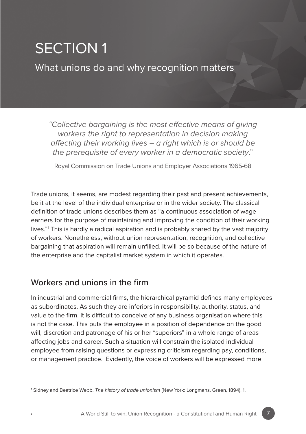# SECTION 1

What unions do and why recognition matters

*"Collective bargaining is the most effective means of giving workers the right to representation in decision making affecting their working lives – a right which is or should be the prerequisite of every worker in a democratic society*."

Royal Commission on Trade Unions and Employer Associations 1965-68

Trade unions, it seems, are modest regarding their past and present achievements, be it at the level of the individual enterprise or in the wider society. The classical definition of trade unions describes them as "a continuous association of wage earners for the purpose of maintaining and improving the condition of their working lives."1 This is hardly a radical aspiration and is probably shared by the vast majority of workers. Nonetheless, without union representation, recognition, and collective bargaining that aspiration will remain unfilled. It will be so because of the nature of the enterprise and the capitalist market system in which it operates.

## Workers and unions in the firm

In industrial and commercial firms, the hierarchical pyramid defines many employees as subordinates. As such they are inferiors in responsibility, authority, status, and value to the firm. It is difficult to conceive of any business organisation where this is not the case. This puts the employee in a position of dependence on the good will, discretion and patronage of his or her "superiors" in a whole range of areas affecting jobs and career. Such a situation will constrain the isolated individual employee from raising questions or expressing criticism regarding pay, conditions, or management practice. Evidently, the voice of workers will be expressed more

<sup>1</sup> Sidney and Beatrice Webb, *The history of trade unionism* (New York: Longmans, Green, 1894), 1.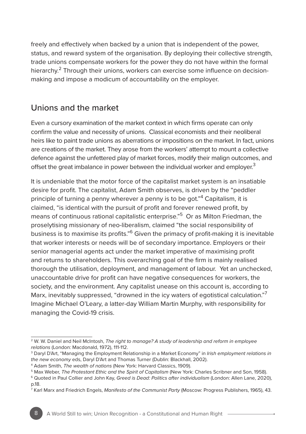freely and effectively when backed by a union that is independent of the power, status, and reward system of the organisation. By deploying their collective strength, trade unions compensate workers for the power they do not have within the formal hierarchy.<sup>2</sup> Through their unions, workers can exercise some influence on decisionmaking and impose a modicum of accountability on the employer.

## Unions and the market

Even a cursory examination of the market context in which firms operate can only confirm the value and necessity of unions. Classical economists and their neoliberal heirs like to paint trade unions as aberrations or impositions on the market. In fact, unions are creations of the market. They arose from the workers' attempt to mount a collective defence against the unfettered play of market forces, modify their malign outcomes, and offset the great imbalance in power between the individual worker and employer.<sup>3</sup>

It is undeniable that the motor force of the capitalist market system is an insatiable desire for profit. The capitalist, Adam Smith observes, is driven by the "peddler principle of turning a penny wherever a penny is to be got."<sup>4</sup> Capitalism, it is claimed, "is identical with the pursuit of profit and forever renewed profit, by means of continuous rational capitalistic enterprise."5 Or as Milton Friedman, the proselytising missionary of neo-liberalism, claimed "the social responsibility of business is to maximise its profits."6 Given the primacy of profit-making it is inevitable that worker interests or needs will be of secondary importance. Employers or their senior managerial agents act under the market imperative of maximising profit and returns to shareholders. This overarching goal of the firm is mainly realised thorough the utilisation, deployment, and management of labour. Yet an unchecked, unaccountable drive for profit can have negative consequences for workers, the society, and the environment. Any capitalist unease on this account is, according to Marx, inevitably suppressed, "drowned in the icy waters of egotistical calculation."<sup>7</sup> Imagine Michael O'Leary, a latter-day William Martin Murphy, with responsibility for managing the Covid-19 crisis.

<sup>2</sup> W. W. Daniel and Neil McIntosh, *The right to manage? A study of leadership and reform in employee relations* (London: Macdonald, 1972), 111-112.

<sup>3</sup> Daryl D'Art, "Managing the Employment Relationship in a Market Economy" in *Irish employment relations in the new economy* eds, Daryl D'Art and Thomas Turner (Dublin: Blackhall, 2002).

<sup>4</sup> Adam Smith, *The wealth of nations* (New York: Harvard Classics, 1909).

<sup>5</sup> Max Weber, *The Protestant Ethic and the Spirit of Capitalism* (New York: Charles Scribner and Son, 1958).

<sup>6</sup> Quoted in Paul Collier and John Kay, *Greed is Dead: Politics after individualism* (London: Allen Lane, 2020), p.18.

<sup>7</sup> Karl Marx and Friedrich Engels, *Manifesto of the Communist Party* (Moscow: Progress Publishers, 1965), 43.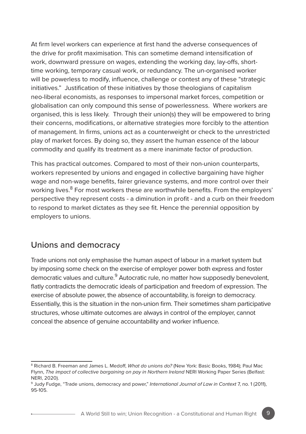At firm level workers can experience at first hand the adverse consequences of the drive for profit maximisation. This can sometime demand intensification of work, downward pressure on wages, extending the working day, lay-offs, shorttime working, temporary casual work, or redundancy. The un-organised worker will be powerless to modify, influence, challenge or contest any of these "strategic initiatives." Justification of these initiatives by those theologians of capitalism neo-liberal economists, as responses to impersonal market forces, competition or globalisation can only compound this sense of powerlessness. Where workers are organised, this is less likely. Through their union(s) they will be empowered to bring their concerns, modifications, or alternative strategies more forcibly to the attention of management. In firms, unions act as a counterweight or check to the unrestricted play of market forces. By doing so, they assert the human essence of the labour commodity and qualify its treatment as a mere inanimate factor of production.

This has practical outcomes. Compared to most of their non-union counterparts, workers represented by unions and engaged in collective bargaining have higher wage and non-wage benefits, fairer grievance systems, and more control over their working lives.<sup>8</sup> For most workers these are worthwhile benefits. From the employers' perspective they represent costs - a diminution in profit - and a curb on their freedom to respond to market dictates as they see fit. Hence the perennial opposition by employers to unions.

### Unions and democracy

Trade unions not only emphasise the human aspect of labour in a market system but by imposing some check on the exercise of employer power both express and foster democratic values and culture.<sup>9</sup> Autocratic rule, no matter how supposedly benevolent, flatly contradicts the democratic ideals of participation and freedom of expression. The exercise of absolute power, the absence of accountability, is foreign to democracy. Essentially, this is the situation in the non-union firm. Their sometimes sham participative structures, whose ultimate outcomes are always in control of the employer, cannot conceal the absence of genuine accountability and worker influence.

<sup>8</sup> Richard B. Freeman and James L. Medoff, *What do unions do?* (New York: Basic Books, 1984); Paul Mac Flynn, *The impact of collective bargaining on pay in Northern Ireland* NERI Working Paper Series (Belfast: NERI, 2020).

<sup>9</sup> Judy Fudge, "Trade unions, democracy and power," *International Journal of Law in Context* 7, no. 1 (2011), 95-105.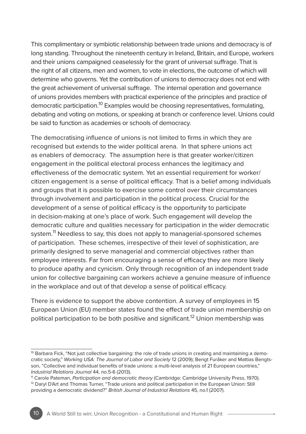This complimentary or symbiotic relationship between trade unions and democracy is of long standing. Throughout the nineteenth century in Ireland, Britain, and Europe, workers and their unions campaigned ceaselessly for the grant of universal suffrage. That is the right of all citizens, men and women, to vote in elections, the outcome of which will determine who governs. Yet the contribution of unions to democracy does not end with the great achievement of universal suffrage. The internal operation and governance of unions provides members with practical experience of the principles and practice of democratic participation.<sup>10</sup> Examples would be choosing representatives, formulating, debating and voting on motions, or speaking at branch or conference level. Unions could be said to function as academies or schools of democracy.

The democratising influence of unions is not limited to firms in which they are recognised but extends to the wider political arena. In that sphere unions act as enablers of democracy. The assumption here is that greater worker/citizen engagement in the political electoral process enhances the legitimacy and effectiveness of the democratic system. Yet an essential requirement for worker/ citizen engagement is a sense of political efficacy. That is a belief among individuals and groups that it is possible to exercise some control over their circumstances through involvement and participation in the political process. Crucial for the development of a sense of political efficacy is the opportunity to participate in decision-making at one's place of work. Such engagement will develop the democratic culture and qualities necessary for participation in the wider democratic system.<sup>11</sup> Needless to say, this does not apply to managerial-sponsored schemes of participation. These schemes, irrespective of their level of sophistication, are primarily designed to serve managerial and commercial objectives rather than employee interests. Far from encouraging a sense of efficacy they are more likely to produce apathy and cynicism. Only through recognition of an independent trade union for collective bargaining can workers achieve a genuine measure of influence in the workplace and out of that develop a sense of political efficacy.

There is evidence to support the above contention. A survey of employees in 15 European Union (EU) member states found the effect of trade union membership on political participation to be both positive and significant.<sup>12</sup> Union membership was

<sup>&</sup>lt;sup>10</sup> Barbara Fick, "Not just collective bargaining: the role of trade unions in creating and maintaining a democratic society," *Working USA: The Journal of Labor and Society* 12 (2009); Bengt Furåker and Mattias Bengtsson, "Collective and individual benefits of trade unions: a multi-level analysis of 21 European countries," *Industrial Relations Journal* 44, no.5-6 (2013).

<sup>11</sup> Carole Pateman, *Participation and democratic theory* (Cambridge: Cambridge University Press, 1970). <sup>12</sup> Daryl D'Art and Thomas Turner, "Trade unions and political participation in the European Union: Still providing a democratic dividend?" *British Journal of Industrial Relations* 45, no.1 (2007).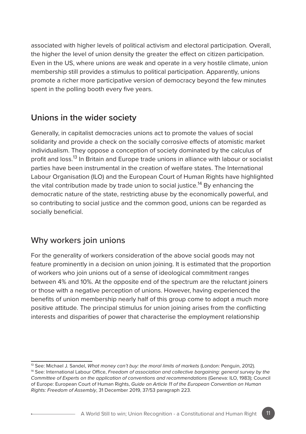associated with higher levels of political activism and electoral participation. Overall, the higher the level of union density the greater the effect on citizen participation. Even in the US, where unions are weak and operate in a very hostile climate, union membership still provides a stimulus to political participation. Apparently, unions promote a richer more participative version of democracy beyond the few minutes spent in the polling booth every five years.

## **Unions in the wider society**

Generally, in capitalist democracies unions act to promote the values of social solidarity and provide a check on the socially corrosive effects of atomistic market individualism. They oppose a conception of society dominated by the calculus of profit and loss.13 In Britain and Europe trade unions in alliance with labour or socialist parties have been instrumental in the creation of welfare states. The International Labour Organisation (ILO) and the European Court of Human Rights have highlighted the vital contribution made by trade union to social justice.<sup>14</sup> By enhancing the democratic nature of the state, restricting abuse by the economically powerful, and so contributing to social justice and the common good, unions can be regarded as socially beneficial.

## Why workers join unions

For the generality of workers consideration of the above social goods may not feature prominently in a decision on union joining. It is estimated that the proportion of workers who join unions out of a sense of ideological commitment ranges between 4% and 10%. At the opposite end of the spectrum are the reluctant joiners or those with a negative perception of unions. However, having experienced the benefits of union membership nearly half of this group come to adopt a much more positive attitude. The principal stimulus for union joining arises from the conflicting interests and disparities of power that characterise the employment relationship

<sup>13</sup> See: Michael J. Sandel, *What money can't buy: the moral limits of markets* (London: Penguin, 2012).

<sup>14</sup> See: International Labour Office, *Freedom of association and collective bargaining: general survey by the Committee of Experts on the application of conventions and recommendations* (Geneva: ILO, 1983); Council of Europe: European Court of Human Rights, *Guide on Article 11 of the European Convention on Human Rights: Freedom of Assembly*, 31 December 2019, 37/53 paragraph 223.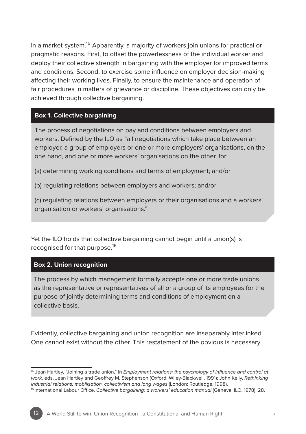in a market system.15 Apparently, a majority of workers join unions for practical or pragmatic reasons. First, to offset the powerlessness of the individual worker and deploy their collective strength in bargaining with the employer for improved terms and conditions. Second, to exercise some influence on employer decision-making affecting their working lives. Finally, to ensure the maintenance and operation of fair procedures in matters of grievance or discipline. These objectives can only be achieved through collective bargaining.

#### **Box 1. Collective bargaining**

The process of negotiations on pay and conditions between employers and workers. Defined by the ILO as "all negotiations which take place between an employer, a group of employers or one or more employers' organisations, on the one hand, and one or more workers' organisations on the other, for:

(a) determining working conditions and terms of employment; and/or

(b) regulating relations between employers and workers; and/or

(c) regulating relations between employers or their organisations and a workers' organisation or workers' organisations."

Yet the ILO holds that collective bargaining cannot begin until a union(s) is recognised for that purpose.<sup>16</sup>

#### **Box 2. Union recognition**

The process by which management formally accepts one or more trade unions as the representative or representatives of all or a group of its employees for the purpose of jointly determining terms and conditions of employment on a collective basis.

Evidently, collective bargaining and union recognition are inseparably interlinked. One cannot exist without the other. This restatement of the obvious is necessary

<sup>15</sup> Jean Hartley, "Joining a trade union," in *Employment relations: the psychology of influence and control at work,* eds, Jean Hartley and Geoffrey M. Stephenson (Oxford: Wiley-Blackwell, 1991); John Kelly, *Rethinking industrial relations: mobilisation, collectivism and long wages* (London: Routledge, 1998).

<sup>16</sup> International Labour Office, *Collective bargaining: a workers' education manual* (Geneva: ILO, 1978), 28.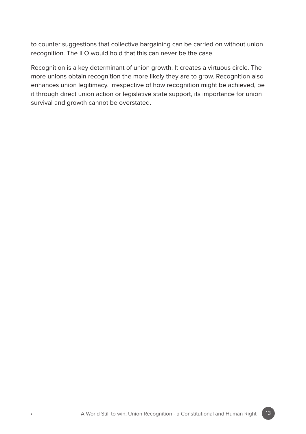to counter suggestions that collective bargaining can be carried on without union recognition. The ILO would hold that this can never be the case.

Recognition is a key determinant of union growth. It creates a virtuous circle. The more unions obtain recognition the more likely they are to grow. Recognition also enhances union legitimacy. Irrespective of how recognition might be achieved, be it through direct union action or legislative state support, its importance for union survival and growth cannot be overstated.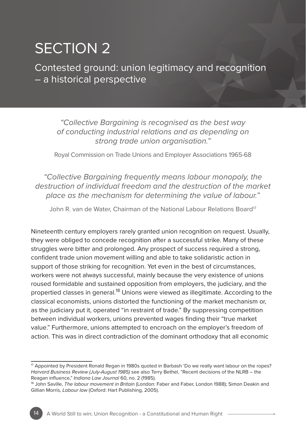# SECTION 2

Contested ground: union legitimacy and recognition – a historical perspective

*"Collective Bargaining is recognised as the best way of conducting industrial relations and as depending on strong trade union organisation."*

Royal Commission on Trade Unions and Employer Associations 1965-68

#### *"Collective Bargaining frequently means labour monopoly, the destruction of individual freedom and the destruction of the market place as the mechanism for determining the value of labour."*

John R, van de Water, Chairman of the National Labour Relations Board<sup>17</sup>

Nineteenth century employers rarely granted union recognition on request. Usually, they were obliged to concede recognition after a successful strike. Many of these struggles were bitter and prolonged. Any prospect of success required a strong, confident trade union movement willing and able to take solidaristic action in support of those striking for recognition. Yet even in the best of circumstances, workers were not always successful, mainly because the very existence of unions roused formidable and sustained opposition from employers, the judiciary, and the propertied classes in general.18 Unions were viewed as illegitimate. According to the classical economists, unions distorted the functioning of the market mechanism or, as the judiciary put it, operated "in restraint of trade." By suppressing competition between individual workers, unions prevented wages finding their "true market value." Furthermore, unions attempted to encroach on the employer's freedom of action. This was in direct contradiction of the dominant orthodoxy that all economic

<sup>17</sup> Appointed by President Ronald Regan in 1980s quoted in Barbash 'Do we really want labour on the ropes? *Harvard Business Review (July-August 1985)* see also Terry Bethel, "Recent decisions of the NLRB – the Reagan influence," *Indiana Law Journal* 60, no. 2 (1985).

<sup>18</sup> John Saville, *The labour movement in Britain* (London: Faber and Faber, London 1988); Simon Deakin and Gillian Morris, *Labour law* (Oxford: Hart Publishing, 2005).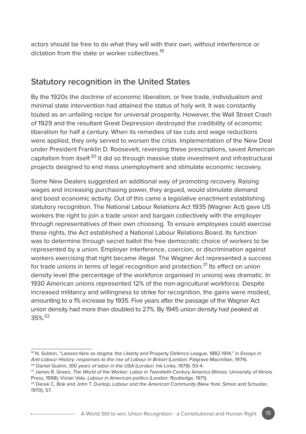actors should be free to do what they will with their own, without interference or dictation from the state or worker collectives.<sup>19</sup>

## Statutory recognition in the United States

By the 1920s the doctrine of economic liberalism, or free trade, individualism and minimal state intervention had attained the status of holy writ. It was constantly touted as an unfailing recipe for universal prosperity. However, the Wall Street Crash of 1929 and the resultant Great Depression destroyed the credibility of economic liberalism for half a century. When its remedies of tax cuts and wage reductions were applied, they only served to worsen the crisis. Implementation of the New Deal under President Franklin D. Roosevelt, reversing these prescriptions, saved American capitalism from itself.20 It did so through massive state investment and infrastructural projects designed to end mass unemployment and stimulate economic recovery.

Some New Dealers suggested an additional way of promoting recovery. Raising wages and increasing purchasing power, they argued, would stimulate demand and boost economic activity. Out of this came a legislative enactment establishing statutory recognition. The National Labour Relations Act 1935 (Wagner Act) gave US workers the right to join a trade union and bargain collectively with the employer through representatives of their own choosing. To ensure employees could exercise these rights, the Act established a National Labour Relations Board. Its function was to determine through secret ballot the free democratic choice of workers to be represented by a union. Employer interference, coercion, or discrimination against workers exercising that right became illegal. The Wagner Act represented a success for trade unions in terms of legal recognition and protection.<sup>21</sup> Its effect on union density level (the percentage of the workforce organised in unions) was dramatic. In 1930 American unions represented 12% of the non-agricultural workforce. Despite increased militancy and willingness to strike for recognition, the gains were modest, amounting to a 1% increase by 1935. Five years after the passage of the Wagner Act union density had more than doubled to 27%. By 1945 union density had peaked at 35%.22

<sup>19</sup> N. Soldon, "Laissez-faire as dogma: the Liberty and Property Defence League, 1882-1914," in *Essays in Anti-Labour History: responses to the rise of Labour in Britain* (London: Palgrave Macmillan, 1974).

<sup>20</sup> Daniel Guérin, *100 years of labor in the USA* (London: Ink Links, 1979): 93-4.

<sup>21</sup> James R. Green, *The World of the Worker: Labor in Twentieth-Century America* (Illinois: University of Illinois Press, 1998); Vivian Vale, *Labour in American politics* (London: Routledge, 1971).

<sup>22</sup> Derek C. Bok and John T. Dunlop, *Labour and the American Community* (New York: Simon and Schuster, 1970), 57.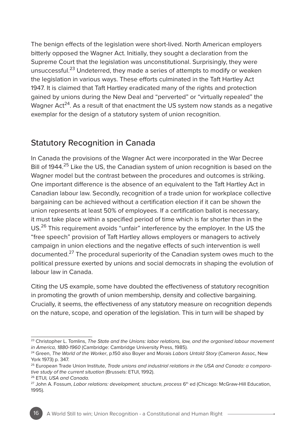The benign effects of the legislation were short-lived. North American employers bitterly opposed the Wagner Act. Initially, they sought a declaration from the Supreme Court that the legislation was unconstitutional. Surprisingly, they were unsuccessful.23 Undeterred, they made a series of attempts to modify or weaken the legislation in various ways. These efforts culminated in the Taft Hartley Act 1947. It is claimed that Taft Hartley eradicated many of the rights and protection gained by unions during the New Deal and "perverted" or "virtually repealed" the Wagner Act<sup>24</sup>. As a result of that enactment the US system now stands as a negative exemplar for the design of a statutory system of union recognition.

#### Statutory Recognition in Canada

In Canada the provisions of the Wagner Act were incorporated in the War Decree Bill of 1944.<sup>25</sup> Like the US, the Canadian system of union recognition is based on the Wagner model but the contrast between the procedures and outcomes is striking. One important difference is the absence of an equivalent to the Taft Hartley Act in Canadian labour law. Secondly, recognition of a trade union for workplace collective bargaining can be achieved without a certification election if it can be shown the union represents at least 50% of employees. If a certification ballot is necessary, it must take place within a specified period of time which is far shorter than in the US.26 This requirement avoids "unfair" interference by the employer. In the US the "free speech" provision of Taft Hartley allows employers or managers to actively campaign in union elections and the negative effects of such intervention is well documented.<sup>27</sup> The procedural superiority of the Canadian system owes much to the political pressure exerted by unions and social democrats in shaping the evolution of labour law in Canada.

Citing the US example, some have doubted the effectiveness of statutory recognition in promoting the growth of union membership, density and collective bargaining. Crucially, it seems, the effectiveness of any statutory measure on recognition depends on the nature, scope, and operation of the legislation. This in turn will be shaped by

<sup>23</sup> Christopher L. Tomlins, *The State and the Unions: labor relations, law, and the organised labour movement in America, 1880-1960* (Cambridge: Cambridge University Press, 1985).

<sup>24</sup> Green, *The World of the Worker*, p.150 also Boyer and Morais *Labors Untold Story* (Cameron Assoc, New York 1973) p. 347.

<sup>25</sup> European Trade Union Institute, *Trade unions and industrial relations in the USA and Canada: a comparative study of the current situation* (Brussels: ETUI, 1992).

<sup>26</sup> ETUI*, USA and Canada.*

<sup>&</sup>lt;sup>27</sup> John A. Fossum, *Labor relations: development, structure, process* 6<sup>th</sup> ed (Chicago: McGraw-Hill Education, 1995).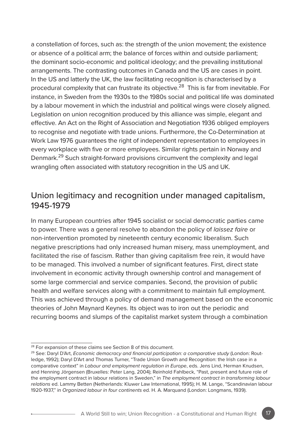a constellation of forces, such as: the strength of the union movement; the existence or absence of a political arm; the balance of forces within and outside parliament; the dominant socio-economic and political ideology; and the prevailing institutional arrangements. The contrasting outcomes in Canada and the US are cases in point. In the US and latterly the UK, the law facilitating recognition is characterised by a procedural complexity that can frustrate its objective.<sup>28</sup> This is far from inevitable. For instance, in Sweden from the 1930s to the 1980s social and political life was dominated by a labour movement in which the industrial and political wings were closely aligned. Legislation on union recognition produced by this alliance was simple, elegant and effective. An Act on the Right of Association and Negotiation 1936 obliged employers to recognise and negotiate with trade unions. Furthermore, the Co-Determination at Work Law 1976 guarantees the right of independent representation to employees in every workplace with five or more employees. Similar rights pertain in Norway and Denmark.29 Such straight-forward provisions circumvent the complexity and legal wrangling often associated with statutory recognition in the US and UK.

### Union legitimacy and recognition under managed capitalism, 1945-1979

In many European countries after 1945 socialist or social democratic parties came to power. There was a general resolve to abandon the policy of *laissez faire* or non-intervention promoted by nineteenth century economic liberalism. Such negative prescriptions had only increased human misery, mass unemployment, and facilitated the rise of fascism. Rather than giving capitalism free rein, it would have to be managed. This involved a number of significant features. First, direct state involvement in economic activity through ownership control and management of some large commercial and service companies. Second, the provision of public health and welfare services along with a commitment to maintain full employment. This was achieved through a policy of demand management based on the economic theories of John Maynard Keynes. Its object was to iron out the periodic and recurring booms and slumps of the capitalist market system through a combination

<sup>&</sup>lt;sup>28</sup> For expansion of these claims see Section 8 of this document.

<sup>29</sup> See: Daryl D'Art, *Economic democracy and financial participation: a comparative study* (London: Routledge, 1992); Daryl D'Art and Thomas Turner, "Trade Union Growth and Recognition: the Irish case in a comparative context" in *Labour and employment regulation in Europe*, eds. Jens Lind, Herman Knudsen, and Henning Jörgensen (Bruxelles: Peter Lang, 2004); Reinhold Fahlbeck, "Past, present and future role of the employment contract in labour relations in Sweden," in *The employment contract in transforming labour relations* ed. Lammy Betten (Netherlands: Kluwer Law International, 1995); H. M. Lange, "Scandinavian labour 1920-1937," in *Organized labour in four continents* ed. H. A. Marquand (London: Longmans, 1939).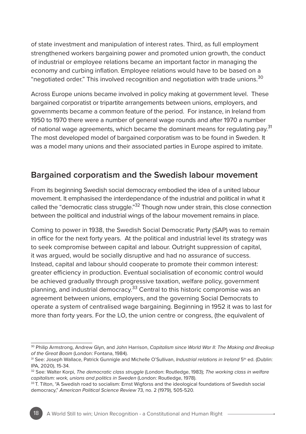of state investment and manipulation of interest rates. Third, as full employment strengthened workers bargaining power and promoted union growth, the conduct of industrial or employee relations became an important factor in managing the economy and curbing inflation. Employee relations would have to be based on a "negotiated order." This involved recognition and negotiation with trade unions.<sup>30</sup>

Across Europe unions became involved in policy making at government level. These bargained corporatist or tripartite arrangements between unions, employers, and governments became a common feature of the period. For instance, in Ireland from 1950 to 1970 there were a number of general wage rounds and after 1970 a number of national wage agreements, which became the dominant means for regulating pay.<sup>31</sup> The most developed model of bargained corporatism was to be found in Sweden. It was a model many unions and their associated parties in Europe aspired to imitate.

### **Bargained corporatism and the Swedish labour movement**

From its beginning Swedish social democracy embodied the idea of a united labour movement. It emphasised the interdependance of the industrial and political in what it called the "democratic class struggle."<sup>32</sup> Though now under strain, this close connection between the political and industrial wings of the labour movement remains in place.

Coming to power in 1938, the Swedish Social Democratic Party (SAP) was to remain in office for the next forty years. At the political and industrial level its strategy was to seek compromise between capital and labour. Outright suppression of capital, it was argued, would be socially disruptive and had no assurance of success. Instead, capital and labour should cooperate to promote their common interest: greater efficiency in production. Eventual socialisation of economic control would be achieved gradually through progressive taxation, welfare policy, government planning, and industrial democracy.<sup>33</sup> Central to this historic compromise was an agreement between unions, employers, and the governing Social Democrats to operate a system of centralised wage bargaining. Beginning in 1952 it was to last for more than forty years. For the LO, the union centre or congress, (the equivalent of

<sup>30</sup> Philip Armstrong, Andrew Glyn, and John Harrison, *Capitalism since World War II: The Making and Breakup of the Great Boom* (London: Fontana, 1984).

<sup>&</sup>lt;sup>31</sup> See: Joseph Wallace, Patrick Gunnigle and Michelle O'Sullivan, *Industrial relations in Ireland* 5<sup>th</sup> ed. (Dublin: IPA, 2020), 15-34.

<sup>32</sup> See: Walter Korpi, *The democratic class struggle* (London: Routledge, 1983); *The working class in welfare capitalism: work, unions and politics in Sweden* (London: Routledge, 1978).

<sup>33</sup> T. Tilton, "A Swedish road to socialism: Ernst Wigforss and the ideological foundations of Swedish social democracy," *American Political Science Review* 73, no. 2 (1979), 505-520.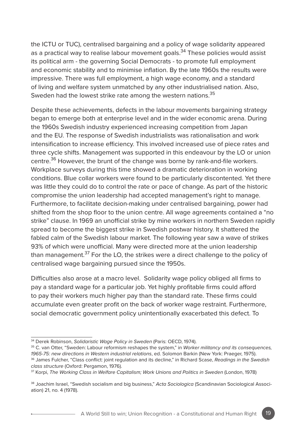the ICTU or TUC), centralised bargaining and a policy of wage solidarity appeared as a practical way to realise labour movement goals.<sup>34</sup> These policies would assist its political arm - the governing Social Democrats - to promote full employment and economic stability and to minimise inflation. By the late 1960s the results were impressive. There was full employment, a high wage economy, and a standard of living and welfare system unmatched by any other industrialised nation. Also, Sweden had the lowest strike rate among the western nations.<sup>35</sup>

Despite these achievements, defects in the labour movements bargaining strategy began to emerge both at enterprise level and in the wider economic arena. During the 1960s Swedish industry experienced increasing competition from Japan and the EU. The response of Swedish industrialists was rationalisation and work intensification to increase efficiency. This involved increased use of piece rates and three cycle shifts. Management was supported in this endeavour by the LO or union centre.<sup>36</sup> However, the brunt of the change was borne by rank-and-file workers. Workplace surveys during this time showed a dramatic deterioration in working conditions. Blue collar workers were found to be particularly discontented. Yet there was little they could do to control the rate or pace of change. As part of the historic compromise the union leadership had accepted management's right to manage. Furthermore, to facilitate decision-making under centralised bargaining, power had shifted from the shop floor to the union centre. All wage agreements contained a "no strike" clause. In 1969 an unofficial strike by mine workers in northern Sweden rapidly spread to become the biggest strike in Swedish postwar history. It shattered the fabled calm of the Swedish labour market. The following year saw a wave of strikes 93% of which were unofficial. Many were directed more at the union leadership than management.<sup>37</sup> For the LO, the strikes were a direct challenge to the policy of centralised wage bargaining pursued since the 1950s.

Difficulties also arose at a macro level. Solidarity wage policy obliged all firms to pay a standard wage for a particular job. Yet highly profitable firms could afford to pay their workers much higher pay than the standard rate. These firms could accumulate even greater profit on the back of worker wage restraint. Furthermore, social democratic government policy unintentionally exacerbated this defect. To

<sup>34</sup> Derek Robinson, *Solidaristic Wage Policy in Sweden* (Paris: OECD, 1974).

<sup>35</sup> C. van Otter, "Sweden: Labour reformism reshapes the system," in *Worker militancy and its consequences, 1965-75: new directions in Western industrial relations*, ed. Solomon Barkin (New York: Praeger, 1975). 36 James Fulcher, "Class conflict: joint regulation and its decline," in Richard Scase, *Readings in the Swedish class structure* (Oxford: Pergamon, 1976).

<sup>&</sup>lt;sup>37</sup> Korpi, *The Working Class in Welfare Capitalism: Work Unions and Politics in Sweden (London, 1978)* 

<sup>38</sup> Joachim Israel, "Swedish socialism and big business," *Acta Sociologica* (Scandinavian Sociological Association) 21, no. 4 (1978).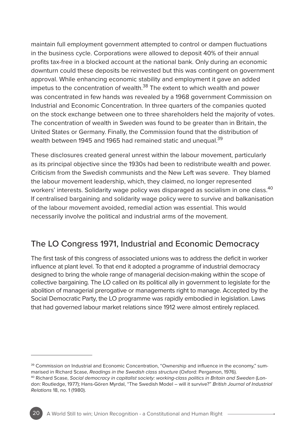maintain full employment government attempted to control or dampen fluctuations in the business cycle. Corporations were allowed to deposit 40% of their annual profits tax-free in a blocked account at the national bank. Only during an economic downturn could these deposits be reinvested but this was contingent on government approval. While enhancing economic stability and employment it gave an added impetus to the concentration of wealth. $38$  The extent to which wealth and power was concentrated in few hands was revealed by a 1968 government Commission on Industrial and Economic Concentration. In three quarters of the companies quoted on the stock exchange between one to three shareholders held the majority of votes. The concentration of wealth in Sweden was found to be greater than in Britain, the United States or Germany. Finally, the Commission found that the distribution of wealth between 1945 and 1965 had remained static and unequal.<sup>39</sup>

These disclosures created general unrest within the labour movement, particularly as its principal objective since the 1930s had been to redistribute wealth and power. Criticism from the Swedish communists and the New Left was severe. They blamed the labour movement leadership, which, they claimed, no longer represented workers' interests. Solidarity wage policy was disparaged as socialism in one class.<sup>40</sup> If centralised bargaining and solidarity wage policy were to survive and balkanisation of the labour movement avoided, remedial action was essential. This would necessarily involve the political and industrial arms of the movement.

## The LO Congress 1971, Industrial and Economic Democracy

The first task of this congress of associated unions was to address the deficit in worker influence at plant level. To that end it adopted a programme of industrial democracy designed to bring the whole range of managerial decision-making within the scope of collective bargaining. The LO called on its political ally in government to legislate for the abolition of managerial prerogative or managements right to manage. Accepted by the Social Democratic Party, the LO programme was rapidly embodied in legislation. Laws that had governed labour market relations since 1912 were almost entirely replaced.

<sup>&</sup>lt;sup>39</sup> Commission on Industrial and Economic Concentration, "Ownership and influence in the economy," summarised in Richard Scase, *Readings in the Swedish class structure* (Oxford: Pergamon, 1976). 40 Richard Scase, *Social democracy in capitalist society: working-class politics in Britain and Sweden* (London: Routledge, 1977); Hans-Gören Myrdal, "The Swedish Model – will it survive?" *British Journal of Industrial Relations* 18, no. 1 (1980).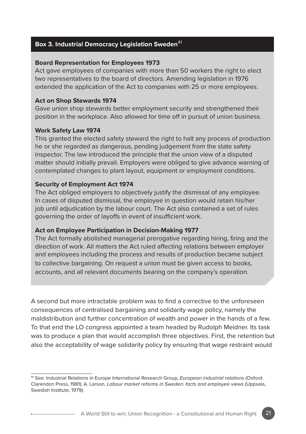#### **Box 3. Industrial Democracy Legislation Sweden**<sup>41</sup>

#### **Board Representation for Employees 1973**

Act gave employees of companies with more than 50 workers the right to elect two representatives to the board of directors. Amending legislation in 1976 extended the application of the Act to companies with 25 or more employees.

#### **Act on Shop Stewards 1974**

Gave union shop stewards better employment security and strengthened their position in the workplace. Also allowed for time off in pursuit of union business.

#### **Work Safety Law 1974**

This granted the elected safety steward the right to halt any process of production he or she regarded as dangerous, pending judgement from the state safety inspector. The law introduced the principle that the union view of a disputed matter should initially prevail. Employers were obliged to give advance warning of contemplated changes to plant layout, equipment or employment conditions.

#### **Security of Employment Act 1974**

The Act obliged employers to objectively justify the dismissal of any employee. In cases of disputed dismissal, the employee in question would retain his/her job until adjudication by the labour court. The Act also contained a set of rules governing the order of layoffs in event of insufficient work.

#### **Act on Employee Participation in Decision-Making 1977**

The Act formally abolished managerial prerogative regarding hiring, firing and the direction of work. All matters the Act ruled affecting relations between employer and employees including the process and results of production became subject to collective bargaining. On request a union must be given access to books, accounts, and all relevant documents bearing on the company's operation.

A second but more intractable problem was to find a corrective to the unforeseen consequences of centralised bargaining and solidarity wage policy, namely the maldistribution and further concentration of wealth and power in the hands of a few. To that end the LO congress appointed a team headed by Rudolph Meidner. Its task was to produce a plan that would accomplish three objectives. First, the retention but also the acceptability of wage solidarity policy by ensuring that wage restraint would

<sup>41</sup> See: Industrial Relations in Europe International Research Group, *European industrial relations* (Oxford: Clarendon Press, 1981); A. Larson, *Labour market reforms in Sweden: facts and employee views* (Uppsala, Swedish Institute, 1979).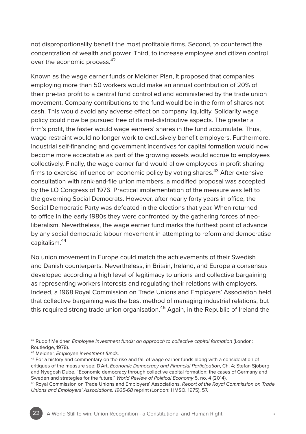not disproportionality benefit the most profitable firms. Second, to counteract the concentration of wealth and power. Third, to increase employee and citizen control over the economic process.<sup>42</sup>

Known as the wage earner funds or Meidner Plan, it proposed that companies employing more than 50 workers would make an annual contribution of 20% of their pre-tax profit to a central fund controlled and administered by the trade union movement. Company contributions to the fund would be in the form of shares not cash. This would avoid any adverse effect on company liquidity. Solidarity wage policy could now be pursued free of its mal-distributive aspects. The greater a firm's profit, the faster would wage earners' shares in the fund accumulate. Thus, wage restraint would no longer work to exclusively benefit employers. Furthermore, industrial self-financing and government incentives for capital formation would now become more acceptable as part of the growing assets would accrue to employees collectively. Finally, the wage earner fund would allow employees in profit sharing firms to exercise influence on economic policy by voting shares.<sup>43</sup> After extensive consultation with rank-and-file union members, a modified proposal was accepted by the LO Congress of 1976. Practical implementation of the measure was left to the governing Social Democrats. However, after nearly forty years in office, the Social Democratic Party was defeated in the elections that year. When returned to office in the early 1980s they were confronted by the gathering forces of neoliberalism. Nevertheless, the wage earner fund marks the furthest point of advance by any social democratic labour movement in attempting to reform and democratise capitalism.44

No union movement in Europe could match the achievements of their Swedish and Danish counterparts. Nevertheless, in Britain, Ireland, and Europe a consensus developed according a high level of legitimacy to unions and collective bargaining as representing workers interests and regulating their relations with employers. Indeed, a 1968 Royal Commission on Trade Unions and Employers' Association held that collective bargaining was the best method of managing industrial relations, but this required strong trade union organisation.<sup>45</sup> Again, in the Republic of Ireland the

<sup>42</sup> Rudolf Meidner, *Employee investment funds: an approach to collective capital formation* (London: Routledge, 1978).

<sup>43</sup> Meidner, *Employee investment funds.*

<sup>44</sup> For a history and commentary on the rise and fall of wage earner funds along with a consideration of critiques of the measure see: D'Art, *Economic Democracy and Financial Participation*, Ch. 4; Stefan Sjöberg and Nyegosh Dube, "Economic democracy through collective capital formation: the cases of Germany and Sweden and strategies for the future," *World Review of Political Economy* 5, no. 4 (2014).

<sup>45</sup> Royal Commission on Trade Unions and Employers' Associations, *Report of the Royal Commission on Trade Unions and Employers' Associations, 1965-68* reprint (London: HMSO, 1975), 57.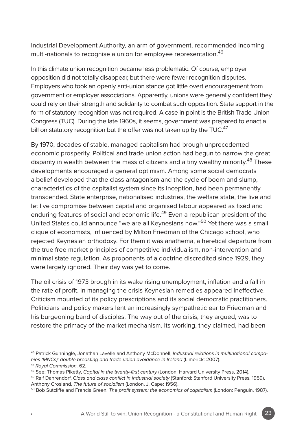Industrial Development Authority, an arm of government, recommended incoming multi-nationals to recognise a union for employee representation.<sup>46</sup>

In this climate union recognition became less problematic. Of course, employer opposition did not totally disappear, but there were fewer recognition disputes. Employers who took an openly anti-union stance got little overt encouragement from government or employer associations. Apparently, unions were generally confident they could rely on their strength and solidarity to combat such opposition. State support in the form of statutory recognition was not required. A case in point is the British Trade Union Congress (TUC). During the late 1960s, it seems, government was prepared to enact a bill on statutory recognition but the offer was not taken up by the TUC.<sup>47</sup>

By 1970, decades of stable, managed capitalism had brough unprecedented economic prosperity. Political and trade union action had begun to narrow the great disparity in wealth between the mass of citizens and a tiny wealthy minority.<sup>48</sup> These developments encouraged a general optimism. Among some social democrats a belief developed that the class antagonism and the cycle of boom and slump, characteristics of the capitalist system since its inception, had been permanently transcended. State enterprise, nationalised industries, the welfare state, the live and let live compromise between capital and organised labour appeared as fixed and enduring features of social and economic life.<sup>49</sup> Even a republican president of the United States could announce "we are all Keynesians now."50 Yet there was a small clique of economists, influenced by Milton Friedman of the Chicago school, who rejected Keynesian orthodoxy. For them it was anathema, a heretical departure from the true free market principles of competitive individualism, non-intervention and minimal state regulation. As proponents of a doctrine discredited since 1929, they were largely ignored. Their day was yet to come.

The oil crisis of 1973 brough in its wake rising unemployment, inflation and a fall in the rate of profit. In managing the crisis Keynesian remedies appeared ineffective. Criticism mounted of its policy prescriptions and its social democratic practitioners. Politicians and policy makers lent an increasingly sympathetic ear to Friedman and his burgeoning band of disciples. The way out of the crisis, they argued, was to restore the primacy of the market mechanism. Its working, they claimed, had been

<sup>46</sup> Patrick Gunningle, Jonathan Lavelle and Anthony McDonnell, *Industrial relations in multinational companies (MNCs): double breasting and trade union avoidance in Ireland* (Limerick: 2007).

<sup>47</sup> *Royal Commission,* 62.

<sup>48</sup> See: Thomas Piketty, *Capital in the twenty-first century* (London: Harvard University Press, 2014).

<sup>49</sup> Ralf Dahrendorf, *Class and class conflict in industrial society* (Stanford: Stanford University Press, 1959). Anthony Crosland, *The future of socialism* (London, J. Cape: 1956).

<sup>50</sup> Bob Sutcliffe and Francis Green, *The profit system: the economics of capitalism* (London: Penguin, 1987).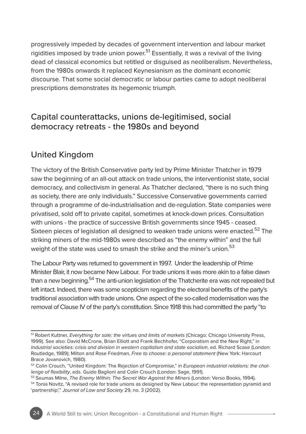progressively impeded by decades of government intervention and labour market rigidities imposed by trade union power.<sup>51</sup> Essentially, it was a revival of the living dead of classical economics but retitled or disguised as neoliberalism. Nevertheless, from the 1980s onwards it replaced Keynesianism as the dominant economic discourse. That some social democratic or labour parties came to adopt neoliberal prescriptions demonstrates its hegemonic triumph.

## Capital counterattacks, unions de-legitimised, social democracy retreats - the 1980s and beyond

### United Kingdom

The victory of the British Conservative party led by Prime Minister Thatcher in 1979 saw the beginning of an all-out attack on trade unions, the interventionist state, social democracy, and collectivism in general. As Thatcher declared, "there is no such thing as society, there are only individuals." Successive Conservative governments carried through a programme of de-industrialisation and de-regulation. State companies were privatised, sold off to private capital, sometimes at knock-down prices. Consultation with unions - the practice of successive British governments since 1945 - ceased. Sixteen pieces of legislation all designed to weaken trade unions were enacted.<sup>52</sup> The striking miners of the mid-1980s were described as "the enemy within" and the full weight of the state was used to smash the strike and the miner's union.<sup>53</sup>

The Labour Party was returned to government in 1997. Under the leadership of Prime Minister Blair, it now became New Labour. For trade unions it was more akin to a false dawn than a new beginning.<sup>54</sup> The anti-union legislation of the Thatcherite era was not repealed but left intact. Indeed, there was some scepticism regarding the electoral benefits of the party's traditional association with trade unions. One aspect of the so-called modernisation was the removal of Clause IV of the party's constitution. Since 1918 this had committed the party "to

<sup>&</sup>lt;sup>51</sup> Robert Kuttner, *Everything for sale: the virtues and limits of markets* (Chicago: Chicago University Press, 1999). See also: David McCrone, Brian Elliott and Frank Bechhofer, "Corporatism and the New Right," in *Industrial societies: crisis and division in western capitalism and state socialism*, ed. Richard Scase (London: Routledge, 1989); Milton and Rose Friedman, *Free to choose: a personal statement* (New York: Harcourt Brace Jovanovich, 1980).

<sup>52</sup> Colin Crouch, "United Kingdom: The Rejection of Compromise," in *European industrial relations: the challenge of flexibility*, eds. Guido Baglioni and Colin Crouch (London: Sage, 1991).

<sup>53</sup> Seumas Milne, *The Enemy Within; The Secret War Against the Miners* (London: Verso Books, 1994).

<sup>54</sup> Tonia Novitz, "A revised role for trade unions as designed by New Labour: the representation pyramid and 'partnership'," *Journal of Law and Society* 29, no. 3 (2002).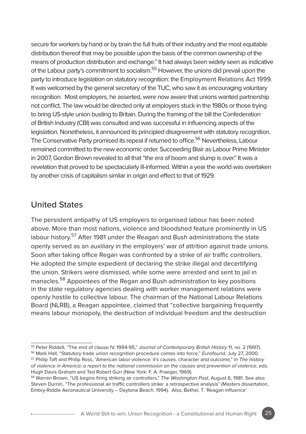secure for workers by hand or by brain the full fruits of their industry and the most equitable distribution thereof that may be possible upon the basis of the common ownership of the means of production distribution and exchange." It had always been widely seen as indicative of the Labour party's commitment to socialism.55 However, the unions did prevail upon the party to introduce legislation on statutory recognition: the Employment Relations Act 1999. It was welcomed by the general secretary of the TUC, who saw it as encouraging voluntary recognition. Most employers, he asserted, were now aware that unions wanted partnership not conflict. The law would be directed only at employers stuck in the 1980s or those trying to bring US-style union busting to Britain. During the framing of the bill the Confederation of British Industry (CBI) was consulted and was successful in influencing aspects of the legislation. Nonetheless, it announced its principled disagreement with statutory recognition. The Conservative Party promised its repeal if returned to office.<sup>56</sup> Nevertheless, Labour remained committed to the new economic order. Succeeding Blair as Labour Prime Minister in 2007, Gordon Brown revealed to all that "the era of boom and slump is over." It was a revelation that proved to be spectacularly ill-informed. Within a year the world was overtaken by another crisis of capitalism similar in origin and effect to that of 1929.

#### United States

The persistent antipathy of US employers to organised labour has been noted above. More than most nations, violence and bloodshed feature prominently in US labour history.<sup>57</sup> After 1981 under the Reagan and Bush administrations the state openly served as an auxiliary in the employers' war of attrition against trade unions. Soon after taking office Regan was confronted by a strike of air traffic controllers. He adopted the simple expedient of declaring the strike illegal and decertifying the union. Strikers were dismissed, while some were arrested and sent to jail in manacles.<sup>58</sup> Appointees of the Regan and Bush administration to key positions in the state regulatory agencies dealing with worker management relations were openly hostile to collective labour. The chairman of the National Labour Relations Board (NLRB), a Reagan appointee, claimed that "collective bargaining frequently means labour monopoly, the destruction of individual freedom and the destruction

<sup>55</sup> Peter Riddell, "The end of clause IV, 1994-95," *Journal of Contemporary British History* 11, no. 2 (1997).

<sup>56</sup> Mark Hall, "Statutory trade union recognition procedure comes into force," *Eurofound*, July 27, 2000.

<sup>57</sup> Philip Taft and Philip Ross, "American labor violence: it's causes, character and outcome," in *The history of violence in America: a report to the national commission on the causes and prevention of violence*, eds. Hugh Davis Graham and Ted Robert Gurr (New York: F. A. Praeger, 1969).

<sup>58</sup> Warren Brown, "US begins firing striking air controllers," *The Washington Post*, August 6, 1981. See also: Steven Durnin, "The professional air traffic controllers strike: a retrospective analysis" (Masters dissertation, Embry-Riddle Aeronautical University – Daytona Beach, 1994). Also, Bethel, T. 'Reagan influence'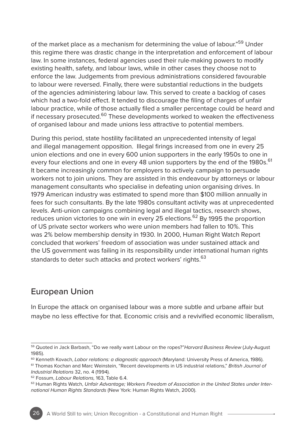of the market place as a mechanism for determining the value of labour."<sup>59</sup> Under this regime there was drastic change in the interpretation and enforcement of labour law. In some instances, federal agencies used their rule-making powers to modify existing health, safety, and labour laws, while in other cases they choose not to enforce the law. Judgements from previous administrations considered favourable to labour were reversed. Finally, there were substantial reductions in the budgets of the agencies administering labour law. This served to create a backlog of cases which had a two-fold effect. It tended to discourage the filing of charges of unfair labour practice, while of those actually filed a smaller percentage could be heard and if necessary prosecuted. $60$  These developments worked to weaken the effectiveness of organised labour and made unions less attractive to potential members.

During this period, state hostility facilitated an unprecedented intensity of legal and illegal management opposition. Illegal firings increased from one in every 25 union elections and one in every 600 union supporters in the early 1950s to one in every four elections and one in every 48 union supporters by the end of the 1980s.<sup>61</sup> It became increasingly common for employers to actively campaign to persuade workers not to join unions. They are assisted in this endeavour by attorneys or labour management consultants who specialise in defeating union organising drives. In 1979 American industry was estimated to spend more than \$100 million annually in fees for such consultants. By the late 1980s consultant activity was at unprecedented levels. Anti-union campaigns combining legal and illegal tactics, research shows, reduces union victories to one win in every 25 elections.<sup>62</sup> By 1995 the proportion of US private sector workers who were union members had fallen to 10%. This was 2% below membership density in 1930. In 2000, Human Right Watch Report concluded that workers' freedom of association was under sustained attack and the US government was failing in its responsibility under international human rights standards to deter such attacks and protect workers' rights.<sup>63</sup>

## European Union

In Europe the attack on organised labour was a more subtle and urbane affair but maybe no less effective for that. Economic crisis and a revivified economic liberalism,

<sup>59</sup> Quoted in Jack Barbash, "Do we really want Labour on the ropes?"*Harvard Business Review* (July-August 1985).<br><sup>60</sup> Kenneth Kovach, *Lɑbor relɑtions: ɑ diɑqnostic ɑpproɑch (*Maryland: University Press of America, 1986).

<sup>&</sup>lt;sup>61</sup> Thomas Kochan and Marc Weinstein, "Recent developments in US industrial relations." British Journal of *Industrial Relations* 32, no. 4 (1994).

<sup>62</sup> Fossum, *Labour Relations,* 163, Table 6.4.

<sup>63</sup> Human Rights Watch, *Unfair Advantage; Workers Freedom of Association in the United States under International Human Rights Standards* (New York: Human Rights Watch, 2000).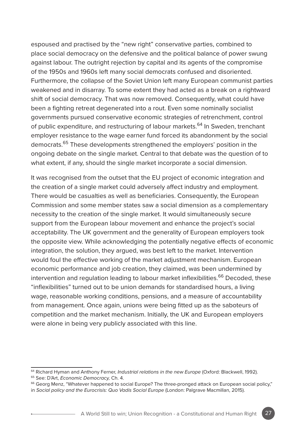espoused and practised by the "new right" conservative parties, combined to place social democracy on the defensive and the political balance of power swung against labour. The outright rejection by capital and its agents of the compromise of the 1950s and 1960s left many social democrats confused and disoriented. Furthermore, the collapse of the Soviet Union left many European communist parties weakened and in disarray. To some extent they had acted as a break on a rightward shift of social democracy. That was now removed. Consequently, what could have been a fighting retreat degenerated into a rout. Even some nominally socialist governments pursued conservative economic strategies of retrenchment, control of public expenditure, and restructuring of labour markets.<sup>64</sup> In Sweden, trenchant employer resistance to the wage earner fund forced its abandonment by the social democrats.<sup>65</sup> These developments strengthened the employers' position in the ongoing debate on the single market. Central to that debate was the question of to what extent, if any, should the single market incorporate a social dimension.

It was recognised from the outset that the EU project of economic integration and the creation of a single market could adversely affect industry and employment. There would be casualties as well as beneficiaries. Consequently, the European Commission and some member states saw a social dimension as a complementary necessity to the creation of the single market. It would simultaneously secure support from the European labour movement and enhance the project's social acceptability. The UK government and the generality of European employers took the opposite view. While acknowledging the potentially negative effects of economic integration, the solution, they argued, was best left to the market. Intervention would foul the effective working of the market adjustment mechanism. European economic performance and job creation, they claimed, was been undermined by intervention and regulation leading to labour market inflexibilities.<sup>66</sup> Decoded, these "inflexibilities" turned out to be union demands for standardised hours, a living wage, reasonable working conditions, pensions, and a measure of accountability from management. Once again, unions were being fitted up as the saboteurs of competition and the market mechanism. Initially, the UK and European employers were alone in being very publicly associated with this line.

<sup>64</sup> Richard Hyman and Anthony Ferner, *Industrial relations in the new Europe* (Oxford: Blackwell, 1992).

<sup>65</sup> See: D'Art, *Economic Democracy,* Ch. 4.

<sup>66</sup> Georg Menz, "Whatever happened to social Europe? The three-pronged attack on European social policy,"

in *Social policy and the Eurocrisis: Quo Vadis Social Europe* (London: Palgrave Macmillan, 2015).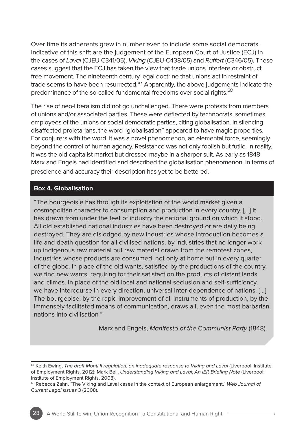Over time its adherents grew in number even to include some social democrats. Indicative of this shift are the judgement of the European Court of Justice (ECJ) in the cases of *Laval* (CJEU C341/05), *Viking* (CJEU-C438/05) and *Ruffert* (C346/05). These cases suggest that the ECJ has taken the view that trade unions interfere or obstruct free movement. The nineteenth century legal doctrine that unions act in restraint of trade seems to have been resurrected. $67$  Apparently, the above judgements indicate the predominance of the so-called fundamental freedoms over social rights.<sup>68</sup>

The rise of neo-liberalism did not go unchallenged. There were protests from members of unions and/or associated parties. These were deflected by technocrats, sometimes employees of the unions or social democratic parties, citing globalisation. In silencing disaffected proletarians, the word "globalisation" appeared to have magic properties. For conjurers with the word, it was a novel phenomenon, an elemental force, seemingly beyond the control of human agency. Resistance was not only foolish but futile. In reality, it was the old capitalist market but dressed maybe in a sharper suit. As early as 1848 Marx and Engels had identified and described the globalisation phenomenon. In terms of prescience and accuracy their description has yet to be bettered.

#### **Box 4. Globalisation**

"The bourgeoisie has through its exploitation of the world market given a cosmopolitan character to consumption and production in every country. […] It has drawn from under the feet of industry the national ground on which it stood. All old established national industries have been destroyed or are daily being destroyed. They are dislodged by new industries whose introduction becomes a life and death question for all civilised nations, by industries that no longer work up indigenous raw material but raw material drawn from the remotest zones, industries whose products are consumed, not only at home but in every quarter of the globe. In place of the old wants, satisfied by the productions of the country, we find new wants, requiring for their satisfaction the products of distant lands and climes. In place of the old local and national seclusion and self-sufficiency, we have intercourse in every direction, universal inter-dependence of nations. […] The bourgeoise, by the rapid improvement of all instruments of production, by the immensely facilitated means of communication, draws all, even the most barbarian nations into civilisation*.*"

Marx and Engels, *Manifesto of the Communist Party* (1848).

<sup>67</sup> Keith Ewing, *The draft Monti II regulation: an inadequate response to Viking and Laval* (Liverpool: Institute of Employment Rights, 2012); Mark Bell, *Understanding Viking and Laval: An IER Briefing Note* (Liverpool: Institute of Employment Rights, 2008).

<sup>68</sup> Rebecca Zahn, "The Viking and Laval cases in the context of European enlargement," *Web Journal of Current Legal Issues* 3 (2008).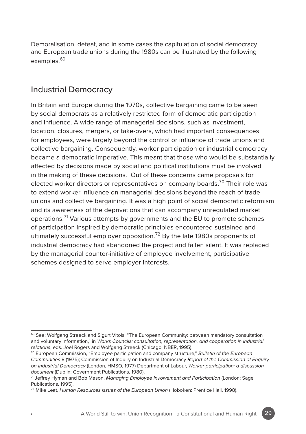Demoralisation, defeat, and in some cases the capitulation of social democracy and European trade unions during the 1980s can be illustrated by the following examples.<sup>69</sup>

### Industrial Democracy

In Britain and Europe during the 1970s, collective bargaining came to be seen by social democrats as a relatively restricted form of democratic participation and influence. A wide range of managerial decisions, such as investment, location, closures, mergers, or take-overs, which had important consequences for employees, were largely beyond the control or influence of trade unions and collective bargaining. Consequently, worker participation or industrial democracy became a democratic imperative. This meant that those who would be substantially affected by decisions made by social and political institutions must be involved in the making of these decisions. Out of these concerns came proposals for elected worker directors or representatives on company boards.<sup>70</sup> Their role was to extend worker influence on managerial decisions beyond the reach of trade unions and collective bargaining. It was a high point of social democratic reformism and its awareness of the deprivations that can accompany unregulated market operations.<sup>71</sup> Various attempts by governments and the EU to promote schemes of participation inspired by democratic principles encountered sustained and ultimately successful employer opposition.<sup>72</sup> By the late 1980s proponents of industrial democracy had abandoned the project and fallen silent. It was replaced by the managerial counter-initiative of employee involvement, participative schemes designed to serve employer interests.

<sup>&</sup>lt;sup>69</sup> See: Wolfgang Streeck and Sigurt Vitols, "The European Community: between mandatory consultation and voluntary information," in *Works Councils: consultation, representation, and cooperation in industrial relations*, eds. Joel Rogers and Wolfgang Streeck (Chicago: NBER, 1995).

<sup>70</sup> European Commission, "Employee participation and company structure," *Bulletin of the European Communities* 8 (1975); Commission of Inquiry on Industrial Democracy *Report of the Commission of Enquiry on Industrial Democracy* (London, HMSO, 1977) Department of Labour, *Worker participation: a discussion document* (Dublin: Government Publications, 1980).

<sup>71</sup> Jeffrey Hyman and Bob Mason, *Managing Employee Involvement and Participation* (London: Sage Publications, 1995).

<sup>72</sup> Mike Leat, *Human Resources issues of the European Union* (Hoboken: Prentice Hall, 1998).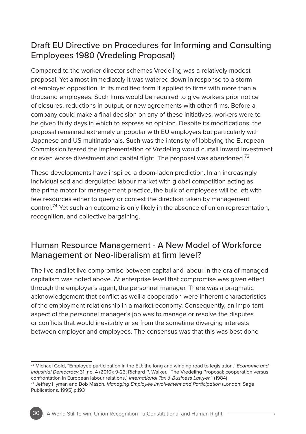# Draft EU Directive on Procedures for Informing and Consulting Employees 1980 (Vredeling Proposal)

Compared to the worker director schemes Vredeling was a relatively modest proposal. Yet almost immediately it was watered down in response to a storm of employer opposition. In its modified form it applied to firms with more than a thousand employees. Such firms would be required to give workers prior notice of closures, reductions in output, or new agreements with other firms. Before a company could make a final decision on any of these initiatives, workers were to be given thirty days in which to express an opinion. Despite its modifications, the proposal remained extremely unpopular with EU employers but particularly with Japanese and US multinationals. Such was the intensity of lobbying the European Commission feared the implementation of Vredeling would curtail inward investment or even worse divestment and capital flight. The proposal was abandoned.<sup>73</sup>

These developments have inspired a doom-laden prediction. In an increasingly individualised and dergulated labour market with global competition acting as the prime motor for management practice, the bulk of employees will be left with few resources either to query or contest the direction taken by management control.<sup>74</sup> Yet such an outcome is only likely in the absence of union representation, recognition, and collective bargaining.

## Human Resource Management - A New Model of Workforce Management or Neo-liberalism at firm level?

The live and let live compromise between capital and labour in the era of managed capitalism was noted above. At enterprise level that compromise was given effect through the employer's agent, the personnel manager. There was a pragmatic acknowledgement that conflict as well a cooperation were inherent characteristics of the employment relationship in a market economy. Consequently, an important aspect of the personnel manager's job was to manage or resolve the disputes or conflicts that would inevitably arise from the sometime diverging interests between employer and employees. The consensus was that this was best done

<sup>73</sup> Michael Gold, "Employee participation in the EU: the long and winding road to legislation," *Economic and Industrial Democracy* 31, no. 4 (2010): 9-23; Richard P. Walker, "The Vredeling Proposal: cooperation versus confrontation in European labour relations," *International Tax & Business Lawyer* 1 (1984)

<sup>74</sup> Jeffrey Hyman and Bob Mason, *Managing Employee Involvement and Participation* (London: Sage Publications, 1995).p.193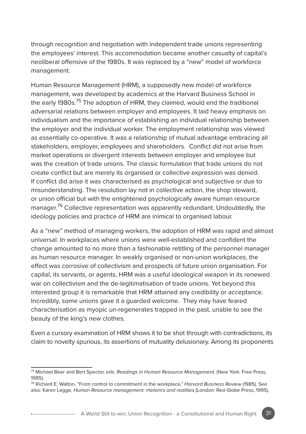through recognition and negotiation with independent trade unions representing the employees' interest. This accommodation became another casualty of capital's neoliberal offensive of the 1980s. It was replaced by a "new" model of workforce management.

Human Resource Management (HRM), a supposedly new model of workforce management, was developed by academics at the Harvard Business School in the early 1980s.<sup>75</sup> The adoption of HRM, they claimed, would end the traditional adversarial relations between employer and employees. It laid heavy emphasis on individualism and the importance of establishing an individual relationship between the employer and the individual worker. The employment relationship was viewed as essentially co-operative. It was a relationship of mutual advantage embracing all stakeholders, employer, employees and shareholders. Conflict did not arise from market operations or divergent interests between employer and employee but was the creation of trade unions. The classic formulation that trade unions do not create conflict but are merely its organised or collective expression was denied. If conflict did arise it was characterised as psychological and subjective or due to misunderstanding. The resolution lay not in collective action, the shop steward, or union official but with the enlightened psychologically aware human resource manager.<sup>76</sup> Collective representation was apparently redundant. Undoubtedly, the ideology policies and practice of HRM are inimical to organised labour.

As a "new" method of managing workers, the adoption of HRM was rapid and almost universal. In workplaces where unions were well-established and confident the change amounted to no more than a fashionable retitling of the personnel manager as human resource manager. In weakly organised or non-union workplaces, the effect was corrosive of collectivism and prospects of future union organisation. For capital, its servants, or agents, HRM was a useful ideological weapon in its renewed war on collectivism and the de-legitimatisation of trade unions. Yet beyond this interested group it is remarkable that HRM attained any credibility or acceptance. Incredibly, some unions gave it a guarded welcome. They may have feared characterisation as myopic un-regenerates trapped in the past, unable to see the beauty of the king's new clothes.

Even a cursory examination of HRM shows it to be shot through with contradictions, its claim to novelty spurious, its assertions of mutuality delusionary. Among its proponents

<sup>75</sup> Michael Beer and Bert Spector, eds. *Readings in Human Resource Management*. (New York: Free Press, 1985).

<sup>76</sup> Richard E. Walton, "From control to commitment in the workplace," *Harvard Business Review* (1985). See also: Karen Legge, *Human Resource management: rhetorics and realities* (London: Red Globe Press, 1995).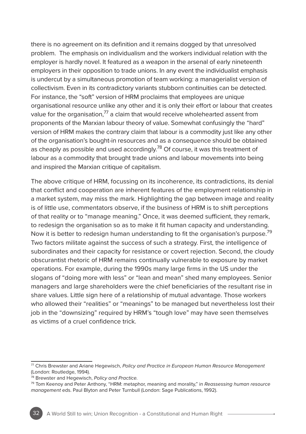there is no agreement on its definition and it remains dogged by that unresolved problem. The emphasis on individualism and the workers individual relation with the employer is hardly novel. It featured as a weapon in the arsenal of early nineteenth employers in their opposition to trade unions. In any event the individualist emphasis is undercut by a simultaneous promotion of team working: a managerialist version of collectivism. Even in its contradictory variants stubborn continuities can be detected. For instance, the "soft" version of HRM proclaims that employees are unique organisational resource unlike any other and it is only their effort or labour that creates value for the organisation, $^{77}$  a claim that would receive wholehearted assent from proponents of the Marxian labour theory of value. Somewhat confusingly the "hard" version of HRM makes the contrary claim that labour is a commodity just like any other of the organisation's bought-in resources and as a consequence should be obtained as cheaply as possible and used accordingly.<sup>78</sup> Of course, it was this treatment of labour as a commodity that brought trade unions and labour movements into being and inspired the Marxian critique of capitalism.

The above critique of HRM, focussing on its incoherence, its contradictions, its denial that conflict and cooperation are inherent features of the employment relationship in a market system, may miss the mark. Highlighting the gap between image and reality is of little use, commentators observe, if the business of HRM is to shift perceptions of that reality or to "manage meaning." Once, it was deemed sufficient, they remark, to redesign the organisation so as to make it fit human capacity and understanding. Now it is better to redesign human understanding to fit the organisation's purpose.<sup>79</sup> Two factors militate against the success of such a strategy. First, the intelligence of subordinates and their capacity for resistance or covert rejection. Second, the cloudy obscurantist rhetoric of HRM remains continually vulnerable to exposure by market operations. For example, during the 1990s many large firms in the US under the slogans of "doing more with less" or "lean and mean" shed many employees. Senior managers and large shareholders were the chief beneficiaries of the resultant rise in share values. Little sign here of a relationship of mutual advantage. Those workers who allowed their "realities" or "meanings" to be managed but nevertheless lost their job in the "downsizing" required by HRM's "tough love" may have seen themselves as victims of a cruel confidence trick.

<sup>77</sup> Chris Brewster and Ariane Hegewisch, *Policy and Practice in European Human Resource Management* (London: Routledge, 1994).

<sup>78</sup> Brewster and Hegewisch, *Policy and Practice.*

<sup>79</sup> Tom Keenoy and Peter Anthony, "HRM: metaphor, meaning and morality," in *Reassessing human resource management* eds. Paul Blyton and Peter Turnbull (London: Sage Publications, 1992).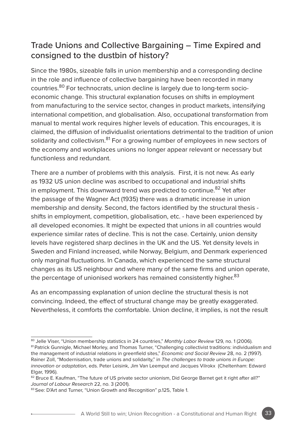# Trade Unions and Collective Bargaining – Time Expired and consigned to the dustbin of history?

Since the 1980s, sizeable falls in union membership and a corresponding decline in the role and influence of collective bargaining have been recorded in many countries.80 For technocrats, union decline is largely due to long-term socioeconomic change. This structural explanation focuses on shifts in employment from manufacturing to the service sector, changes in product markets, intensifying international competition, and globalisation. Also, occupational transformation from manual to mental work requires higher levels of education. This encourages, it is claimed, the diffusion of individualist orientations detrimental to the tradition of union solidarity and collectivism.<sup>81</sup> For a growing number of employees in new sectors of the economy and workplaces unions no longer appear relevant or necessary but functionless and redundant.

There are a number of problems with this analysis. First, it is not new. As early as 1932 US union decline was ascribed to occupational and industrial shifts in employment. This downward trend was predicted to continue.<sup>82</sup> Yet after the passage of the Wagner Act (1935) there was a dramatic increase in union membership and density. Second, the factors identified by the structural thesis shifts in employment, competition, globalisation, etc. - have been experienced by all developed economies. It might be expected that unions in all countries would experience similar rates of decline. This is not the case. Certainly, union density levels have registered sharp declines in the UK and the US. Yet density levels in Sweden and Finland increased, while Norway, Belgium, and Denmark experienced only marginal fluctuations. In Canada, which experienced the same structural changes as its US neighbour and where many of the same firms and union operate, the percentage of unionised workers has remained consistently higher.<sup>83</sup>

As an encompassing explanation of union decline the structural thesis is not convincing. Indeed, the effect of structural change may be greatly exaggerated. Nevertheless, it comforts the comfortable. Union decline, it implies, is not the result

<sup>80</sup> Jelle Viser, "Union membership statistics in 24 countries," *Monthly Labor Review* 129, no. 1 (2006). 81 Patrick Gunnigle, Michael Morley, and Thomas Turner, "Challenging collectivist traditions: individualism and the management of industrial relations in greenfield sites," *Economic and Social Review* 28, no. 2 (1997). Rainer Zoll, "Modernisation, trade unions and solidarity," in *The challenges to trade unions in Europe: innovation or adaptation*, eds. Peter Leisink, Jim Van Leemput and Jacques Vilrokx (Cheltenham: Edward Elgar, 1996).

<sup>82</sup> Bruce E. Kaufman, "The future of US private sector unionism, Did George Barnet get it right after all?" *Journal of Labour Research* 22, no. 3 (2001).

<sup>83</sup> See: D'Art and Turner, "Union Growth and Recognition" p.125, Table 1.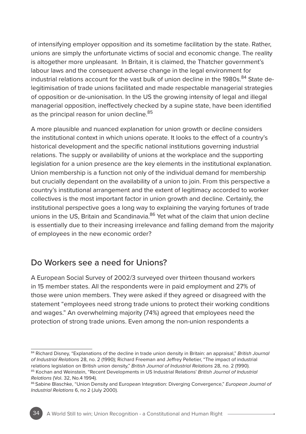of intensifying employer opposition and its sometime facilitation by the state. Rather, unions are simply the unfortunate victims of social and economic change. The reality is altogether more unpleasant. In Britain, it is claimed, the Thatcher government's labour laws and the consequent adverse change in the legal environment for industrial relations account for the vast bulk of union decline in the 1980s.<sup>84</sup> State delegitimisation of trade unions facilitated and made respectable managerial strategies of opposition or de-unionisation. In the US the growing intensity of legal and illegal managerial opposition, ineffectively checked by a supine state, have been identified as the principal reason for union decline.<sup>85</sup>

A more plausible and nuanced explanation for union growth or decline considers the institutional context in which unions operate. It looks to the effect of a country's historical development and the specific national institutions governing industrial relations. The supply or availability of unions at the workplace and the supporting legislation for a union presence are the key elements in the institutional explanation. Union membership is a function not only of the individual demand for membership but crucially dependant on the availability of a union to join. From this perspective a country's institutional arrangement and the extent of legitimacy accorded to worker collectives is the most important factor in union growth and decline. Certainly, the institutional perspective goes a long way to explaining the varying fortunes of trade unions in the US. Britain and Scandinavia.<sup>86</sup> Yet what of the claim that union decline is essentially due to their increasing irrelevance and falling demand from the majority of employees in the new economic order?

### Do Workers see a need for Unions?

A European Social Survey of 2002/3 surveyed over thirteen thousand workers in 15 member states. All the respondents were in paid employment and 27% of those were union members. They were asked if they agreed or disagreed with the statement "employees need strong trade unions to protect their working conditions and wages." An overwhelming majority (74%) agreed that employees need the protection of strong trade unions. Even among the non-union respondents a

<sup>84</sup> Richard Disney, "Explanations of the decline in trade union density in Britain: an appraisal," *British Journal of Industrial Relations* 28, no. 2 (1990); Richard Freeman and Jeffrey Pelletier, "The impact of industrial relations legislation on British union density," *British Journal of Industrial Relations* 28, no. 2 (1990).

<sup>85</sup> Kochan and Weinstein, "Recent Developments in US Industrial Relations' *British Journal of Industrial Relations* (Vol. 32, No.4 1994).<br><sup>86</sup> Sabine Blaschke, "Union Density and European Integration: Diverging Convergence," *European Journal of* 

*Industrial Relations* 6, no 2 (July 2000).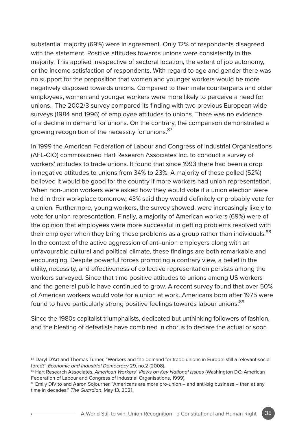substantial majority (69%) were in agreement. Only 12% of respondents disagreed with the statement. Positive attitudes towards unions were consistently in the majority. This applied irrespective of sectoral location, the extent of job autonomy, or the income satisfaction of respondents. With regard to age and gender there was no support for the proposition that women and younger workers would be more negatively disposed towards unions. Compared to their male counterparts and older employees, women and younger workers were more likely to perceive a need for unions. The 2002/3 survey compared its finding with two previous European wide surveys (1984 and 1996) of employee attitudes to unions. There was no evidence of a decline in demand for unions. On the contrary, the comparison demonstrated a growing recognition of the necessity for unions.<sup>87</sup>

In 1999 the American Federation of Labour and Congress of Industrial Organisations (AFL-CIO) commissioned Hart Research Associates Inc. to conduct a survey of workers' attitudes to trade unions. It found that since 1993 there had been a drop in negative attitudes to unions from 34% to 23%. A majority of those polled (52%) believed it would be good for the country if more workers had union representation. When non-union workers were asked how they would vote if a union election were held in their workplace tomorrow, 43% said they would definitely or probably vote for a union. Furthermore, young workers, the survey showed, were increasingly likely to vote for union representation. Finally, a majority of American workers (69%) were of the opinion that employees were more successful in getting problems resolved with their employer when they bring these problems as a group rather than individuals.<sup>88</sup> In the context of the active aggression of anti-union employers along with an unfavourable cultural and political climate, these findings are both remarkable and encouraging. Despite powerful forces promoting a contrary view, a belief in the utility, necessity, and effectiveness of collective representation persists among the workers surveyed. Since that time positive attitudes to unions among US workers and the general public have continued to grow. A recent survey found that over 50% of American workers would vote for a union at work. Americans born after 1975 were found to have particularly strong positive feelings towards labour unions.<sup>89</sup>

Since the 1980s capitalist triumphalists, dedicated but unthinking followers of fashion, and the bleating of defeatists have combined in chorus to declare the actual or soon

<sup>87</sup> Daryl D'Art and Thomas Turner, "Workers and the demand for trade unions in Europe: still a relevant social force?" *Economic and Industrial Democracy* 29, no.2 (2008).

<sup>88</sup> Hart Research Associates, *American Workers' Views on Key National Issues* (Washington DC: American Federation of Labour and Congress of Industrial Organisations, 1999).

<sup>89</sup> Emily DiVito and Aaron Sojourner, "Americans are more pro-union – and anti-big business – than at any time in decades," *The Guardian*, May 13, 2021.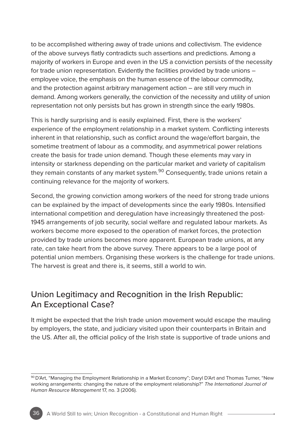to be accomplished withering away of trade unions and collectivism. The evidence of the above surveys flatly contradicts such assertions and predictions. Among a majority of workers in Europe and even in the US a conviction persists of the necessity for trade union representation. Evidently the facilities provided by trade unions – employee voice, the emphasis on the human essence of the labour commodity, and the protection against arbitrary management action – are still very much in demand. Among workers generally, the conviction of the necessity and utility of union representation not only persists but has grown in strength since the early 1980s.

This is hardly surprising and is easily explained. First, there is the workers' experience of the employment relationship in a market system. Conflicting interests inherent in that relationship, such as conflict around the wage/effort bargain, the sometime treatment of labour as a commodity, and asymmetrical power relations create the basis for trade union demand. Though these elements may vary in intensity or starkness depending on the particular market and variety of capitalism they remain constants of any market system.<sup>90</sup> Consequently, trade unions retain a continuing relevance for the majority of workers.

Second, the growing conviction among workers of the need for strong trade unions can be explained by the impact of developments since the early 1980s. Intensified international competition and deregulation have increasingly threatened the post-1945 arrangements of job security, social welfare and regulated labour markets. As workers become more exposed to the operation of market forces, the protection provided by trade unions becomes more apparent. European trade unions, at any rate, can take heart from the above survey. There appears to be a large pool of potential union members. Organising these workers is the challenge for trade unions. The harvest is great and there is, it seems, still a world to win.

# Union Legitimacy and Recognition in the Irish Republic: An Exceptional Case?

It might be expected that the Irish trade union movement would escape the mauling by employers, the state, and judiciary visited upon their counterparts in Britain and the US. After all, the official policy of the Irish state is supportive of trade unions and

<sup>90</sup> D'Art, "Managing the Employment Relationship in a Market Economy"; Daryl D'Art and Thomas Turner, "New working arrangements: changing the nature of the employment relationship?" *The International Journal of Human Resource Management* 17, no. 3 (2006).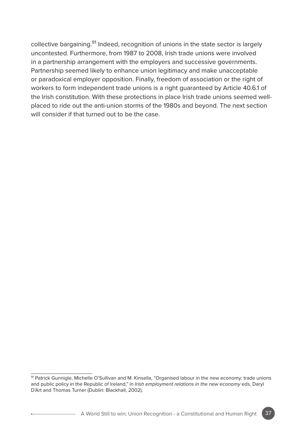collective bargaining.<sup>91</sup> Indeed, recognition of unions in the state sector is largely uncontested. Furthermore, from 1987 to 2008, Irish trade unions were involved in a partnership arrangement with the employers and successive governments. Partnership seemed likely to enhance union legitimacy and make unacceptable or paradoxical employer opposition. Finally, freedom of association or the right of workers to form independent trade unions is a right guaranteed by Article 40.6.1 of the Irish constitution. With these protections in place Irish trade unions seemed wellplaced to ride out the anti-union storms of the 1980s and beyond. The next section will consider if that turned out to be the case.



<sup>91</sup> Patrick Gunnigle, Michelle O'Sullivan and M. Kinsella, "Organised labour in the new economy: trade unions and public policy in the Republic of Ireland," in *Irish employment relations in the new economy* eds, Daryl D'Art and Thomas Turner (Dublin: Blackhall, 2002).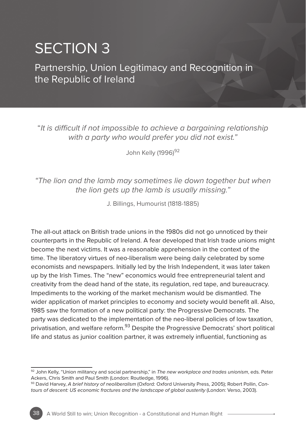# SECTION 3

Partnership, Union Legitimacy and Recognition in the Republic of Ireland

"*It is difficult if not impossible to achieve a bargaining relationship with a party who would prefer you did not exist."*

John Kelly (1996)<sup>92</sup>

## *"The lion and the lamb may sometimes lie down together but when the lion gets up the lamb is usually missing."*

J. Billings, Humourist (1818-1885)

The all-out attack on British trade unions in the 1980s did not go unnoticed by their counterparts in the Republic of Ireland. A fear developed that Irish trade unions might become the next victims. It was a reasonable apprehension in the context of the time. The liberatory virtues of neo-liberalism were being daily celebrated by some economists and newspapers. Initially led by the Irish Independent, it was later taken up by the Irish Times. The "new" economics would free entrepreneurial talent and creativity from the dead hand of the state, its regulation, red tape, and bureaucracy. Impediments to the working of the market mechanism would be dismantled. The wider application of market principles to economy and society would benefit all. Also, 1985 saw the formation of a new political party: the Progressive Democrats. The party was dedicated to the implementation of the neo-liberal policies of low taxation, privatisation, and welfare reform.<sup>93</sup> Despite the Progressive Democrats' short political life and status as junior coalition partner, it was extremely influential, functioning as

<sup>92</sup> John Kelly, "Union militancy and social partnership," in *The new workplace and trades unionism*, eds. Peter Ackers, Chris Smith and Paul Smith (London: Routledge, 1996).

<sup>93</sup> David Harvey, *A brief history of neoliberalism* (Oxford: Oxford University Press, 2005); Robert Pollin, *Contours of descent: US economic fractures and the landscape of global austerity* (London: Verso, 2003).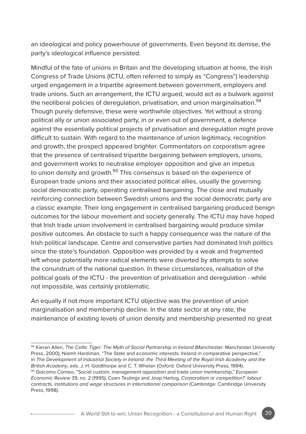an ideological and policy powerhouse of governments. Even beyond its demise, the party's ideological influence persisted.

Mindful of the fate of unions in Britain and the developing situation at home, the Irish Congress of Trade Unions (ICTU, often referred to simply as "Congress") leadership urged engagement in a tripartite agreement between government, employers and trade unions. Such an arrangement, the ICTU argued, would act as a bulwark against the neoliberal policies of deregulation, privatisation, and union marginalisation.<sup>94</sup> Though purely defensive, these were worthwhile objectives. Yet without a strong political ally or union associated party, in or even out of government, a defence against the essentially political projects of privatisation and deregulation might prove difficult to sustain. With regard to the maintenance of union legitimacy, recognition and growth, the prospect appeared brighter. Commentators on corporatism agree that the presence of centralised tripartite bargaining between employers, unions, and government works to neutralise employer opposition and give an impetus to union density and growth.<sup>95</sup> This consensus is based on the experience of European trade unions and their associated political allies, usually the governing social democratic party, operating centralised bargaining. The close and mutually reinforcing connection between Swedish unions and the social democratic party are a classic example. Their long engagement in centralised bargaining produced benign outcomes for the labour movement and society generally. The ICTU may have hoped that Irish trade union involvement in centralised bargaining would produce similar positive outcomes. An obstacle to such a happy consequence was the nature of the Irish political landscape. Centre and conservative parties had dominated Irish politics since the state's foundation. Opposition was provided by a weak and fragmented left whose potentially more radical elements were diverted by attempts to solve the conundrum of the national question. In these circumstances, realisation of the political goals of the ICTU - the prevention of privatisation and deregulation - while not impossible, was certainly problematic.

An equally if not more important ICTU objective was the prevention of union marginalisation and membership decline. In the state sector at any rate, the maintenance of existing levels of union density and membership presented no great

<sup>94</sup> Kieran Allen, *The Celtic Tiger: The Myth of Social Partnership in Ireland* (Manchester: Manchester University Press, 2000); Niamh Hardiman, "The State and economic interests: Ireland in comparative perspective," in *The Development of Industrial Society in Ireland: the Third Meeting of the Royal Irish Academy and the British Academy*, eds. J. H. Goldthorpe and C. T. Whelan (Oxford: Oxford University Press, 1994).

<sup>95</sup> Giacomo Corneo, "Social custom, management opposition and trade union membership," *European Economic Review* 39, no. 2 (1995); Coen Teulings and Joop Hartog, *Corporatism or competition?: labour contracts, institutions and wage structures in international comparison* (Cambridge: Cambridge University Press, 1998).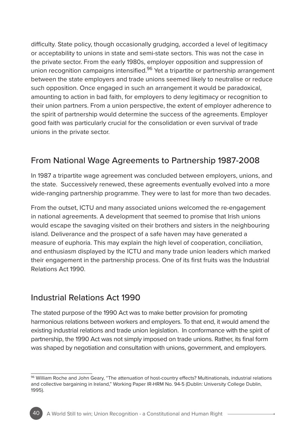difficulty. State policy, though occasionally grudging, accorded a level of legitimacy or acceptability to unions in state and semi-state sectors. This was not the case in the private sector. From the early 1980s, employer opposition and suppression of union recognition campaigns intensified.<sup>96</sup> Yet a tripartite or partnership arrangement between the state employers and trade unions seemed likely to neutralise or reduce such opposition. Once engaged in such an arrangement it would be paradoxical, amounting to action in bad faith, for employers to deny legitimacy or recognition to their union partners. From a union perspective, the extent of employer adherence to the spirit of partnership would determine the success of the agreements. Employer good faith was particularly crucial for the consolidation or even survival of trade unions in the private sector.

# From National Wage Agreements to Partnership 1987-2008

In 1987 a tripartite wage agreement was concluded between employers, unions, and the state. Successively renewed, these agreements eventually evolved into a more wide-ranging partnership programme. They were to last for more than two decades.

From the outset, ICTU and many associated unions welcomed the re-engagement in national agreements. A development that seemed to promise that Irish unions would escape the savaging visited on their brothers and sisters in the neighbouring island. Deliverance and the prospect of a safe haven may have generated a measure of euphoria. This may explain the high level of cooperation, conciliation, and enthusiasm displayed by the ICTU and many trade union leaders which marked their engagement in the partnership process. One of its first fruits was the Industrial Relations Act 1990.

# Industrial Relations Act 1990

The stated purpose of the 1990 Act was to make better provision for promoting harmonious relations between workers and employers. To that end, it would amend the existing industrial relations and trade union legislation. In conformance with the spirit of partnership, the 1990 Act was not simply imposed on trade unions. Rather, its final form was shaped by negotiation and consultation with unions, government, and employers.

<sup>96</sup> William Roche and John Geary, "The attenuation of host-country effects? Multinationals, industrial relations and collective bargaining in Ireland," Working Paper IR-HRM No. 94-5 (Dublin: University College Dublin, 1995).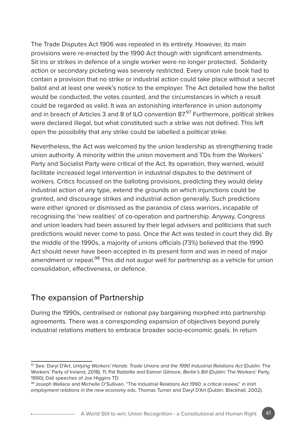The Trade Disputes Act 1906 was repealed in its entirety. However, its main provisions were re-enacted by the 1990 Act though with significant amendments. Sit ins or strikes in defence of a single worker were no longer protected. Solidarity action or secondary picketing was severely restricted. Every union rule book had to contain a provision that no strike or industrial action could take place without a secret ballot and at least one week's notice to the employer. The Act detailed how the ballot would be conducted, the votes counted, and the circumstances in which a result could be regarded as valid. It was an astonishing interference in union autonomy and in breach of Articles 3 and 8 of ILO convention  $87\frac{97}{97}$  Furthermore, political strikes were declared illegal, but what constituted such a strike was not defined. This left open the possibility that any strike could be labelled a political strike.

Nevertheless, the Act was welcomed by the union leadership as strengthening trade union authority. A minority within the union movement and TDs from the Workers' Party and Socialist Party were critical of the Act. Its operation, they warned, would facilitate increased legal intervention in industrial disputes to the detriment of workers. Critics focussed on the balloting provisions, predicting they would delay industrial action of any type, extend the grounds on which injunctions could be granted, and discourage strikes and industrial action generally. Such predictions were either ignored or dismissed as the paranoia of class warriors, incapable of recognising the 'new realities' of co-operation and partnership. Anyway, Congress and union leaders had been assured by their legal advisers and politicians that such predictions would never come to pass. Once the Act was tested in court they did. By the middle of the 1990s, a majority of unions officials (73%) believed that the 1990 Act should never have been accepted in its present form and was in need of major amendment or repeal.<sup>98</sup> This did not augur well for partnership as a vehicle for union consolidation, effectiveness, or defence.

## The expansion of Partnership

During the 1990s, centralised or national pay bargaining morphed into partnership agreements. There was a corresponding expansion of objectives beyond purely industrial relations matters to embrace broader socio-economic goals. In return

<sup>97</sup> See: Daryl D'Art, *Untying Workers' Hands: Trade Unions and the 1990 Industrial Relations Act* (Dublin: The Workers' Party of Ireland, 2018), 11; Pat Rabbitte and Eamon Gilmore, *Bertie's Bill* (Dublin: The Workers' Party, 1990); Dáil speeches of Joe Higgins TD.

<sup>98</sup> Joseph Wallace and Michelle O'Sullivan, "The Industrial Relations Act 1990: a critical review," in *Irish employment relations in the new economy* eds, Thomas Turner and Daryl D'Art (Dublin: Blackhall, 2002).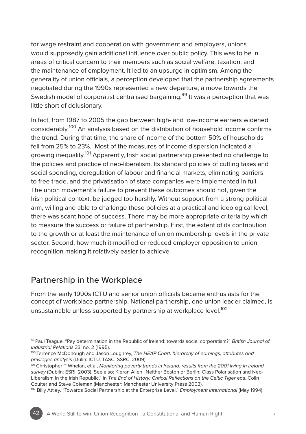for wage restraint and cooperation with government and employers, unions would supposedly gain additional influence over public policy. This was to be in areas of critical concern to their members such as social welfare, taxation, and the maintenance of employment. It led to an upsurge in optimism. Among the generality of union officials, a perception developed that the partnership agreements negotiated during the 1990s represented a new departure, a move towards the Swedish model of corporatist centralised bargaining.<sup>99</sup> It was a perception that was little short of delusionary.

In fact, from 1987 to 2005 the gap between high- and low-income earners widened considerably.100 An analysis based on the distribution of household income confirms the trend. During that time, the share of income of the bottom 50% of households fell from 25% to 23%. Most of the measures of income dispersion indicated a growing inequality.<sup>101</sup> Apparently, Irish social partnership presented no challenge to the policies and practice of neo-liberalism. Its standard policies of cutting taxes and social spending, deregulation of labour and financial markets, eliminating barriers to free trade, and the privatisation of state companies were implemented in full. The union movement's failure to prevent these outcomes should not, given the Irish political context, be judged too harshly. Without support from a strong political arm, willing and able to challenge these policies at a practical and ideological level, there was scant hope of success. There may be more appropriate criteria by which to measure the success or failure of partnership. First, the extent of its contribution to the growth or at least the maintenance of union membership levels in the private sector. Second, how much it modified or reduced employer opposition to union recognition making it relatively easier to achieve.

## Partnership in the Workplace

From the early 1990s ICTU and senior union officials became enthusiasts for the concept of workplace partnership. National partnership, one union leader claimed, is unsustainable unless supported by partnership at workplace level.<sup>102</sup>

<sup>99</sup> Paul Teague, "Pay determination in the Republic of Ireland: towards social corporatism?" *British Journal of Industrial Relations* 33, no. 2 (1995).

<sup>100</sup> Terrence McDonough and Jason Loughrey, *The HEAP Chart: hierarchy of earnings, attributes and privileges analysis* (Dulin: ICTU, TASC, SSRC, 2009).

<sup>&</sup>lt;sup>101</sup> Christopher T Whelan, et al, *Monitoring poverty trends in Ireland: results from the 2001 living in Ireland survey* (Dublin: ESRI, 2003). See also: Kieran Allen "Neither Boston or Berlin; Class Polarisation and Neo-Liberalism in the Irish Republic," in *The End of History; Critical Reflections on the Celtic Tiger* eds. Colin Coulter and Steve Coleman (Manchester: Manchester University Press 2003).

<sup>102</sup> Billy Attley, "Towards Social Partnership at the Enterprise Level," *Employment International* (May 1994).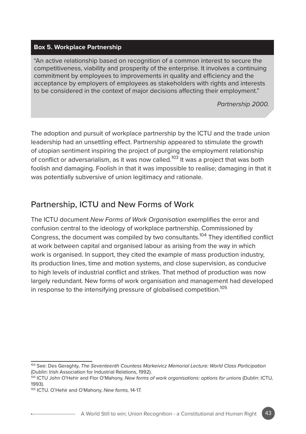### **Box 5. Workplace Partnership**

"An active relationship based on recognition of a common interest to secure the competitiveness, viability and prosperity of the enterprise. It involves a continuing commitment by employees to improvements in quality and efficiency and the acceptance by employers of employees as stakeholders with rights and interests to be considered in the context of major decisions affecting their employment."

*Partnership 2000.* 

The adoption and pursuit of workplace partnership by the ICTU and the trade union leadership had an unsettling effect. Partnership appeared to stimulate the growth of utopian sentiment inspiring the project of purging the employment relationship of conflict or adversarialism, as it was now called.<sup>103</sup> It was a project that was both foolish and damaging. Foolish in that it was impossible to realise; damaging in that it was potentially subversive of union legitimacy and rationale.

## Partnership, ICTU and New Forms of Work

The ICTU document *New Forms of Work Organisation* exemplifies the error and confusion central to the ideology of workplace partnership. Commissioned by Congress, the document was compiled by two consultants.<sup>104</sup> They identified conflict at work between capital and organised labour as arising from the way in which work is organised. In support, they cited the example of mass production industry, its production lines, time and motion systems, and close supervision, as conducive to high levels of industrial conflict and strikes. That method of production was now largely redundant. New forms of work organisation and management had developed in response to the intensifying pressure of globalised competition.<sup>105</sup>

<sup>103</sup> See: Des Geraghty, *The Seventeenth Countess Markeivicz Memorial Lecture: World Class Participation* (Dublin: Irish Association for Industrial Relations, 1992).

<sup>104</sup> ICTU John O'Hehir and Flor O'Mahony, *New forms of work organisations: options for unions* (Dublin: ICTU, 1993).

<sup>105</sup> ICTU. O'Hehir and O'Mahony, *New forms,* 14-17.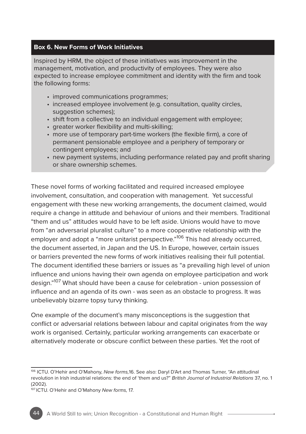### **Box 6. New Forms of Work Initiatives**

Inspired by HRM, the object of these initiatives was improvement in the management, motivation, and productivity of employees. They were also expected to increase employee commitment and identity with the firm and took the following forms:

- improved communications programmes:
- increased employee involvement (e.g. consultation, quality circles, suggestion schemes);
- shift from a collective to an individual engagement with employee;
- greater worker flexibility and multi-skilling;
- more use of temporary part-time workers (the flexible firm), a core of permanent pensionable employee and a periphery of temporary or contingent employees; and
- new payment systems, including performance related pay and profit sharing or share ownership schemes.

These novel forms of working facilitated and required increased employee involvement, consultation, and cooperation with management. Yet successful engagement with these new working arrangements, the document claimed, would require a change in attitude and behaviour of unions and their members. Traditional "them and us" attitudes would have to be left aside. Unions would have to move from "an adversarial pluralist culture" to a more cooperative relationship with the employer and adopt a "more unitarist perspective."<sup>106</sup> This had already occurred, the document asserted, in Japan and the US. In Europe, however, certain issues or barriers prevented the new forms of work initiatives realising their full potential. The document identified these barriers or issues as "a prevailing high level of union influence and unions having their own agenda on employee participation and work design."107 What should have been a cause for celebration - union possession of influence and an agenda of its own - was seen as an obstacle to progress. It was unbelievably bizarre topsy turvy thinking.

One example of the document's many misconceptions is the suggestion that conflict or adversarial relations between labour and capital originates from the way work is organised. Certainly, particular working arrangements can exacerbate or alternatively moderate or obscure conflict between these parties. Yet the root of

<sup>106</sup> ICTU. O'Hehir and O'Mahony, *New forms,*16. See also: Daryl D'Art and Thomas Turner, "An attitudinal revolution in Irish industrial relations: the end of 'them and us?" *British Journal of Industrial Relations* 37, no. 1 (2002).

<sup>107</sup> ICTU. O'Hehir and O'Mahony *New forms,* 17.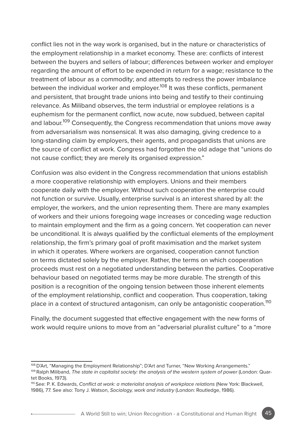conflict lies not in the way work is organised, but in the nature or characteristics of the employment relationship in a market economy. These are: conflicts of interest between the buyers and sellers of labour; differences between worker and employer regarding the amount of effort to be expended in return for a wage; resistance to the treatment of labour as a commodity; and attempts to redress the power imbalance between the individual worker and employer.<sup>108</sup> It was these conflicts, permanent and persistent, that brought trade unions into being and testify to their continuing relevance. As Miliband observes, the term industrial or employee relations is a euphemism for the permanent conflict, now acute, now subdued, between capital and labour.<sup>109</sup> Consequently, the Congress recommendation that unions move away from adversarialism was nonsensical. It was also damaging, giving credence to a long-standing claim by employers, their agents, and propagandists that unions are the source of conflict at work. Congress had forgotten the old adage that "unions do not cause conflict; they are merely its organised expression."

Confusion was also evident in the Congress recommendation that unions establish a more cooperative relationship with employers. Unions and their members cooperate daily with the employer. Without such cooperation the enterprise could not function or survive. Usually, enterprise survival is an interest shared by all: the employer, the workers, and the union representing them. There are many examples of workers and their unions foregoing wage increases or conceding wage reduction to maintain employment and the firm as a going concern. Yet cooperation can never be unconditional. It is always qualified by the conflictual elements of the employment relationship, the firm's primary goal of profit maximisation and the market system in which it operates. Where workers are organised, cooperation cannot function on terms dictated solely by the employer. Rather, the terms on which cooperation proceeds must rest on a negotiated understanding between the parties. Cooperative behaviour based on negotiated terms may be more durable. The strength of this position is a recognition of the ongoing tension between those inherent elements of the employment relationship, conflict and cooperation. Thus cooperation, taking place in a context of structured antagonism, can only be antagonistic cooperation.<sup>110</sup>

Finally, the document suggested that effective engagement with the new forms of work would require unions to move from an "adversarial pluralist culture" to a "more

<sup>108</sup> D'Art, "Managing the Employment Relationship"; D'Art and Turner, "New Working Arrangements."

<sup>109</sup> Ralph Miliband, *The state in capitalist society: the analysis of the western system of power* (London: Quartet Books, 1973).

<sup>110</sup> See: P. K. Edwards, *Conflict at work: a materialist analysis of workplace relations* (New York: Blackwell, 1986), 77. See also: Tony J. Watson, *Sociology, work and industry* (London: Routledge, 1986).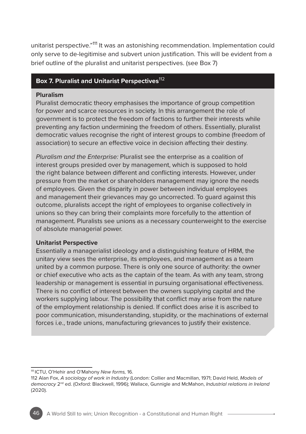unitarist perspective."<sup>111</sup> It was an astonishing recommendation. Implementation could only serve to de-legitimise and subvert union justification. This will be evident from a brief outline of the pluralist and unitarist perspectives. (see Box 7)

## **Box 7. Pluralist and Unitarist Perspectives**<sup>112</sup>

#### **Pluralism**

Pluralist democratic theory emphasises the importance of group competition for power and scarce resources in society. In this arrangement the role of government is to protect the freedom of factions to further their interests while preventing any faction undermining the freedom of others. Essentially, pluralist democratic values recognise the right of interest groups to combine (freedom of association) to secure an effective voice in decision affecting their destiny.

*Pluralism and the Enterprise:* Pluralist see the enterprise as a coalition of interest groups presided over by management, which is supposed to hold the right balance between different and conflicting interests. However, under pressure from the market or shareholders management may ignore the needs of employees. Given the disparity in power between individual employees and management their grievances may go uncorrected. To guard against this outcome, pluralists accept the right of employees to organise collectively in unions so they can bring their complaints more forcefully to the attention of management. Pluralists see unions as a necessary counterweight to the exercise of absolute managerial power.

#### **Unitarist Perspective**

Essentially a managerialist ideology and a distinguishing feature of HRM, the unitary view sees the enterprise, its employees, and management as a team united by a common purpose. There is only one source of authority: the owner or chief executive who acts as the captain of the team. As with any team, strong leadership or management is essential in pursuing organisational effectiveness. There is no conflict of interest between the owners supplying capital and the workers supplying labour. The possibility that conflict may arise from the nature of the employment relationship is denied. If conflict does arise it is ascribed to poor communication, misunderstanding, stupidity, or the machinations of external forces i.e., trade unions, manufacturing grievances to justify their existence.

<sup>111</sup> ICTU, O'Hehir and O'Mahony *New forms,* 16.

<sup>112</sup> Alan Fox, *A sociology of work in Industry* (London: Collier and Macmillan, 1971; David Held, *Models of democracy* 2nd ed. (Oxford: Blackwell, 1996); Wallace, Gunnigle and McMahon, *Industrial relations in Ireland* (2020).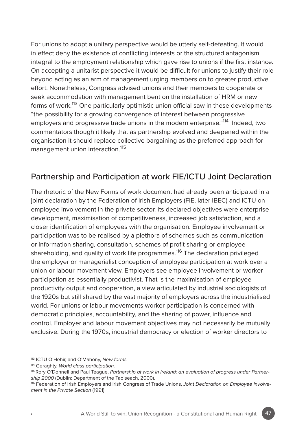For unions to adopt a unitary perspective would be utterly self-defeating. It would in effect deny the existence of conflicting interests or the structured antagonism integral to the employment relationship which gave rise to unions if the first instance. On accepting a unitarist perspective it would be difficult for unions to justify their role beyond acting as an arm of management urging members on to greater productive effort. Nonetheless, Congress advised unions and their members to cooperate or seek accommodation with management bent on the installation of HRM or new forms of work.113 One particularly optimistic union official saw in these developments "the possibility for a growing convergence of interest between progressive employers and progressive trade unions in the modern enterprise."<sup>114</sup> Indeed, two commentators though it likely that as partnership evolved and deepened within the organisation it should replace collective bargaining as the preferred approach for management union interaction.<sup>115</sup>

## Partnership and Participation at work FIE/ICTU Joint Declaration

The rhetoric of the New Forms of work document had already been anticipated in a joint declaration by the Federation of Irish Employers (FIE, later IBEC) and ICTU on employee involvement in the private sector. Its declared objectives were enterprise development, maximisation of competitiveness, increased job satisfaction, and a closer identification of employees with the organisation. Employee involvement or participation was to be realised by a plethora of schemes such as communication or information sharing, consultation, schemes of profit sharing or employee shareholding, and quality of work life programmes.<sup>116</sup> The declaration privileged the employer or managerialist conception of employee participation at work over a union or labour movement view. Employers see employee involvement or worker participation as essentially productivist. That is the maximisation of employee productivity output and cooperation, a view articulated by industrial sociologists of the 1920s but still shared by the vast majority of employers across the industrialised world. For unions or labour movements worker participation is concerned with democratic principles, accountability, and the sharing of power, influence and control. Employer and labour movement objectives may not necessarily be mutually exclusive. During the 1970s, industrial democracy or election of worker directors to

<sup>113</sup> ICTU O'Hehir, and O'Mahony, *New forms.*

<sup>114</sup> Geraghty, *World class participation.*

<sup>115</sup> Rory O'Donnell and Paul Teague, *Partnership at work in Ireland: an evaluation of progress under Partnership 2000* (Dublin: Department of the Taoiseach, 2000).

<sup>116</sup> Federation of Irish Employers and Irish Congress of Trade Unions, *Joint Declaration on Employee Involvement in the Private Section* (1991).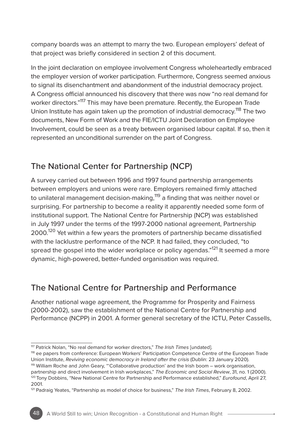company boards was an attempt to marry the two. European employers' defeat of that project was briefly considered in section 2 of this document.

In the joint declaration on employee involvement Congress wholeheartedly embraced the employer version of worker participation. Furthermore, Congress seemed anxious to signal its disenchantment and abandonment of the industrial democracy project. A Congress official announced his discovery that there was now "no real demand for worker directors."<sup>117</sup> This may have been premature. Recently, the European Trade Union Institute has again taken up the promotion of industrial democracy.<sup>118</sup> The two documents, New Form of Work and the FIE/ICTU Joint Declaration on Employee Involvement, could be seen as a treaty between organised labour capital. If so, then it represented an unconditional surrender on the part of Congress.

# The National Center for Partnership (NCP)

A survey carried out between 1996 and 1997 found partnership arrangements between employers and unions were rare. Employers remained firmly attached to unilateral management decision-making,<sup>119</sup> a finding that was neither novel or surprising. For partnership to become a reality it apparently needed some form of institutional support. The National Centre for Partnership (NCP) was established in July 1997 under the terms of the 1997-2000 national agreement, Partnership 2000.<sup>120</sup> Yet within a few years the promoters of partnership became dissatisfied with the lacklustre performance of the NCP. It had failed, they concluded, "to spread the gospel into the wider workplace or policy agendas."<sup>121</sup> It seemed a more dynamic, high-powered, better-funded organisation was required.

# The National Centre for Partnership and Performance

Another national wage agreement, the Programme for Prosperity and Fairness (2000-2002), saw the establishment of the National Centre for Partnership and Performance (NCPP) in 2001. A former general secretary of the ICTU, Peter Cassells,

<sup>&</sup>lt;sup>117</sup> Patrick Nolan, "No real demand for worker directors," *The Irish Times* [undated].<br><sup>118</sup> ee papers from conference: European Workers' Participation Competence Centre of the European Trade<br>Union Institute, *Reviving e* 

<sup>&</sup>lt;sup>119</sup> William Roche and John Geary, "'Collaborative production' and the Irish boom – work organisation, partnership and direct involvement in Irish workplaces," *The Economic and Social Review*, 31, no. 1 (2000). 120 Tony Dobbins, "New National Centre for Partnership and Performance established," *Eurofound*, April 27, 2001.

<sup>121</sup> Padraig Yeates, "Partnership as model of choice for business," *The Irish Times*, February 8, 2002.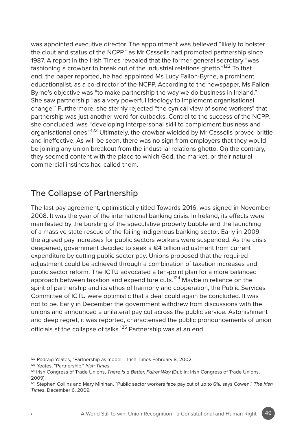was appointed executive director. The appointment was believed "likely to bolster the clout and status of the NCPP," as Mr Cassells had promoted partnership since 1987. A report in the Irish Times revealed that the former general secretary "was fashioning a crowbar to break out of the industrial relations ghetto."122 To that end, the paper reported, he had appointed Ms Lucy Fallon-Byrne, a prominent educationalist, as a co-director of the NCPP. According to the newspaper, Ms Fallon-Byrne's objective was "to make partnership the way we do business in Ireland." She saw partnership "as a very powerful ideology to implement organisational change." Furthermore, she sternly rejected "the cynical view of some workers" that partnership was just another word for cutbacks. Central to the success of the NCPP, she concluded, was "developing interpersonal skill to complement business and organisational ones."123 Ultimately, the crowbar wielded by Mr Cassells proved brittle and ineffective. As will be seen, there was no sign from employers that they would be joining any union breakout from the industrial relations ghetto. On the contrary, they seemed content with the place to which God, the market, or their natural commercial instincts had called them.

# The Collapse of Partnership

The last pay agreement, optimistically titled Towards 2016, was signed in November 2008. It was the year of the international banking crisis. In Ireland, its effects were manifested by the bursting of the speculative property bubble and the launching of a massive state rescue of the failing indigenous banking sector. Early in 2009 the agreed pay increases for public sectors workers were suspended. As the crisis deepened, government decided to seek a €4 billion adjustment from current expenditure by cutting public sector pay. Unions proposed that the required adjustment could be achieved through a combination of taxation increases and public sector reform. The ICTU advocated a ten-point plan for a more balanced approach between taxation and expenditure cuts.<sup>124</sup> Maybe in reliance on the spirit of partnership and its ethos of harmony and cooperation, the Public Services Committee of ICTU were optimistic that a deal could again be concluded. It was not to be. Early in December the government withdrew from discussions with the unions and announced a unilateral pay cut across the public service. Astonishment and deep regret, it was reported, characterised the public pronouncements of union officials at the collapse of talks.<sup>125</sup> Partnership was at an end.

<sup>122</sup> Padraig Yeates, *"*Partnership as model – Irish Times February 8, 2002

<sup>123</sup> Yeates, "Partnership." *Irish Times*

<sup>124</sup> Irish Congress of Trade Unions, *There is a Better, Fairer Way* (Dublin: Irish Congress of Trade Unions, 2009).

<sup>125</sup> Stephen Collins and Mary Minihan, "Public sector workers face pay cut of up to 6%, says Cowen," *The Irish Times*, December 6, 2009.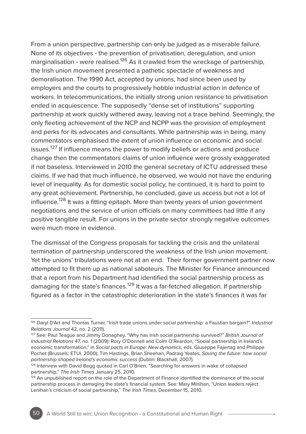From a union perspective, partnership can only be judged as a miserable failure. None of its objectives - the prevention of privatisation, deregulation, and union marginalisation - were realised.<sup>126</sup> As it crawled from the wreckage of partnership, the Irish union movement presented a pathetic spectacle of weakness and demoralisation. The 1990 Act, accepted by unions, had since been used by employers and the courts to progressively hobble industrial action in defence of workers. In telecommunications, the initially strong union resistance to privatisation ended in acquiescence. The supposedly "dense set of institutions" supporting partnership at work quickly withered away, leaving not a trace behind. Seemingly, the only fleeting achievement of the NCP and NCPP was the provision of employment and perks for its advocates and consultants. While partnership was in being, many commentators emphasised the extent of union influence on economic and social issues.<sup>127</sup> If influence means the power to modify beliefs or actions and produce change then the commentators claims of union influence were grossly exaggerated if not baseless. Interviewed in 2010 the general secretary of ICTU addressed these claims. If we had that much influence, he observed, we would not have the enduring level of inequality. As for domestic social policy, he continued, it is hard to point to any great achievement. Partnership, he concluded, gave us access but not a lot of influence.<sup>128</sup> It was a fitting epitaph. More than twenty years of union government negotiations and the service of union officials on many committees had little if any positive tangible result. For unions in the private sector strongly negative outcomes were much more in evidence.

The dismissal of the Congress proposals for tackling the crisis and the unilateral termination of partnership underscored the weakness of the Irish union movement. Yet the unions' tribulations were not at an end. Their former government partner now attempted to fit them up as national saboteurs. The Minister for Finance announced that a report from his Department had identified the social partnership process as damaging for the state's finances.<sup>129</sup> It was a far-fetched allegation. If partnership figured as a factor in the catastrophic deterioration in the state's finances it was far

<sup>126</sup> Daryl D'Art and Thomas Turner, "Irish trade unions under social partnership: a Faustian bargain?" *Industrial Relations Journal* 42, no. 2 (2011).

<sup>127</sup> See: Paul Teague and Jimmy Donaghey, "Why has Irish social partnership survived?" *British Journal of Industrial Relations* 47, no. 1 (2009); Rory O'Donnell and Colm O'Reardon, "Social partnership in Ireland's economic transformation," in *Social pacts in Europe: New dynamics*, eds. Giuseppe Fajertag and Philippe Pochet (Brussels: ETUI, 2000); Tim Hastings, Brian Sheehan, Padraig Yeates, *Saving the future: how social partnership shaped Ireland's economic success* (Dublin: Blackhall, 2007).

<sup>128</sup> Interview with David Begg quoted in Carl O'Brien, "Searching for answers in wake of collapsed partnership," *The Irish Times* January 25, 2010.

<sup>&</sup>lt;sup>129</sup> An unpublished report on the role of the Department of Finance identified the dominance of the social partnership process in damaging the state's financial system. See: Mary Minihan, "Union leaders reject Lenihan's criticism of social partnership," *The Irish Times*, December 15, 2010.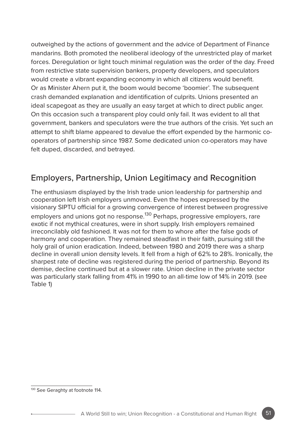outweighed by the actions of government and the advice of Department of Finance mandarins. Both promoted the neoliberal ideology of the unrestricted play of market forces. Deregulation or light touch minimal regulation was the order of the day. Freed from restrictive state supervision bankers, property developers, and speculators would create a vibrant expanding economy in which all citizens would benefit. Or as Minister Ahern put it, the boom would become 'boomier'. The subsequent crash demanded explanation and identification of culprits. Unions presented an ideal scapegoat as they are usually an easy target at which to direct public anger. On this occasion such a transparent ploy could only fail. It was evident to all that government, bankers and speculators were the true authors of the crisis. Yet such an attempt to shift blame appeared to devalue the effort expended by the harmonic cooperators of partnership since 1987. Some dedicated union co-operators may have felt duped, discarded, and betrayed.

# Employers, Partnership, Union Legitimacy and Recognition

The enthusiasm displayed by the Irish trade union leadership for partnership and cooperation left Irish employers unmoved. Even the hopes expressed by the visionary SIPTU official for a growing convergence of interest between progressive employers and unions got no response.<sup>130</sup> Perhaps, progressive employers, rare exotic if not mythical creatures, were in short supply. Irish employers remained irreconcilably old fashioned. It was not for them to whore after the false gods of harmony and cooperation. They remained steadfast in their faith, pursuing still the holy grail of union eradication. Indeed, between 1980 and 2019 there was a sharp decline in overall union density levels. It fell from a high of 62% to 28%. Ironically, the sharpest rate of decline was registered during the period of partnership. Beyond its demise, decline continued but at a slower rate. Union decline in the private sector was particularly stark falling from 41% in 1990 to an all-time low of 14% in 2019. (see Table 1)

<sup>130</sup> See Geraghty at footnote 114.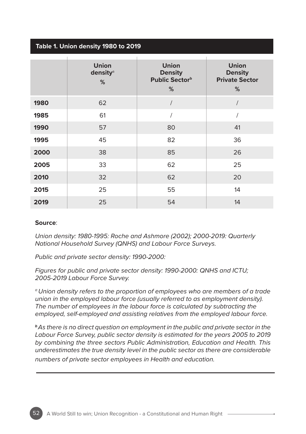### **Table 1. Union density 1980 to 2019**

|      | <b>Union</b><br>density <sup>a</sup><br>% | <b>Union</b><br><b>Density</b><br>Public Sector <sup>b</sup><br>% | <b>Union</b><br><b>Density</b><br><b>Private Sector</b><br>% |
|------|-------------------------------------------|-------------------------------------------------------------------|--------------------------------------------------------------|
| 1980 | 62                                        |                                                                   |                                                              |
| 1985 | 61                                        |                                                                   |                                                              |
| 1990 | 57                                        | 80                                                                | 41                                                           |
| 1995 | 45                                        | 82                                                                | 36                                                           |
| 2000 | 38                                        | 85                                                                | 26                                                           |
| 2005 | 33                                        | 62                                                                | 25                                                           |
| 2010 | 32                                        | 62                                                                | 20                                                           |
| 2015 | 25                                        | 55                                                                | 14                                                           |
| 2019 | 25                                        | 54                                                                | 14                                                           |

#### **Source**:

*Union density: 1980-1995: Roche and Ashmore (2002); 2000-2019: Quarterly National Household Survey (QNHS) and Labour Force Surveys.*

*Public and private sector density: 1990-2000:* 

*Figures for public and private sector density: 1990-2000: QNHS and ICTU; 2005-2019 Labour Force Survey.*

*a Union density refers to the proportion of employees who are members of a trade*  union in the employed labour force (usually referred to as employment density). *The number of employees in the labour force is calculated by subtracting the employed, self-employed and assisting relatives from the employed labour force.*

*<sup>b</sup>As there is no direct question on employment in the public and private sector in the*  Labour Force Survey, public sector density is estimated for the years 2005 to 2019 *by combining the three sectors Public Administration, Education and Health. This underestimates the true density level in the public sector as there are considerable numbers of private sector employees in Health and education.*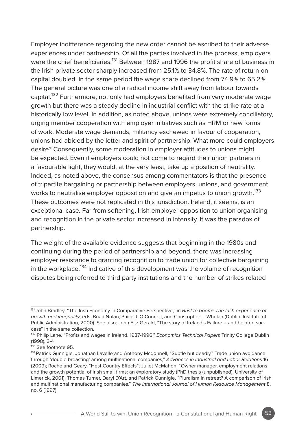Employer indifference regarding the new order cannot be ascribed to their adverse experiences under partnership. Of all the parties involved in the process, employers were the chief beneficiaries.<sup>131</sup> Between 1987 and 1996 the profit share of business in the Irish private sector sharply increased from 25.1% to 34.8%. The rate of return on capital doubled. In the same period the wage share declined from 74.9% to 65.2%. The general picture was one of a radical income shift away from labour towards capital.<sup>132</sup> Furthermore, not only had employers benefited from very moderate wage growth but there was a steady decline in industrial conflict with the strike rate at a historically low level. In addition, as noted above, unions were extremely conciliatory, urging member cooperation with employer initiatives such as HRM or new forms of work. Moderate wage demands, militancy eschewed in favour of cooperation, unions had abided by the letter and spirit of partnership. What more could employers desire? Consequently, some moderation in employer attitudes to unions might be expected. Even if employers could not come to regard their union partners in a favourable light, they would, at the very least, take up a position of neutrality. Indeed, as noted above, the consensus among commentators is that the presence of tripartite bargaining or partnership between employers, unions, and government works to neutralise employer opposition and give an impetus to union growth.<sup>133</sup> These outcomes were not replicated in this jurisdiction. Ireland, it seems, is an exceptional case. Far from softening, Irish employer opposition to union organising and recognition in the private sector increased in intensity. It was the paradox of partnership.

The weight of the available evidence suggests that beginning in the 1980s and continuing during the period of partnership and beyond, there was increasing employer resistance to granting recognition to trade union for collective bargaining in the workplace.<sup>134</sup> Indicative of this development was the volume of recognition disputes being referred to third party institutions and the number of strikes related

<sup>131</sup> John Bradley, "The Irish Economy in Comparative Perspective," in *Bust to boom? The Irish experience of growth and inequality*, eds. Brian Nolan, Philip J. O'Connell, and Christopher T. Whelan (Dublin: Institute of Public Administration, 2000). See also: John Fitz Gerald, "The story of Ireland's Failure – and belated success" in the same collection.

<sup>132</sup> Philip Lane, "Profits and wages in Ireland, 1987-1996," *Economics Technical Papers* Trinity College Dublin (1998), 3-4

<sup>133</sup> See footnote 95.

<sup>&</sup>lt;sup>134</sup> Patrick Gunnigle, Jonathan Lavelle and Anthony Mcdonnell, "Subtle but deadly? Trade union avoidance through 'double breasting' among multinational companies," *Advances in Industrial and Labor Relations* 16 (2009); Roche and Geary, "Host Country Effects"; Juliet McMahon, "Owner manager, employment relations and the growth potential of Irish small firms: an exploratory study (PhD thesis (unpublished), University of Limerick, 2001); Thomas Turner, Daryl D'Art, and Patrick Gunnigle, "Pluralism in retreat? A comparison of Irish and multinational manufacturing companies," *The International Journal of Human Resource Management* 8, no. 6 (1997).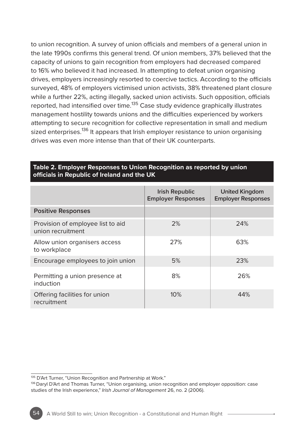to union recognition. A survey of union officials and members of a general union in the late 1990s confirms this general trend. Of union members, 37% believed that the capacity of unions to gain recognition from employers had decreased compared to 16% who believed it had increased. In attempting to defeat union organising drives, employers increasingly resorted to coercive tactics. According to the officials surveyed, 48% of employers victimised union activists, 38% threatened plant closure while a further 22%, acting illegally, sacked union activists. Such opposition, officials reported, had intensified over time.<sup>135</sup> Case study evidence graphically illustrates management hostility towards unions and the difficulties experienced by workers attempting to secure recognition for collective representation in small and medium sized enterprises.<sup>136</sup> It appears that Irish employer resistance to union organising drives was even more intense than that of their UK counterparts.

|                                                        | <b>Irish Republic</b><br><b>Employer Responses</b> | <b>United Kingdom</b><br><b>Employer Responses</b> |
|--------------------------------------------------------|----------------------------------------------------|----------------------------------------------------|
| <b>Positive Responses</b>                              |                                                    |                                                    |
| Provision of employee list to aid<br>union recruitment | 2%                                                 | 24%                                                |
| Allow union organisers access<br>to workplace          | 27%                                                | 63%                                                |
| Encourage employees to join union                      | 5%                                                 | 23%                                                |
| Permitting a union presence at<br>induction            | 8%                                                 | 26%                                                |
| Offering facilities for union<br>recruitment           | 10%                                                | 44%                                                |

#### **Table 2. Employer Responses to Union Recognition as reported by union officials in Republic of Ireland and the UK**

<sup>135</sup> D'Art Turner, "Union Recognition and Partnership at Work."

<sup>&</sup>lt;sup>136</sup> Daryl D'Art and Thomas Turner, "Union organising, union recognition and employer opposition: case studies of the Irish experience," *Irish Journal of Management* 26, no. 2 (2006).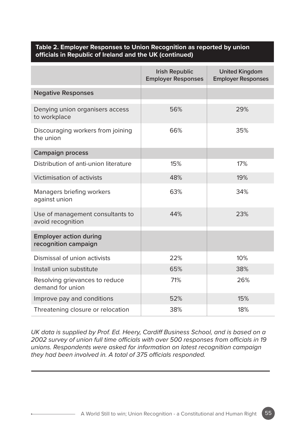#### **Table 2. Employer Responses to Union Recognition as reported by union officials in Republic of Ireland and the UK (continued)**

|                                                       | <b>Irish Republic</b><br><b>Employer Responses</b> | <b>United Kingdom</b><br><b>Employer Responses</b> |
|-------------------------------------------------------|----------------------------------------------------|----------------------------------------------------|
| <b>Negative Responses</b>                             |                                                    |                                                    |
| Denying union organisers access<br>to workplace       | 56%                                                | 29%                                                |
| Discouraging workers from joining<br>the union        | 66%                                                | 35%                                                |
| <b>Campaign process</b>                               |                                                    |                                                    |
| Distribution of anti-union literature                 | 15%                                                | 17%                                                |
| Victimisation of activists                            | 48%                                                | 19%                                                |
| Managers briefing workers<br>against union            | 63%                                                | 34%                                                |
| Use of management consultants to<br>avoid recognition | 44%                                                | 23%                                                |
| <b>Employer action during</b><br>recognition campaign |                                                    |                                                    |
| Dismissal of union activists                          | 22%                                                | 10%                                                |
| Install union substitute                              | 65%                                                | 38%                                                |
| Resolving grievances to reduce<br>demand for union    | 71%                                                | 26%                                                |
| Improve pay and conditions                            | 52%                                                | 15%                                                |
| Threatening closure or relocation                     | 38%                                                | 18%                                                |

*UK data is supplied by Prof. Ed. Heery, Cardiff Business School, and is based on a 2002 survey of union full time officials with over 500 responses from officials in 19 unions. Respondents were asked for information on latest recognition campaign they had been involved in. A total of 375 officials responded.*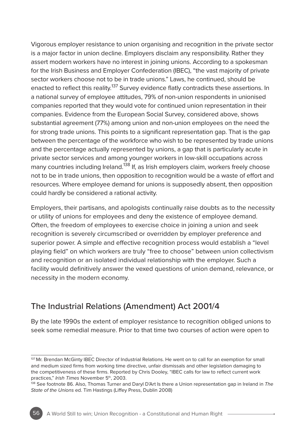Vigorous employer resistance to union organising and recognition in the private sector is a major factor in union decline. Employers disclaim any responsibility. Rather they assert modern workers have no interest in joining unions. According to a spokesman for the Irish Business and Employer Confederation (IBEC), "the vast majority of private sector workers choose not to be in trade unions." Laws, he continued, should be enacted to reflect this reality.<sup>137</sup> Survey evidence flatly contradicts these assertions. In a national survey of employee attitudes, 79% of non-union respondents in unionised companies reported that they would vote for continued union representation in their companies. Evidence from the European Social Survey, considered above, shows substantial agreement (77%) among union and non-union employees on the need the for strong trade unions. This points to a significant representation gap. That is the gap between the percentage of the workforce who wish to be represented by trade unions and the percentage actually represented by unions, a gap that is particularly acute in private sector services and among younger workers in low-skill occupations across many countries including Ireland.<sup>138</sup> If, as Irish employers claim, workers freely choose not to be in trade unions, then opposition to recognition would be a waste of effort and resources. Where employee demand for unions is supposedly absent, then opposition could hardly be considered a rational activity.

Employers, their partisans, and apologists continually raise doubts as to the necessity or utility of unions for employees and deny the existence of employee demand. Often, the freedom of employees to exercise choice in joining a union and seek recognition is severely circumscribed or overridden by employer preference and superior power. A simple and effective recognition process would establish a "level playing field" on which workers are truly "free to choose" between union collectivism and recognition or an isolated individual relationship with the employer. Such a facility would definitively answer the vexed questions of union demand, relevance, or necessity in the modern economy.

# The Industrial Relations (Amendment) Act 2001/4

By the late 1990s the extent of employer resistance to recognition obliged unions to seek some remedial measure. Prior to that time two courses of action were open to

<sup>&</sup>lt;sup>137</sup> Mr. Brendan McGinty IBEC Director of Industrial Relations. He went on to call for an exemption for small and medium sized firms from working time directive, unfair dismissals and other legislation damaging to the competitiveness of these firms. Reported by Chris Dooley, "IBEC calls for law to reflect current work practices," Irish Times November 5<sup>th</sup>, 2003.

<sup>138</sup> See footnote 86. Also, Thomas Turner and Daryl D'Art Is there a Union representation gap in Ireland in *The State of the Unions* ed. Tim Hastings (Liffey Press, Dublin 2008)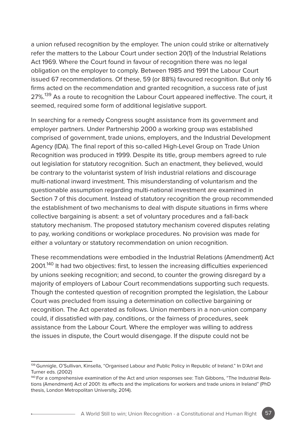a union refused recognition by the employer. The union could strike or alternatively refer the matters to the Labour Court under section 20(1) of the Industrial Relations Act 1969. Where the Court found in favour of recognition there was no legal obligation on the employer to comply. Between 1985 and 1991 the Labour Court issued 67 recommendations. Of these, 59 (or 88%) favoured recognition. But only 16 firms acted on the recommendation and granted recognition, a success rate of just 27%.<sup>139</sup> As a route to recognition the Labour Court appeared ineffective. The court, it seemed, required some form of additional legislative support.

In searching for a remedy Congress sought assistance from its government and employer partners. Under Partnership 2000 a working group was established comprised of government, trade unions, employers, and the Industrial Development Agency (IDA). The final report of this so-called High-Level Group on Trade Union Recognition was produced in 1999. Despite its title, group members agreed to rule out legislation for statutory recognition. Such an enactment, they believed, would be contrary to the voluntarist system of Irish industrial relations and discourage multi-national inward investment. This misunderstanding of voluntarism and the questionable assumption regarding multi-national investment are examined in Section 7 of this document. Instead of statutory recognition the group recommended the establishment of two mechanisms to deal with dispute situations in firms where collective bargaining is absent: a set of voluntary procedures and a fall-back statutory mechanism. The proposed statutory mechanism covered disputes relating to pay, working conditions or workplace procedures. No provision was made for either a voluntary or statutory recommendation on union recognition.

These recommendations were embodied in the Industrial Relations (Amendment) Act 2001.<sup>140</sup> It had two objectives: first, to lessen the increasing difficulties experienced by unions seeking recognition; and second, to counter the growing disregard by a majority of employers of Labour Court recommendations supporting such requests. Though the contested question of recognition prompted the legislation, the Labour Court was precluded from issuing a determination on collective bargaining or recognition. The Act operated as follows. Union members in a non-union company could, if dissatisfied with pay, conditions, or the fairness of procedures, seek assistance from the Labour Court. Where the employer was willing to address the issues in dispute, the Court would disengage. If the dispute could not be

<sup>&</sup>lt;sup>139</sup> Gunnigle, O'Sullivan, Kinsella, "Organised Labour and Public Policy in Republic of Ireland." In D'Art and Turner eds. (2002)

<sup>140</sup> For a comprehensive examination of the Act and union responses see: Tish Gibbons, "The Industrial Relations (Amendment) Act of 2001: its effects and the implications for workers and trade unions in Ireland" (PhD thesis, London Metropolitan University, 2014).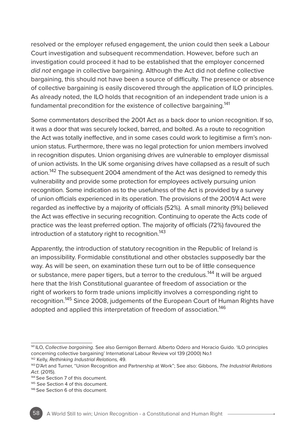resolved or the employer refused engagement, the union could then seek a Labour Court investigation and subsequent recommendation. However, before such an investigation could proceed it had to be established that the employer concerned *did not* engage in collective bargaining. Although the Act did not define collective bargaining, this should not have been a source of difficulty. The presence or absence of collective bargaining is easily discovered through the application of ILO principles. As already noted, the ILO holds that recognition of an independent trade union is a fundamental precondition for the existence of collective bargaining.<sup>141</sup>

Some commentators described the 2001 Act as a back door to union recognition. If so, it was a door that was securely locked, barred, and bolted. As a route to recognition the Act was totally ineffective, and in some cases could work to legitimise a firm's nonunion status. Furthermore, there was no legal protection for union members involved in recognition disputes. Union organising drives are vulnerable to employer dismissal of union activists. In the UK some organising drives have collapsed as a result of such action.<sup>142</sup> The subsequent 2004 amendment of the Act was designed to remedy this vulnerability and provide some protection for employees actively pursuing union recognition. Some indication as to the usefulness of the Act is provided by a survey of union officials experienced in its operation. The provisions of the 2001/4 Act were regarded as ineffective by a majority of officials (52%). A small minority (9%) believed the Act was effective in securing recognition. Continuing to operate the Acts code of practice was the least preferred option. The majority of officials (72%) favoured the introduction of a statutory right to recognition.<sup>143</sup>

Apparently, the introduction of statutory recognition in the Republic of Ireland is an impossibility. Formidable constitutional and other obstacles supposedly bar the way. As will be seen, on examination these turn out to be of little consequence or substance, mere paper tigers, but a terror to the credulous.<sup>144</sup> It will be argued here that the Irish Constitutional guarantee of freedom of association or the right of workers to form trade unions implicitly involves a corresponding right to recognition.<sup>145</sup> Since 2008, judgements of the European Court of Human Rights have adopted and applied this interpretation of freedom of association.<sup>146</sup>

<sup>141</sup> ILO, *Collective bargaining*. See also Gernigon Bernard. Alberto Odero and Horacio Guido. 'ILO principles concerning collective bargaining' International Labour Review vol 139 (2000) No.1 142 Kelly, *Rethinking Industrial Relations,* 49.

<sup>143</sup> D'Art and Turner, "Union Recognition and Partnership at Work"; See also: Gibbons, *The Industrial Relations Act*. (2015).

<sup>144</sup> See Section 7 of this document.

<sup>145</sup> See Section 4 of this document.

<sup>146</sup> See Section 6 of this document.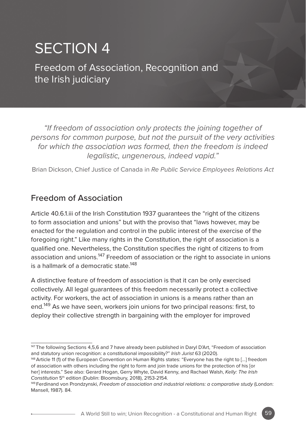# SECTION 4

Freedom of Association, Recognition and the Irish judiciary

*"If freedom of association only protects the joining together of persons for common purpose, but not the pursuit of the very activities for which the association was formed, then the freedom is indeed legalistic, ungenerous, indeed vapid."*

Brian Dickson, Chief Justice of Canada in *Re Public Service Employees Relations Act*

# Freedom of Association

Article 40.6.1.iii of the Irish Constitution 1937 guarantees the "right of the citizens to form association and unions" but with the proviso that "laws however, may be enacted for the regulation and control in the public interest of the exercise of the foregoing right." Like many rights in the Constitution, the right of association is a qualified one. Nevertheless, the Constitution specifies the right of citizens to from association and unions.<sup>147</sup> Freedom of association or the right to associate in unions is a hallmark of a democratic state  $148$ 

A distinctive feature of freedom of association is that it can be only exercised collectively. All legal guarantees of this freedom necessarily protect a collective activity. For workers, the act of association in unions is a means rather than an end.149 As we have seen, workers join unions for two principal reasons: first, to deploy their collective strength in bargaining with the employer for improved

<sup>147</sup> The following Sections 4,5,6 and 7 have already been published in Daryl D'Art, "Freedom of association and statutory union recognition: a constitutional impossibility?" *Irish Jurist* 63 (2020).

<sup>148</sup> Article 11 (1) of the European Convention on Human Rights states: "Everyone has the right to […] freedom of association with others including the right to form and join trade unions for the protection of his [or her] interests." See also: Gerard Hogan, Gerry Whyte, David Kenny, and Rachael Walsh, *Kelly: The Irish*  Constitution 5<sup>th</sup> edition (Dublin: Bloomsbury, 2018), 2153-2154.

<sup>149</sup> Ferdinand von Prondzynski, *Freedom of association and industrial relations: a comparative study* (London: Mansell, 1987). 84.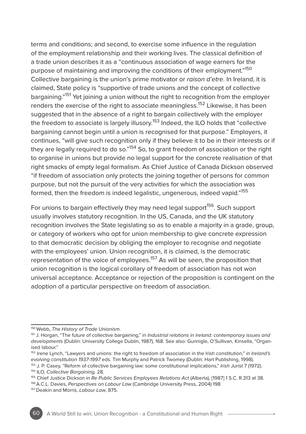terms and conditions; and second, to exercise some influence in the regulation of the employment relationship and their working lives. The classical definition of a trade union describes it as a "continuous association of wage earners for the purpose of maintaining and improving the conditions of their employment."150 Collective bargaining is the union's prime motivator or *raison d'etre*. In Ireland, it is claimed, State policy is "supportive of trade unions and the concept of collective bargaining."<sup>151</sup> Yet joining a union without the right to recognition from the employer renders the exercise of the right to associate meaningless.152 Likewise, it has been suggested that in the absence of a right to bargain collectively with the employer the freedom to associate is largely illusory.<sup>153</sup> Indeed, the ILO holds that "collective bargaining cannot begin until a union is recognised for that purpose." Employers, it continues, "will give such recognition only if they believe it to be in their interests or if they are legally required to do so."<sup>154</sup> So, to grant freedom of association or the right to organise in unions but provide no legal support for the concrete realisation of that right smacks of empty legal formalism. As Chief Justice of Canada Dickson observed "if freedom of association only protects the joining together of persons for common purpose, but not the pursuit of the very activities for which the association was formed, then the freedom is indeed legalistic, ungenerous, indeed vapid."155

For unions to bargain effectively they may need legal support<sup>156</sup>. Such support usually involves statutory recognition. In the US, Canada, and the UK statutory recognition involves the State legislating so as to enable a majority in a grade, group, or category of workers who opt for union membership to give concrete expression to that democratic decision by obliging the employer to recognise and negotiate with the employees' union. Union recognition, it is claimed, is the democratic representation of the voice of employees.<sup>157</sup> As will be seen, the proposition that union recognition is the logical corollary of freedom of association has not won universal acceptance. Acceptance or rejection of the proposition is contingent on the adoption of a particular perspective on freedom of association.



<sup>150</sup> Webb, *The History of Trade Unionism*.

<sup>151</sup> J. Horgan, "The future of collective bargaining," in *Industrial relations in Ireland: contemporary issues and developments* (Dublin: University College Dublin, 1987), 168. See also: Gunnigle, O'Sullivan, Kinsella, "Organised labour."

<sup>152</sup> Irene Lynch, "Lawyers and unions: the right to freedom of association in the Irish constitution," in *Ireland's evolving constitution 1937-1997* eds. Tim Murphy and Patrick Twomey (Dublin: Hart Publishing, 1998).

<sup>153</sup> J. P. Casey, "Reform of collective bargaining law: some constitutional implications," *Irish Jurist* 7 (1972).

<sup>154</sup> ILO, *Collective Bargaining,* 28.

<sup>&</sup>lt;sup>155</sup> Chief Justice Dickson in *Re Public Services Employees Relations Act (Alberta), [1987]* 1 S.C. R.313 at 38.<br><sup>156</sup> A.C.L. Davies, *Perspectives on Labour Law (Cambridge University Press, 2004) 198*<br><sup>157</sup> Deakin and M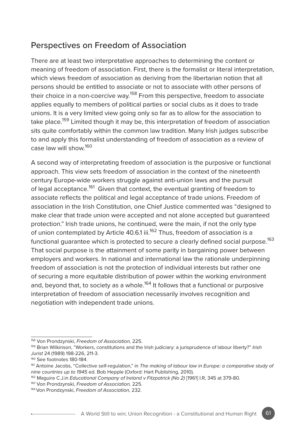# Perspectives on Freedom of Association

There are at least two interpretative approaches to determining the content or meaning of freedom of association. First, there is the formalist or literal interpretation, which views freedom of association as deriving from the libertarian notion that all persons should be entitled to associate or not to associate with other persons of their choice in a non-coercive way.<sup>158</sup> From this perspective, freedom to associate applies equally to members of political parties or social clubs as it does to trade unions. It is a very limited view going only so far as to allow for the association to take place.<sup>159</sup> Limited though it may be, this interpretation of freedom of association sits quite comfortably within the common law tradition. Many Irish judges subscribe to and apply this formalist understanding of freedom of association as a review of case law will show.160

A second way of interpretating freedom of association is the purposive or functional approach. This view sets freedom of association in the context of the nineteenth century Europe-wide workers struggle against anti-union laws and the pursuit of legal acceptance.<sup>161</sup> Given that context, the eventual granting of freedom to associate reflects the political and legal acceptance of trade unions. Freedom of association in the Irish Constitution, one Chief Justice commented was "designed to make clear that trade union were accepted and not alone accepted but guaranteed protection." Irish trade unions, he continued, were the main, if not the only type of union contemplated by Article 40.6.1 iii.<sup>162</sup> Thus, freedom of association is a functional guarantee which is protected to secure a clearly defined social purpose.<sup>163</sup> That social purpose is the attainment of some parity in bargaining power between employers and workers. In national and international law the rationale underpinning freedom of association is not the protection of individual interests but rather one of securing a more equitable distribution of power within the working environment and, beyond that, to society as a whole.<sup>164</sup> It follows that a functional or purposive interpretation of freedom of association necessarily involves recognition and negotiation with independent trade unions.

<sup>158</sup> Von Prondzynski, *Freedom of Association,* 225.

<sup>159</sup> Brian Wilkinson, "Workers, constitutions and the Irish judiciary: a jurisprudence of labour liberty?" *Irish Jurist* 24 (1989) 198-226, 211-3.

<sup>160</sup> See footnotes 180-184.

<sup>&</sup>lt;sup>161</sup> Antoine Jacobs, "Collective self-regulation," in The making of labour law in Europe: a comparative study of *nine countries up to 1945* ed. Bob Hepple (Oxford: Hart Publishing, 2010).

<sup>162</sup> Maguire C.J.in *Educational Company of Ireland v Fitzpatrick (No 2)* [1961] I.R, 345 at 379-80.

<sup>163</sup> Von Prondzynski, *Freedom of Association,* 225.

<sup>164</sup> Von Prondzynski, *Freedom of Association,* 232.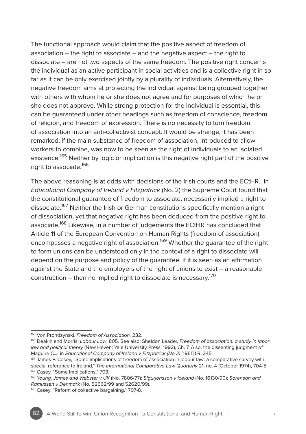The functional approach would claim that the positive aspect of freedom of association  $-$  the right to associate  $-$  and the negative aspect  $-$  the right to dissociate – are not two aspects of the same freedom. The positive right concerns the individual as an active participant in social activities and is a collective right in so far as it can be only exercised jointly by a plurality of individuals. Alternatively, the negative freedom aims at protecting the individual against being grouped together with others with whom he or she does not agree and for purposes of which he or she does not approve. While strong protection for the individual is essential, this can be guaranteed under other headings such as freedom of conscience, freedom of religion, and freedom of expression. There is no necessity to turn freedom of association into an anti-collectivist concept. It would be strange, it has been remarked, if the main substance of freedom of association, introduced to allow workers to combine, was now to be seen as the right of individuals to an isolated existence.<sup>165</sup> Neither by logic or implication is this negative right part of the positive right to associate 166

The above reasoning is at odds with decisions of the Irish courts and the ECtHR. In *Educational Company of Ireland v Fitzpatrick* (No. 2) the Supreme Court found that the constitutional guarantee of freedom to associate, necessarily implied a right to dissociate.<sup>167</sup> Neither the Irish or German constitutions specifically mention a right of dissociation, yet that negative right has been deduced from the positive right to associate.<sup>168</sup> Likewise, in a number of judgements the ECtHR has concluded that Article 11 of the European Convention on Human Rights (freedom of association) encompasses a negative right of association.<sup>169</sup> Whether the guarantee of the right to form unions can be understood only in the context of a right to dissociate will depend on the purpose and policy of the guarantee. If it is seen as an affirmation against the State and the employers of the right of unions to exist – a reasonable construction – then no implied right to dissociate is necessary.<sup>170</sup>

<sup>165</sup> Von Prondzynski, *Freedom of Association,* 232.

<sup>166</sup> Deakin and Morris, *Labour Law*, 805. See also: Sheldon Leader, *Freedom of association: a study in labor law and political theory* (New Haven: Yale University Press, 1992), Ch. 7. Also, the dissenting judgment of Maguire C.J. in *Educational Company of Ireland v Fitzpatrick (No 2)* [1961] I.R, 345.

<sup>&</sup>lt;sup>167</sup> James P. Casey, "Some implications of freedom of association in labour law: a comparative survey with special reference to Ireland," *The International Comparative Law Quarterly* 21, no. 4 (October 1974), 704-5. 168 Casey, "Some implications," 703.

<sup>169</sup> *Young, James and Webster v UK* (No. 7806/77); *Sigurjonsson v Iceland* (No. 16130/90); *Sorenson and Ramussen v Denmark* (No. 52562/99 and 52620/99).

<sup>170</sup> Casey, "Reform of collective bargaining," 707-8.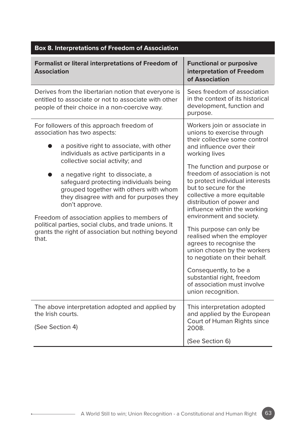| <b>Box 8. Interpretations of Freedom of Association</b>                                                                                                                                                                                                                                                                                                                                                                                                                                                                                                             |                                                                                                                                                                                                                                                                                                                                                                                                                                                                                                                                                                                                                                                               |  |  |  |
|---------------------------------------------------------------------------------------------------------------------------------------------------------------------------------------------------------------------------------------------------------------------------------------------------------------------------------------------------------------------------------------------------------------------------------------------------------------------------------------------------------------------------------------------------------------------|---------------------------------------------------------------------------------------------------------------------------------------------------------------------------------------------------------------------------------------------------------------------------------------------------------------------------------------------------------------------------------------------------------------------------------------------------------------------------------------------------------------------------------------------------------------------------------------------------------------------------------------------------------------|--|--|--|
| <b>Formalist or literal interpretations of Freedom of</b><br><b>Association</b>                                                                                                                                                                                                                                                                                                                                                                                                                                                                                     | <b>Functional or purposive</b><br>interpretation of Freedom<br>of Association                                                                                                                                                                                                                                                                                                                                                                                                                                                                                                                                                                                 |  |  |  |
| Derives from the libertarian notion that everyone is<br>entitled to associate or not to associate with other<br>people of their choice in a non-coercive way.                                                                                                                                                                                                                                                                                                                                                                                                       | Sees freedom of association<br>in the context of its historical<br>development, function and<br>purpose.                                                                                                                                                                                                                                                                                                                                                                                                                                                                                                                                                      |  |  |  |
| For followers of this approach freedom of<br>association has two aspects:<br>a positive right to associate, with other<br>individuals as active participants in a<br>collective social activity; and<br>a negative right to dissociate, a<br>safeguard protecting individuals being<br>grouped together with others with whom<br>they disagree with and for purposes they<br>don't approve.<br>Freedom of association applies to members of<br>political parties, social clubs, and trade unions. It<br>grants the right of association but nothing beyond<br>that. | Workers join or associate in<br>unions to exercise through<br>their collective some control<br>and influence over their<br>working lives<br>The function and purpose or<br>freedom of association is not<br>to protect individual interests<br>but to secure for the<br>collective a more equitable<br>distribution of power and<br>influence within the working<br>environment and society.<br>This purpose can only be<br>realised when the employer<br>agrees to recognise the<br>union chosen by the workers<br>to negotiate on their behalf.<br>Consequently, to be a<br>substantial right, freedom<br>of association must involve<br>union recognition. |  |  |  |
| The above interpretation adopted and applied by<br>the Irish courts.<br>(See Section 4)                                                                                                                                                                                                                                                                                                                                                                                                                                                                             | This interpretation adopted<br>and applied by the European<br>Court of Human Rights since<br>2008.                                                                                                                                                                                                                                                                                                                                                                                                                                                                                                                                                            |  |  |  |
|                                                                                                                                                                                                                                                                                                                                                                                                                                                                                                                                                                     | (See Section 6)                                                                                                                                                                                                                                                                                                                                                                                                                                                                                                                                                                                                                                               |  |  |  |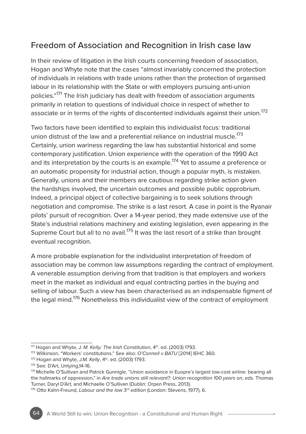# Freedom of Association and Recognition in Irish case law

In their review of litigation in the Irish courts concerning freedom of association, Hogan and Whyte note that the cases "almost invariably concerned the protection of individuals in relations with trade unions rather than the protection of organised labour in its relationship with the State or with employers pursuing anti-union policies."171 The Irish judiciary has dealt with freedom of association arguments primarily in relation to questions of individual choice in respect of whether to associate or in terms of the rights of discontented individuals against their union.<sup>172</sup>

Two factors have been identified to explain this individualist focus: traditional union distrust of the law and a preferential reliance on industrial muscle.<sup>173</sup> Certainly, union wariness regarding the law has substantial historical and some contemporary justification. Union experience with the operation of the 1990 Act and its interpretation by the courts is an example.<sup>174</sup> Yet to assume a preference or an automatic propensity for industrial action, though a popular myth, is mistaken. Generally, unions and their members are cautious regarding strike action given the hardships involved, the uncertain outcomes and possible public opprobrium. Indeed, a principal object of collective bargaining is to seek solutions through negotiation and compromise. The strike is a last resort. A case in point is the Ryanair pilots' pursuit of recognition. Over a 14-year period, they made extensive use of the State's industrial relations machinery and existing legislation, even appearing in the Supreme Court but all to no avail.<sup>175</sup> It was the last resort of a strike than brought eventual recognition.

A more probable explanation for the individualist interpretation of freedom of association may be common law assumptions regarding the contract of employment. A venerable assumption deriving from that tradition is that employers and workers meet in the market as individual and equal contracting parties in the buying and selling of labour. Such a view has been characterised as an indispensable figment of the legal mind.<sup>176</sup> Nonetheless this individualist view of the contract of employment

<sup>171</sup> Hogan and Whyte, *J. M. Kelly; The Irish Constitution*, 4<sup>th</sup>. ed. (2003) 1793.

<sup>172</sup> Wilkinson, "Workers' constitutions." See also: *O'Connell v BATU* [2014] IEHC 360.

<sup>173</sup> Hogan and Whyte, *J.M. Kelly*, 4th. ed. (2003) 1793.

<sup>174</sup> See: D'Art, Untying,14-16.

<sup>175</sup> Michelle O'Sullivan and Patrick Gunnigle, "Union avoidance in Euopre's largest low-cost airline: bearing all the hallmarks of oppression," in *Are trade unions still relevant?: Union recognition 100 years on*, eds. Thomas Turner, Daryl D'Art, and Michaelle O'Sullivan (Dublin: Orpen Press, 2013).

<sup>176</sup> Otto Kahn-Freund, *Labour and the law* 3<sup>rd</sup> edition (London: Stevens, 1977), 6.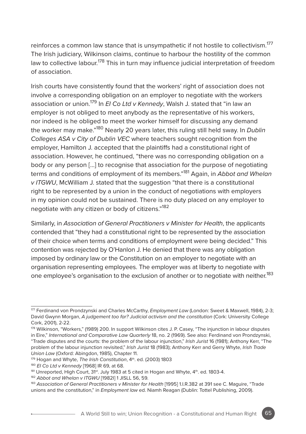reinforces a common law stance that is unsympathetic if not hostile to collectivism.<sup>177</sup> The Irish judiciary, Wilkinson claims, continue to harbour the hostility of the common law to collective labour.<sup>178</sup> This in turn may influence judicial interpretation of freedom of association.

Irish courts have consistently found that the workers' right of association does not involve a corresponding obligation on an employer to negotiate with the workers association or union.179 In *EI Co Ltd v Kennedy*, Walsh J. stated that "in law an employer is not obliged to meet anybody as the representative of his workers, nor indeed is he obliged to meet the worker himself for discussing any demand the worker may make."180 Nearly 20 years later, this ruling still held sway. In *Dublin Colleges ASA v City of Dublin VEC* where teachers sought recognition from the employer, Hamilton J. accepted that the plaintiffs had a constitutional right of association. However, he continued, "there was no corresponding obligation on a body or any person […] to recognise that association for the purpose of negotiating terms and conditions of employment of its members."181 Again, in *Abbot and Whelan v ITGWU*, McWilliam J. stated that the suggestion "that there is a constitutional right to be represented by a union in the conduct of negotiations with employers in my opinion could not be sustained. There is no duty placed on any employer to negotiate with any citizen or body of citizens."<sup>182</sup>

Similarly, in *Association of General Practitioners v Minister for Health*, the applicants contended that "they had a constitutional right to be represented by the association of their choice when terms and conditions of employment were being decided." This contention was rejected by O'Hanlon J. He denied that there was any obligation imposed by ordinary law or the Constitution on an employer to negotiate with an organisation representing employees. The employer was at liberty to negotiate with one employee's organisation to the exclusion of another or to negotiate with neither.<sup>183</sup>

<sup>177</sup> Ferdinand von Prondzynski and Charles McCarthy, *Employment Law* (London: Sweet & Maxwell, 1984), 2-3; David Gwynn Morgan, *A judgement too far? Judicial activism and the constitution* (Cork: University College Cork, 2001), 2-22.

<sup>178</sup> Wilkinson, "Workers," (1989) 200. In support Wilkinson cites J. P. Casey, "The injunction in labour disputes in Eire," *International and Comparative Law Quarterly* 18, no. 2 (1969). See also: Ferdinand von Prondzynski, "Trade disputes and the courts: the problem of the labour injunction," *Irish Jurist* 16 (1981); Anthony Kerr, "The problem of the labour injunction revisited," *Irish Jurist* 18 (1983); Anthony Kerr and Gerry Whyte, *Irish Trade* 

<sup>179</sup> Hogan and Whyte, *The Irish Constitution*, 4<sup>th</sup>. ed. (2003) 1803

<sup>180</sup> *EI Co Ltd v Kennedy* [1968] IR 69, at 68.

 $181$  Unreported, High Court,  $31^{st}$ , July 1983 at 5 cited in Hogan and Whyte,  $4^{th}$ , ed. 1803-4.

<sup>182</sup> *Abbot and Whelan v ITGWU* [1982I] 1 JISLL 56, 59.

<sup>&</sup>lt;sup>183</sup> Association of General Practitioners v Minister for Health [1995] 1.I.R.382 at 391 see C. Maguire, "Trade unions and the constitution," in *Employment law* ed. Niamh Reagan (Dublin: Tottel Publishing, 2009).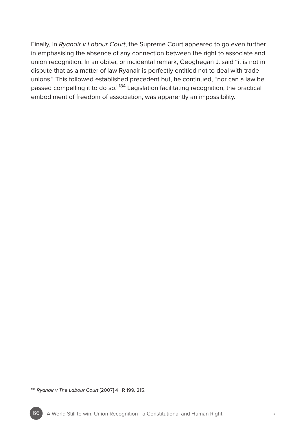Finally, in *Ryanair v Labour Court*, the Supreme Court appeared to go even further in emphasising the absence of any connection between the right to associate and union recognition. In an obiter, or incidental remark, Geoghegan J. said "it is not in dispute that as a matter of law Ryanair is perfectly entitled not to deal with trade unions." This followed established precedent but, he continued, "nor can a law be passed compelling it to do so."<sup>184</sup> Legislation facilitating recognition, the practical embodiment of freedom of association, was apparently an impossibility.

<sup>184</sup> *Ryanair v The Labour Court* [2007] 4 I R 199, 215.

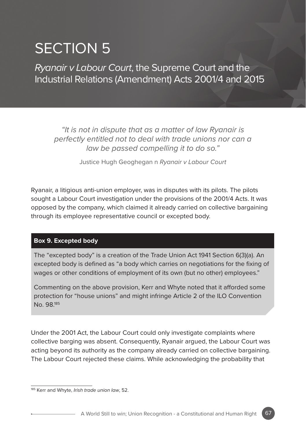# SECTION 5

*Ryanair v Labour Court*, the Supreme Court and the Industrial Relations (Amendment) Acts 2001/4 and 2015

*"It is not in dispute that as a matter of law Ryanair is perfectly entitled not to deal with trade unions nor can a law be passed compelling it to do so."*

Justice Hugh Geoghegan n *Ryanair v Labour Court*

Ryanair, a litigious anti-union employer, was in disputes with its pilots. The pilots sought a Labour Court investigation under the provisions of the 2001/4 Acts. It was opposed by the company, which claimed it already carried on collective bargaining through its employee representative council or excepted body.

#### **Box 9. Excepted body**

The "excepted body" is a creation of the Trade Union Act 1941 Section 6(3)(a). An excepted body is defined as "a body which carries on negotiations for the fixing of wages or other conditions of employment of its own (but no other) employees."

Commenting on the above provision, Kerr and Whyte noted that it afforded some protection for "house unions" and might infringe Article 2 of the ILO Convention No. 98.185

Under the 2001 Act, the Labour Court could only investigate complaints where collective barging was absent. Consequently, Ryanair argued, the Labour Court was acting beyond its authority as the company already carried on collective bargaining. The Labour Court rejected these claims. While acknowledging the probability that

<sup>185</sup> Kerr and Whyte, *Irish trade union law*, 52.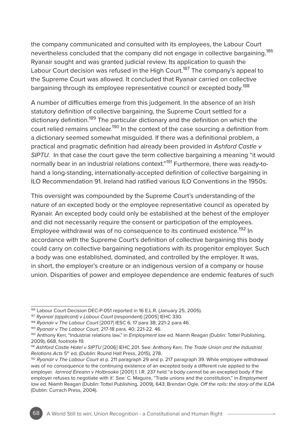the company communicated and consulted with its employees, the Labour Court nevertheless concluded that the company did not engage in collective bargaining.<sup>186</sup> Ryanair sought and was granted judicial review. Its application to quash the Labour Court decision was refused in the High Court.<sup>187</sup> The company's appeal to the Supreme Court was allowed. It concluded that Ryanair carried on collective bargaining through its employee representative council or excepted body.<sup>188</sup>

A number of difficulties emerge from this judgement. In the absence of an Irish statutory definition of collective bargaining, the Supreme Court settled for a dictionary definition.189 The particular dictionary and the definition on which the court relied remains unclear.<sup>190</sup> In the context of the case sourcing a definition from a dictionary seemed somewhat misguided. If there was a definitional problem, a practical and pragmatic definition had already been provided in *Ashford Castle v SIPTU*. In that case the court gave the term collective bargaining a meaning "it would normally bear in an industrial relations context."<sup>191</sup> Furthermore, there was ready-tohand a long-standing, internationally-accepted definition of collective bargaining in ILO Recommendation 91. Ireland had ratified various ILO Conventions in the 1950s.

This oversight was compounded by the Supreme Court's understanding of the nature of an excepted body or the employee representative council as operated by Ryanair. An excepted body could only be established at the behest of the employer and did not necessarily require the consent or participation of the employees. Employee withdrawal was of no consequence to its continued existence.<sup>192</sup> In accordance with the Supreme Court's definition of collective bargaining this body could carry on collective bargaining negotiations with its progenitor employer. Such a body was one established, dominated, and controlled by the employer. It was, in short, the employer's creature or an indigenous version of a company or house union. Disparities of power and employee dependence are endemic features of such

<sup>186</sup> Labour Court Decision DEC-P-051 reported in 16 E.L.R. (January 25, 2005).

<sup>187</sup> *Ryanair (applicant) v Labour Court* (respondent) [2005] IEHC 330.

<sup>188</sup> *Ryanair v The Labour Court* [2007] IESC 6, 17 para 38; 221-2 para 46.

<sup>189</sup> *Ryanair v The Labour Court*, 217-18 para. 40; 221-22. 46.

<sup>190</sup> Anthony Kerr, "Industrial relations law," in *Employment law* ed. Niamh Reagan (Dublin: Tottel Publishing, 2009), 668, footnote 19.

<sup>191</sup> *Ashford Castle Hotel v SIPTU* [2006] IEHC 201. See: Anthony Kerr, *The Trade Union and the Industrial Relations Acts* 5th ed. (Dublin: Round Hall Press, 2015), 278.

<sup>192</sup> *Ryanair v The Labour Court* at p. 211 paragraph 29 and p. 217 paragraph 39. While employee withdrawal was of no consequence to the continuing existence of an excepted body a different rule applied to the employer. *Iarnrod Eireann v Holbrooke* [2001] 1. I.R. 237 held "a body cannot be an excepted body if the employer refuses to negotiate with it'. See: C. Maguire, "Trade unions and the constitution," in *Employment law* ed. Niamh Reagan (Dublin: Tottel Publishing, 2009), 643; Brendan Ogle, *Off the rails: the story of the ILDA* (Dublin: Currach Press, 2004).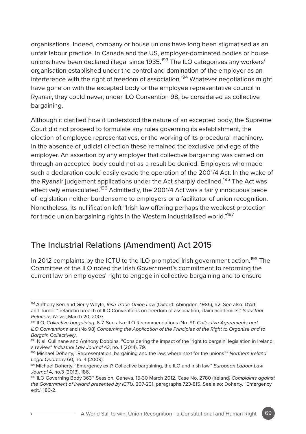organisations. Indeed, company or house unions have long been stigmatised as an unfair labour practice. In Canada and the US, employer-dominated bodies or house unions have been declared illegal since 1935.<sup>193</sup> The ILO categorises any workers' organisation established under the control and domination of the employer as an interference with the right of freedom of association.<sup>194</sup> Whatever negotiations might have gone on with the excepted body or the employee representative council in Ryanair, they could never, under ILO Convention 98, be considered as collective bargaining.

Although it clarified how it understood the nature of an excepted body, the Supreme Court did not proceed to formulate any rules governing its establishment, the election of employee representatives, or the working of its procedural machinery. In the absence of judicial direction these remained the exclusive privilege of the employer. An assertion by any employer that collective bargaining was carried on through an accepted body could not as a result be denied. Employers who made such a declaration could easily evade the operation of the 2001/4 Act. In the wake of the Ryanair judgement applications under the Act sharply declined.<sup>195</sup> The Act was effectively emasculated.<sup>196</sup> Admittedly, the 2001/4 Act was a fairly innocuous piece of legislation neither burdensome to employers or a facilitator of union recognition. Nonetheless, its nullification left "Irish law offering perhaps the weakest protection for trade union bargaining rights in the Western industrialised world."<sup>197</sup>

# The Industrial Relations (Amendment) Act 2015

In 2012 complaints by the ICTU to the ILO prompted Irish government action.<sup>198</sup> The Committee of the ILO noted the Irish Government's commitment to reforming the current law on employees' right to engage in collective bargaining and to ensure

<sup>193</sup> Anthony Kerr and Gerry Whyte, *Irish Trade Union Law* (Oxford: Abingdon, 1985), 52. See also: D'Art and Turner "Ireland in breach of ILO Conventions on freedom of association, claim academics," *Industrial Relations News*, March 20, 2007.

<sup>194</sup> ILO, *Collective bargaining*, 6-7. See also: ILO Recommendations (No. 91) *Collective Agreements and ILO Conventions* and (No 98) *Concerning the Application of the Principles of the Right to Organise and to Bargain Collectively*.

<sup>195</sup> Niall Cullinane and Anthony Dobbins, "Considering the impact of the 'right to bargain' legislation in Ireland: a review," *Industrial Law Journal* 43, no. 1 (2014), 79.

<sup>196</sup> Michael Doherty, "Representation, bargaining and the law: where next for the unions?" *Northern Ireland Legal Quarterly* 60, no. 4 (2009).

<sup>197</sup> Michael Doherty, "Emergency exit? Collective bargaining, the ILO and Irish law," *European Labour Law Journal* 4, no.3 (2013), 186.

<sup>198</sup> ILO Governing Body 363rd Session, Geneva, 15-30 March 2012, Case No. 2780 (Ireland*) Complaints against the Government of Ireland presented by ICTU,* 207-231, paragraphs 723-815. See also: Doherty, "Emergency exit," 180-2.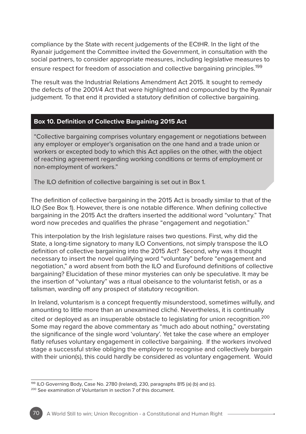compliance by the State with recent judgements of the ECtHR. In the light of the Ryanair judgement the Committee invited the Government, in consultation with the social partners, to consider appropriate measures, including legislative measures to ensure respect for freedom of association and collective bargaining principles.<sup>199</sup>

The result was the Industrial Relations Amendment Act 2015. It sought to remedy the defects of the 2001/4 Act that were highlighted and compounded by the Ryanair judgement. To that end it provided a statutory definition of collective bargaining.

#### **Box 10. Definition of Collective Bargaining 2015 Act**

"Collective bargaining comprises voluntary engagement or negotiations between any employer or employer's organisation on the one hand and a trade union or workers or excepted body to which this Act applies on the other, with the object of reaching agreement regarding working conditions or terms of employment or non-employment of workers."

The ILO definition of collective bargaining is set out in Box 1.

The definition of collective bargaining in the 2015 Act is broadly similar to that of the ILO (See Box 1). However, there is one notable difference. When defining collective bargaining in the 2015 Act the drafters inserted the additional word "voluntary." That word now precedes and qualifies the phrase "engagement and negotiation."

This interpolation by the Irish legislature raises two questions. First, why did the State, a long-time signatory to many ILO Conventions, not simply transpose the ILO definition of collective bargaining into the 2015 Act? Second, why was it thought necessary to insert the novel qualifying word "voluntary" before "engagement and negotiation," a word absent from both the ILO and Eurofound definitions of collective bargaining? Elucidation of these minor mysteries can only be speculative. It may be the insertion of "voluntary" was a ritual obeisance to the voluntarist fetish, or as a talisman, warding off any prospect of statutory recognition.

In Ireland, voluntarism is a concept frequently misunderstood, sometimes wilfully, and amounting to little more than an unexamined cliché. Nevertheless, it is continually cited or deployed as an insuperable obstacle to legislating for union recognition.<sup>200</sup> Some may regard the above commentary as "much ado about nothing," overstating the significance of the single word 'voluntary'. Yet take the case where an employer flatly refuses voluntary engagement in collective bargaining. If the workers involved stage a successful strike obliging the employer to recognise and collectively bargain with their union(s), this could hardly be considered as voluntary engagement. Would

<sup>199</sup> ILO Governing Body, Case No. 2780 (Ireland), 230, paragraphs 815 (a) (b) and (c).

<sup>200</sup> See examination of Voluntarism in section 7 of this document.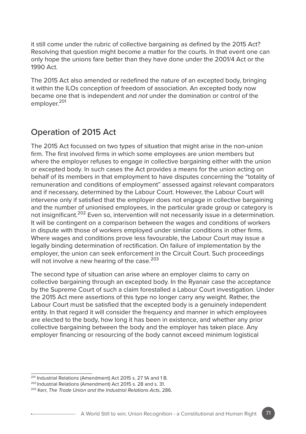it still come under the rubric of collective bargaining as defined by the 2015 Act? Resolving that question might become a matter for the courts. In that event one can only hope the unions fare better than they have done under the 2001/4 Act or the 1990 Act.

The 2015 Act also amended or redefined the nature of an excepted body, bringing it within the ILOs conception of freedom of association. An excepted body now became one that is independent and *not* under the domination or control of the employer.<sup>201</sup>

## Operation of 2015 Act

The 2015 Act focussed on two types of situation that might arise in the non-union firm. The first involved firms in which some employees are union members but where the employer refuses to engage in collective bargaining either with the union or excepted body. In such cases the Act provides a means for the union acting on behalf of its members in that employment to have disputes concerning the "totality of remuneration and conditions of employment" assessed against relevant comparators and if necessary, determined by the Labour Court. However, the Labour Court will intervene only if satisfied that the employer does not engage in collective bargaining and the number of unionised employees, in the particular grade group or category is not insignificant.<sup>202</sup> Even so, intervention will not necessarily issue in a determination. It will be contingent on a comparison between the wages and conditions of workers in dispute with those of workers employed under similar conditions in other firms. Where wages and conditions prove less favourable, the Labour Court may issue a legally binding determination of rectification. On failure of implementation by the employer, the union can seek enforcement in the Circuit Court. Such proceedings will not involve a new hearing of the case.<sup>203</sup>

The second type of situation can arise where an employer claims to carry on collective bargaining through an excepted body. In the Ryanair case the acceptance by the Supreme Court of such a claim forestalled a Labour Court investigation. Under the 2015 Act mere assertions of this type no longer carry any weight. Rather, the Labour Court must be satisfied that the excepted body is a genuinely independent entity. In that regard it will consider the frequency and manner in which employees are elected to the body, how long it has been in existence, and whether any prior collective bargaining between the body and the employer has taken place. Any employer financing or resourcing of the body cannot exceed minimum logistical

<sup>201</sup> Industrial Relations (Amendment) Act 2015 s. 27 1A and 1 B.

<sup>202</sup> Industrial Relations (Amendment) Act 2015 s. 28 and s. 31.

<sup>203</sup> Kerr, *The Trade Union and the Industrial Relations Acts*, 286.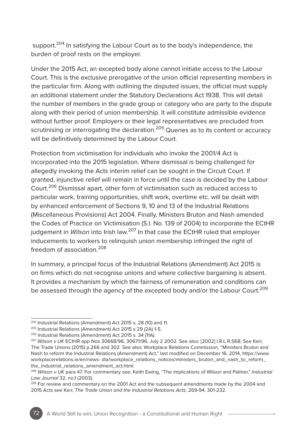support.<sup>204</sup> In satisfying the Labour Court as to the body's independence, the burden of proof rests on the employer.

Under the 2015 Act, an excepted body alone cannot initiate access to the Labour Court. This is the exclusive prerogative of the union official representing members in the particular firm. Along with outlining the disputed issues, the official must supply an additional statement under the Statutory Declarations Act 1938. This will detail the number of members in the grade group or category who are party to the dispute along with their period of union membership. It will constitute admissible evidence without further proof. Employers or their legal representatives are precluded from scrutinising or interrogating the declaration.<sup>205</sup> Queries as to its content or accuracy will be definitively determined by the Labour Court.

Protection from victimisation for individuals who invoke the 2001/4 Act is incorporated into the 2015 legislation. Where dismissal is being challenged for allegedly invoking the Acts interim relief can be sought in the Circuit Court. If granted, injunctive relief will remain in force until the case is decided by the Labour Court.206 Dismissal apart, other form of victimisation such as reduced access to particular work, training opportunities, shift work, overtime etc. will be dealt with by enhanced enforcement of Sections 9, 10 and 13 of the Industrial Relations (Miscellaneous Provisions) Act 2004. Finally, Ministers Bruton and Nash amended the Codes of Practice on Victimisation (S.I. No. 139 of 2004) to incorporate the ECtHR judgement in *Wilson* into Irish law.207 In that case the ECtHR ruled that employer inducements to workers to relinquish union membership infringed the right of freedom of association.208

In summary, a principal focus of the Industrial Relations (Amendment) Act 2015 is on firms which do not recognise unions and where collective bargaining is absent. It provides a mechanism by which the fairness of remuneration and conditions can be assessed through the agency of the excepted body and/or the Labour Court.<sup>209</sup>

<sup>204</sup> Industrial Relations (Amendment) Act 2015 s, 28 (10) and 11.

<sup>205</sup> Industrial Relations (Amendment) Act 2015 s 29 (2A) 1-5.

<sup>206</sup> Industrial Relations (Amendment) Act 2015 s. 34 (11A).

<sup>207</sup> *Wilson v UK* ECtHR app Nos 30668/96, 30671/96, July 2 2002. See also: [2002] I.R.L.R.568; See Kerr, The Trade Unions (2015) p.266 and 302. See also: Workplace Relations Commission, "Ministers Bruton and Nash to reform the Industrial Relations (Amendment) Act," last modified on December 16, 2014, https://www. workplacerelations.ie/en/news- dia/workplace\_relations\_notices/ministers\_bruton\_and\_nash\_to\_reform\_ the\_industrial\_relations\_amendment\_act.html.

<sup>208</sup> *Wilson v UK* para 47. For commentary see: Keith Ewing, "The implications of Wilson and Palmer," *Industrial Law Journal* 32, no.1 (2003).

<sup>&</sup>lt;sup>209</sup> For review and commentary on the 2001 Act and the subsequent amendments made by the 2004 and 2015 Acts see Kerr, *The Trade Union and the Industrial Relations Acts*, 269-94, 301-232.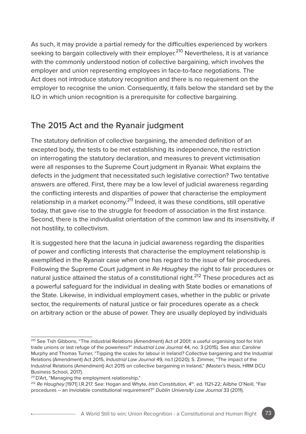As such, it may provide a partial remedy for the difficulties experienced by workers seeking to bargain collectively with their employer.<sup>210</sup> Nevertheless, it is at variance with the commonly understood notion of collective bargaining, which involves the employer and union representing employees in face-to-face negotiations. The Act does not introduce statutory recognition and there is no requirement on the employer to recognise the union. Consequently, it falls below the standard set by the ILO in which union recognition is a prerequisite for collective bargaining.

# The 2015 Act and the Ryanair judgment

The statutory definition of collective bargaining, the amended definition of an excepted body, the tests to be met establishing its independence, the restriction on interrogating the statutory declaration, and measures to prevent victimisation were all responses to the Supreme Court judgment in Ryanair. What explains the defects in the judgment that necessitated such legislative correction? Two tentative answers are offered. First, there may be a low level of judicial awareness regarding the conflicting interests and disparities of power that characterise the employment relationship in a market economy.<sup>211</sup> Indeed, it was these conditions, still operative today, that gave rise to the struggle for freedom of association in the first instance. Second, there is the individualist orientation of the common law and its insensitivity, if not hostility, to collectivism.

It is suggested here that the lacuna in judicial awareness regarding the disparities of power and conflicting interests that characterise the employment relationship is exemplified in the Ryanair case when one has regard to the issue of fair procedures. Following the Supreme Court judgment in *Re Haughey* the right to fair procedures or natural justice attained the status of a constitutional right.<sup>212</sup> These procedures act as a powerful safeguard for the individual in dealing with State bodies or emanations of the State. Likewise, in individual employment cases, whether in the public or private sector, the requirements of natural justice or fair procedures operate as a check on arbitrary action or the abuse of power. They are usually deployed by individuals

<sup>210</sup> See Tish Gibbons, "The industrial Relations (Amendment) Act of 2001: a useful organising tool for Irish trade unions or last refuge of the powerless?" *Industrial Law Journal* 44, no. 3 (2015). See also: Caroline Murphy and Thomas Turner, "Tipping the scales for labour in Ireland? Collective bargaining and the Industrial Relations (Amendment) Act 2015, *Industrial Law Journal* 49, no.1 (2020); S. Zimmer, "The impact of the Industrial Relations (Amendment) Act 2015 on collective bargaining in Ireland," (Master's thesis, HRM DCU Business School, 2017).

<sup>&</sup>lt;sup>211</sup> D'Art, "Managing the employment relationship."

<sup>&</sup>lt;sup>212</sup> Re Haughey [1971] I.R.217. See: Hogan and Whyte, *Irish Constitution*, 4th. ed. 1121-22; Ailbhe O'Neill, "Fair procedures – an inviolable constitutional requirement?" *Dublin University Law Journal* 33 (2011).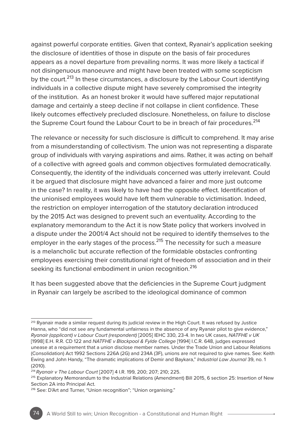against powerful corporate entities. Given that context, Ryanair's application seeking the disclosure of identities of those in dispute on the basis of fair procedures appears as a novel departure from prevailing norms. It was more likely a tactical if not disingenuous manoeuvre and might have been treated with some scepticism by the court.<sup>213</sup> In these circumstances, a disclosure by the Labour Court identifying individuals in a collective dispute might have severely compromised the integrity of the institution. As an honest broker it would have suffered major reputational damage and certainly a steep decline if not collapse in client confidence. These likely outcomes effectively precluded disclosure. Nonetheless, on failure to disclose the Supreme Court found the Labour Court to be in breach of fair procedures.<sup>214</sup>

The relevance or necessity for such disclosure is difficult to comprehend. It may arise from a misunderstanding of collectivism. The union was not representing a disparate group of individuals with varying aspirations and aims. Rather, it was acting on behalf of a collective with agreed goals and common objectives formulated democratically. Consequently, the identity of the individuals concerned was utterly irrelevant. Could it be argued that disclosure might have advanced a fairer and more just outcome in the case? In reality, it was likely to have had the opposite effect. Identification of the unionised employees would have left them vulnerable to victimisation. Indeed, the restriction on employer interrogation of the statutory declaration introduced by the 2015 Act was designed to prevent such an eventuality. According to the explanatory memorandum to the Act it is now State policy that workers involved in a dispute under the 2001/4 Act should not be required to identify themselves to the employer in the early stages of the process.<sup>215</sup> The necessity for such a measure is a melancholic but accurate reflection of the formidable obstacles confronting employees exercising their constitutional right of freedom of association and in their seeking its functional embodiment in union recognition.<sup>216</sup>

It has been suggested above that the deficiencies in the Supreme Court judgment in Ryanair can largely be ascribed to the ideological dominance of common

<sup>&</sup>lt;sup>213</sup> Ryanair made a similar request during its judicial review in the High Court. It was refused by Justice Hanna, who "did not see any fundamental unfairness in the absence of any Ryanair pilot to give evidence," *Ryanair (applicant) v Labour Court (respondent)* [2005] IEHC 330, 23-4. In two UK cases, *NATFHE v UK* [1998] E.H. R.R. CD 122 and *NATFHE v Blackpool & Fylde College* [1994] I.C.R. 648, judges expressed unease at a requirement that a union disclose member names. Under the Trade Union and Labour Relations (Consolidation) Act 1992 Sections 226A (2G) and 234A (3F), unions are not required to give names. See: Keith Ewing and John Handy, "The dramatic implications of Demir and Baykara," *Industrial Law Journal* 39, no. 1 (2010).

<sup>214</sup>*Ryanair v The Labour Court* [2007] 4 I.R. 199, 200; 207; 210; 225.

<sup>215</sup> Explanatory Memorandum to the Industrial Relations (Amendment) Bill 2015, 6 section 25: Insertion of New Section 2A into Principal Act.

<sup>216</sup> See: D'Art and Turner, "Union recognition"; "Union organising."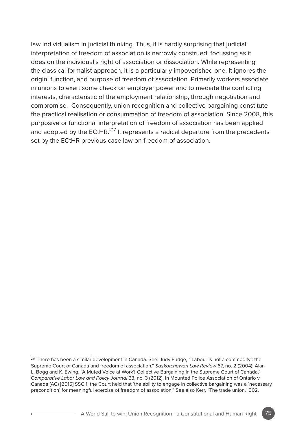law individualism in judicial thinking. Thus, it is hardly surprising that judicial interpretation of freedom of association is narrowly construed, focussing as it does on the individual's right of association or dissociation. While representing the classical formalist approach, it is a particularly impoverished one. It ignores the origin, function, and purpose of freedom of association. Primarily workers associate in unions to exert some check on employer power and to mediate the conflicting interests, characteristic of the employment relationship, through negotiation and compromise. Consequently, union recognition and collective bargaining constitute the practical realisation or consummation of freedom of association. Since 2008, this purposive or functional interpretation of freedom of association has been applied and adopted by the ECtHR.<sup>217</sup> It represents a radical departure from the precedents set by the ECtHR previous case law on freedom of association.

<sup>&</sup>lt;sup>217</sup> There has been a similar development in Canada. See: Judy Fudge, "'Labour is not a commodity': the Supreme Court of Canada and freedom of association," *Saskatchewan Law Review* 67, no. 2 (2004); Alan L. Bogg and K. Ewing, "A Muted Voice at Work? Collective Bargaining in the Supreme Court of Canada," *Comparative Labor Law and Policy Journal* 33, no. 3 (2012). In Mounted Police Association of Ontario v Canada (AG) [2015] SSC 1, the Court held that 'the ability to engage in collective bargaining was a 'necessary precondition' for meaningful exercise of freedom of association." See also Kerr, "The trade union," 302.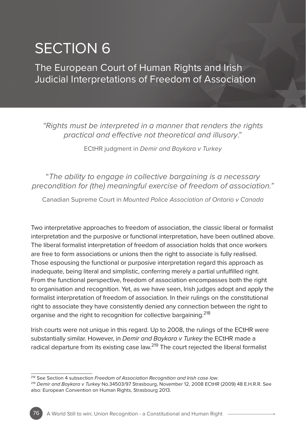# SECTION 6

The European Court of Human Rights and Irish Judicial Interpretations of Freedom of Association

*"Rights must be interpreted in a manner that renders the rights practical and effective not theoretical and illusory*."

ECtHR judgment in *Demir and Baykara v Turkey*

"*The ability to engage in collective bargaining is a necessary precondition for (the) meaningful exercise of freedom of association."*

Canadian Supreme Court in *Mounted Police Association of Ontario v Canada*

Two interpretative approaches to freedom of association, the classic liberal or formalist interpretation and the purposive or functional interpretation, have been outlined above. The liberal formalist interpretation of freedom of association holds that once workers are free to form associations or unions then the right to associate is fully realised. Those espousing the functional or purposive interpretation regard this approach as inadequate, being literal and simplistic, conferring merely a partial unfulfilled right. From the functional perspective, freedom of association encompasses both the right to organisation and recognition. Yet, as we have seen, Irish judges adopt and apply the formalist interpretation of freedom of association. In their rulings on the constitutional right to associate they have consistently denied any connection between the right to organise and the right to recognition for collective bargaining.<sup>218</sup>

Irish courts were not unique in this regard. Up to 2008, the rulings of the ECtHR were substantially similar. However, in *Demir and Baykara v Turkey* the ECtHR made a radical departure from its existing case law.<sup>219</sup> The court rejected the liberal formalist

<sup>218</sup> See Section 4 subsection *Freedom of Association Recognition and Irish case law*.

<sup>219</sup> *Demir and Baykara v Turkey* No.34503/97 Strasbourg, November 12, 2008 ECtHR (2009) 48 E.H.R.R. See also: European Convention on Human Rights, Strasbourg 2013.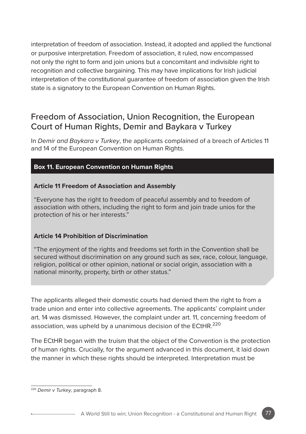interpretation of freedom of association. Instead, it adopted and applied the functional or purposive interpretation. Freedom of association, it ruled, now encompassed not only the right to form and join unions but a concomitant and indivisible right to recognition and collective bargaining. This may have implications for Irish judicial interpretation of the constitutional guarantee of freedom of association given the Irish state is a signatory to the European Convention on Human Rights.

## Freedom of Association, Union Recognition, the European Court of Human Rights, Demir and Baykara v Turkey

In *Demir and Baykara v Turkey*, the applicants complained of a breach of Articles 11 and 14 of the European Convention on Human Rights.

#### **Box 11. European Convention on Human Rights**

#### **Article 11 Freedom of Association and Assembly**

"Everyone has the right to freedom of peaceful assembly and to freedom of association with others, including the right to form and join trade unios for the protection of his or her interests."

#### **Article 14 Prohibition of Discrimination**

"The enjoyment of the rights and freedoms set forth in the Convention shall be secured without discrimination on any ground such as sex, race, colour, language, religion, political or other opinion, national or social origin, association with a national minority, property, birth or other status."

The applicants alleged their domestic courts had denied them the right to from a trade union and enter into collective agreements. The applicants' complaint under art. 14 was dismissed. However, the complaint under art. 11, concerning freedom of association, was upheld by a unanimous decision of the ECtHR.<sup>220</sup>

The ECtHR began with the truism that the object of the Convention is the protection of human rights. Crucially, for the argument advanced in this document, it laid down the manner in which these rights should be interpreted. Interpretation must be

<sup>220</sup> *Demir v Turkey*, paragraph 8.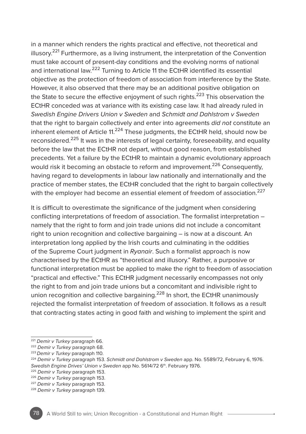in a manner which renders the rights practical and effective, not theoretical and illusory. $2^{21}$  Furthermore, as a living instrument, the interpretation of the Convention must take account of present-day conditions and the evolving norms of national and international law.<sup>222</sup> Turning to Article 11 the ECtHR identified its essential objective as the protection of freedom of association from interference by the State. However, it also observed that there may be an additional positive obligation on the State to secure the effective enjoyment of such rights.<sup>223</sup> This observation the ECtHR conceded was at variance with its existing case law. It had already ruled in *Swedish Engine Drivers Union v Sweden* and *Schmidt and Dahlstrom v Sweden* that the right to bargain collectively and enter into agreements *did not* constitute an inherent element of Article  $11.224$  These judgments, the ECtHR held, should now be reconsidered.225 It was in the interests of legal certainty, foreseeability, and equality before the law that the ECtHR not depart, without good reason, from established precedents. Yet a failure by the ECtHR to maintain a dynamic evolutionary approach would risk it becoming an obstacle to reform and improvement.<sup>226</sup> Consequently, having regard to developments in labour law nationally and internationally and the practice of member states, the ECtHR concluded that the right to bargain collectively with the employer had become an essential element of freedom of association.<sup>227</sup>

It is difficult to overestimate the significance of the judgment when considering conflicting interpretations of freedom of association. The formalist interpretation – namely that the right to form and join trade unions did not include a concomitant right to union recognition and collective bargaining – is now at a discount. An interpretation long applied by the Irish courts and culminating in the oddities of the Supreme Court judgment in *Ryanair*. Such a formalist approach is now characterised by the ECtHR as "theoretical and illusory." Rather, a purposive or functional interpretation must be applied to make the right to freedom of association "practical and effective." This ECtHR judgment necessarily encompasses not only the right to from and join trade unions but a concomitant and indivisible right to union recognition and collective bargaining.<sup>228</sup> In short, the ECtHR unanimously rejected the formalist interpretation of freedom of association. It follows as a result that contracting states acting in good faith and wishing to implement the spirit and

<sup>221</sup> *Demir v Turkey* paragraph 66.

<sup>222</sup> *Demir v Turkey* paragraph 68.

<sup>223</sup> *Demir v Turkey* paragraph 110.

<sup>224</sup> *Demir v Turkey* paragraph 153. *Schmidt and Dahlstrom v Sweden* app. No. 5589/72, February 6, 1976. *Swedish Engine Drives' Union v Sweden app No.* 5614/72 6<sup>th</sup>. February 1976.<br><sup>225</sup> Demir v Turkey paragraph 153.

<sup>226</sup> *Demir v Turkey* paragraph 153.

<sup>227</sup> *Demir v Turkey* paragraph 153.

<sup>228</sup> *Demir v Turkey* paragraph 139.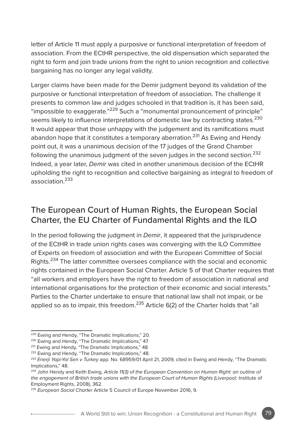letter of Article 11 must apply a purposive or functional interpretation of freedom of association. From the ECtHR perspective, the old dispensation which separated the right to form and join trade unions from the right to union recognition and collective bargaining has no longer any legal validity.

Larger claims have been made for the Demir judgment beyond its validation of the purposive or functional interpretation of freedom of association. The challenge it presents to common law and judges schooled in that tradition is, it has been said, "impossible to exaggerate."229 Such a "monumental pronouncement of principle" seems likely to influence interpretations of domestic law by contracting states.<sup>230</sup> It would appear that those unhappy with the judgement and its ramifications must abandon hope that it constitutes a temporary aberration.<sup>231</sup> As Ewing and Hendy point out, it was a unanimous decision of the 17 judges of the Grand Chamber following the unanimous judgment of the seven judges in the second section.<sup>232</sup> Indeed, a year later, *Demir* was cited in another unanimous decision of the ECtHR upholding the right to recognition and collective bargaining as integral to freedom of association<sup>233</sup>

# The European Court of Human Rights, the European Social Charter, the EU Charter of Fundamental Rights and the ILO

In the period following the judgment in *Demir*, it appeared that the jurisprudence of the ECtHR in trade union rights cases was converging with the ILO Committee of Experts on freedom of association and with the European Committee of Social Rights.<sup>234</sup> The latter committee oversees compliance with the social and economic rights contained in the European Social Charter. Article 5 of that Charter requires that "all workers and employers have the right to freedom of association in national and international organisations for the protection of their economic and social interests." Parties to the Charter undertake to ensure that national law shall not impair, or be applied so as to impair, this freedom.<sup>235</sup> Article 6(2) of the Charter holds that "all

<sup>229</sup> Ewing and Hendy, "The Dramatic Implications," 20.

<sup>230</sup> Ewing and Hendy, "The Dramatic Implications," 47

<sup>231</sup> Ewing and Hendy, "The Dramatic Implications," 48

<sup>&</sup>lt;sup>232</sup> Ewing and Hendy, "The Dramatic Implications," 48.

<sup>233</sup> *Enerji Yapi-Yol Sen v Turkey* app. No. 68959/01 April 21, 2009, cited in Ewing and Hendy, "The Dramatic Implications<sup>"</sup> 48

<sup>234</sup> John Hendy and Keith Ewing, *Article 11(3) of the European Convention on Human Right: an outline of the engagement of British trade unions with the European Court of Human Rights* (Liverpool: Institute of Employment Rights, 2008), 362.

<sup>235</sup> *European Social Charter* Article 5 Council of Europe November 2016, 9.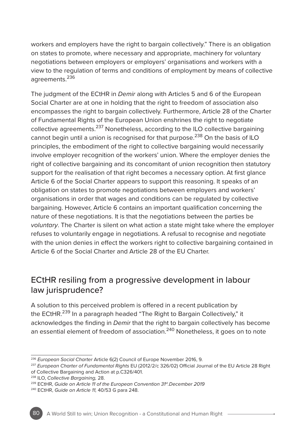workers and employers have the right to bargain collectively." There is an obligation on states to promote, where necessary and appropriate, machinery for voluntary negotiations between employers or employers' organisations and workers with a view to the regulation of terms and conditions of employment by means of collective agreements.<sup>236</sup>

The judgment of the ECtHR in *Demir* along with Articles 5 and 6 of the European Social Charter are at one in holding that the right to freedom of association also encompasses the right to bargain collectively. Furthermore, Article 28 of the Charter of Fundamental Rights of the European Union enshrines the right to negotiate collective agreements.<sup>237</sup> Nonetheless, according to the ILO collective bargaining cannot begin until a union is recognised for that purpose.<sup>238</sup> On the basis of ILO principles, the embodiment of the right to collective bargaining would necessarily involve employer recognition of the workers' union. Where the employer denies the right of collective bargaining and its concomitant of union recognition then statutory support for the realisation of that right becomes a necessary option. At first glance Article 6 of the Social Charter appears to support this reasoning. It speaks of an obligation on states to promote negotiations between employers and workers' organisations in order that wages and conditions can be regulated by collective bargaining. However, Article 6 contains an important qualification concerning the nature of these negotiations. It is that the negotiations between the parties be *voluntary*. The Charter is silent on what action a state might take where the employer refuses to voluntarily engage in negotiations. A refusal to recognise and negotiate with the union denies in effect the workers right to collective bargaining contained in Article 6 of the Social Charter and Article 28 of the EU Charter.

# ECtHR resiling from a progressive development in labour law jurisprudence?

A solution to this perceived problem is offered in a recent publication by the ECtHR.<sup>239</sup> In a paragraph headed "The Right to Bargain Collectively," it acknowledges the finding in *Demir* that the right to bargain collectively has become an essential element of freedom of association.<sup>240</sup> Nonetheless, it goes on to note

<sup>236</sup> *European Social Charter* Article 6(2) Council of Europe November 2016, 9.

<sup>237</sup> *European Charter of Fundamental Rights* EU (2012/2/c 326/02) Official Journal of the EU Article 28 Right of Collective Bargaining and Action at p.C326/401.

<sup>&</sup>lt;sup>238</sup> ILO, Collective Bargaining, 28.<br><sup>239</sup> ECtHR, Guide on Article 11 of the European Convention 31<sup>st</sup>.December 2019

<sup>240</sup> ECtHR, *Guide on Article 11,* 40/53 G para 248.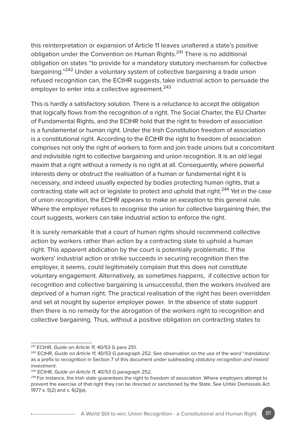this reinterpretation or expansion of Article 11 leaves unaltered a state's positive obligation under the Convention on Human Rights.241 There is no additional obligation on states "to provide for a mandatory statutory mechanism for collective bargaining."242 Under a voluntary system of collective bargaining a trade union refused recognition can, the ECtHR suggests, take industrial action to persuade the employer to enter into a collective agreement.<sup>243</sup>

This is hardly a satisfactory solution. There is a reluctance to accept the obligation that logically flows from the recognition of a right. The Social Charter, the EU Charter of Fundamental Rights, and the ECtHR hold that the right to freedom of association is a fundamental or human right. Under the Irish Constitution freedom of association is a constitutional right. According to the ECtHR the right to freedom of association comprises not only the right of workers to form and join trade unions but a concomitant and indivisible right to collective bargaining and union recognition. It is an old legal maxim that a right without a remedy is no right at all. Consequently, where powerful interests deny or obstruct the realisation of a human or fundamental right it is necessary, and indeed usually expected by bodies protecting human rights, that a contracting state will act or legislate to protect and uphold that right.<sup>244</sup> Yet in the case of union recognition, the ECtHR appears to make an exception to this general rule. Where the employer refuses to recognise the union for collective bargaining then, the court suggests, workers can take industrial action to enforce the right.

It is surely remarkable that a court of human rights should recommend collective action by workers rather than action by a contracting state to uphold a human right. This apparent abdication by the court is potentially problematic. If the workers' industrial action or strike succeeds in securing recognition then the employer, it seems, could legitimately complain that this does not constitute voluntary engagement. Alternatively, as sometimes happens, if collective action for recognition and collective bargaining is unsuccessful, then the workers involved are deprived of a human right. The practical realisation of the right has been overridden and set at nought by superior employer power. In the absence of state support then there is no remedy for the abrogation of the workers right to recognition and collective bargaining. Thus, without a positive obligation on contracting states to

<sup>241</sup> ECtHR, *Guide on Article 11,* 40/53 G para 251.

<sup>&</sup>lt;sup>242</sup> ECtHR, *Guide on Article 11*, 40/53 G paragraph 252. See observation on the use of the word "mandatoryl as a prefix to recognition in Section 7 of this document under subheading *statutory recognition and inward investment*.

<sup>&</sup>lt;sup>243</sup> ECtHR, *Guide on Article 11*, 40/53 G paragraph 252.<br><sup>244</sup> For instance, the Irish state guarantees the right to freedom of association. Where employers attempt to prevent the exercise of that right they can be directed or sanctioned by the State. See Unfair Dismissals Act 1977 s. 5(2) and s. 6(2)(a).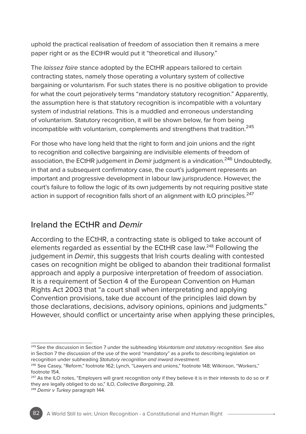uphold the practical realisation of freedom of association then it remains a mere paper right or as the ECtHR would put it "theoretical and illusory."

The *laissez faire* stance adopted by the ECtHR appears tailored to certain contracting states, namely those operating a voluntary system of collective bargaining or voluntarism. For such states there is no positive obligation to provide for what the court pejoratively terms "mandatory statutory recognition." Apparently, the assumption here is that statutory recognition is incompatible with a voluntary system of industrial relations. This is a muddled and erroneous understanding of voluntarism. Statutory recognition, it will be shown below, far from being incompatible with voluntarism, complements and strengthens that tradition.<sup>245</sup>

For those who have long held that the right to form and join unions and the right to recognition and collective bargaining are indivisible elements of freedom of association, the ECtHR judgement in *Demir* judgment is a vindication.<sup>246</sup> Undoubtedly, in that and a subsequent confirmatory case, the court's judgement represents an important and progressive development in labour law jurisprudence. However, the court's failure to follow the logic of its own judgements by not requiring positive state action in support of recognition falls short of an alignment with ILO principles.<sup>247</sup>

# Ireland the ECtHR and *Demir*

According to the ECtHR, a contracting state is obliged to take account of elements regarded as essential by the ECtHR case law.<sup>248</sup> Following the judgement in *Demir*, this suggests that Irish courts dealing with contested cases on recognition might be obliged to abandon their traditional formalist approach and apply a purposive interpretation of freedom of association. It is a requirement of Section 4 of the European Convention on Human Rights Act 2003 that "a court shall when interpretating and applying Convention provisions, take due account of the principles laid down by those declarations, decisions, advisory opinions, opinions and judgments." However, should conflict or uncertainty arise when applying these principles,

<sup>245</sup> See the discussion in Section 7 under the subheading *Voluntarism and statutory recognition*. See also in Section 7 the discussion of the use of the word "mandatory" as a prefix to describing legislation on recognition under subheading *Statutory recognition and inward investment*.

<sup>&</sup>lt;sup>246</sup> See Casey, "Reform," footnote 162; Lynch, "Lawyers and unions," footnote 148; Wilkinson, "Workers," footnote 154.

<sup>&</sup>lt;sup>247</sup> As the ILO notes, "Employers will grant recognition only if they believe it is in their interests to do so or if they are legally obliged to do so," ILO, *Collective Bargaining*, 28. 248 *Demir v Turkey* paragraph 144.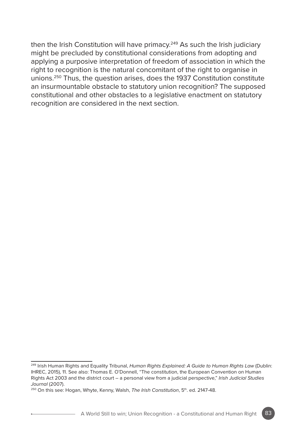then the Irish Constitution will have primacy.<sup>249</sup> As such the Irish judiciary might be precluded by constitutional considerations from adopting and applying a purposive interpretation of freedom of association in which the right to recognition is the natural concomitant of the right to organise in unions.250 Thus, the question arises, does the 1937 Constitution constitute an insurmountable obstacle to statutory union recognition? The supposed constitutional and other obstacles to a legislative enactment on statutory recognition are considered in the next section.

<sup>249</sup> Irish Human Rights and Equality Tribunal, *Human Rights Explained: A Guide to Human Rights Law* (Dublin: IHREC, 2015), 11. See also: Thomas E. O'Donnell, "The constitution, the European Convention on Human Rights Act 2003 and the district court – a personal view from a judicial perspective," *Irish Judicial Studies Journal* (2007).

<sup>&</sup>lt;sup>250</sup> On this see: Hogan, Whyte, Kenny, Walsh, The Irish Constitution, 5<sup>th</sup>. ed. 2147-48.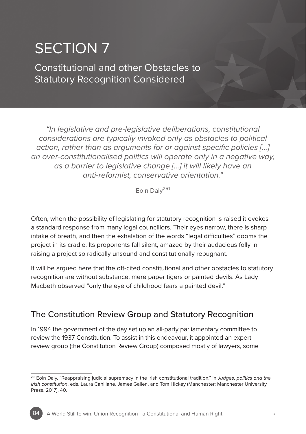# SECTION 7

Constitutional and other Obstacles to Statutory Recognition Considered

*"In legislative and pre-legislative deliberations, constitutional considerations are typically invoked only as obstacles to political action, rather than as arguments for or against specific policies […] an over-constitutionalised politics will operate only in a negative way, as a barrier to legislative change […] it will likely have an anti-reformist, conservative orientation."*

Eoin Dalv<sup>251</sup>

Often, when the possibility of legislating for statutory recognition is raised it evokes a standard response from many legal councillors. Their eyes narrow, there is sharp intake of breath, and then the exhalation of the words "legal difficulties" dooms the project in its cradle. Its proponents fall silent, amazed by their audacious folly in raising a project so radically unsound and constitutionally repugnant.

It will be argued here that the oft-cited constitutional and other obstacles to statutory recognition are without substance, mere paper tigers or painted devils. As Lady Macbeth observed "only the eye of childhood fears a painted devil."

# The Constitution Review Group and Statutory Recognition

In 1994 the government of the day set up an all-party parliamentary committee to review the 1937 Constitution. To assist in this endeavour, it appointed an expert review group (the Constitution Review Group) composed mostly of lawyers, some

<sup>251</sup> Eoin Daly, "Reappraising judicial supremacy in the Irish constitutional tradition," in *Judges, politics and the Irish constitution*, eds. Laura Cahillane, James Gallen, and Tom Hickey (Manchester: Manchester University Press, 2017), 40.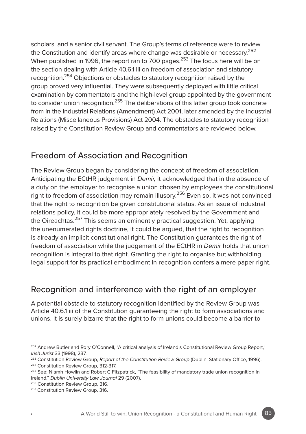scholars. and a senior civil servant. The Group's terms of reference were to review the Constitution and identify areas where change was desirable or necessary.<sup>252</sup> When published in 1996, the report ran to 700 pages.<sup>253</sup> The focus here will be on the section dealing with Article 40.6.1 iii on freedom of association and statutory recognition.<sup>254</sup> Objections or obstacles to statutory recognition raised by the group proved very influential. They were subsequently deployed with little critical examination by commentators and the high-level group appointed by the government to consider union recognition.<sup>255</sup> The deliberations of this latter group took concrete from in the Industrial Relations (Amendment) Act 2001, later amended by the Industrial Relations (Miscellaneous Provisions) Act 2004. The obstacles to statutory recognition raised by the Constitution Review Group and commentators are reviewed below.

#### Freedom of Association and Recognition

The Review Group began by considering the concept of freedom of association. Anticipating the ECtHR judgement in *Demir,* it acknowledged that in the absence of a duty on the employer to recognise a union chosen by employees the constitutional right to freedom of association may remain illusory.<sup>256</sup> Even so, it was not convinced that the right to recognition be given constitutional status. As an issue of industrial relations policy, it could be more appropriately resolved by the Government and the Oireachtas.<sup>257</sup> This seems an eminently practical suggestion. Yet, applying the unenumerated rights doctrine, it could be argued, that the right to recognition is already an implicit constitutional right. The Constitution guarantees the right of freedom of association while the judgement of the ECtHR in *Demir* holds that union recognition is integral to that right. Granting the right to organise but withholding legal support for its practical embodiment in recognition confers a mere paper right.

#### Recognition and interference with the right of an employer

A potential obstacle to statutory recognition identified by the Review Group was Article 40.6.1 iii of the Constitution guaranteeing the right to form associations and unions. It is surely bizarre that the right to form unions could become a barrier to

<sup>256</sup> Constitution Review Group, 316.

<sup>&</sup>lt;sup>252</sup> Andrew Butler and Rory O'Connell, "A critical analysis of Ireland's Constitutional Review Group Report,"<br>Irish Jurist 33 (1998), 237.

<sup>&</sup>lt;sup>253</sup> Constitution Review Group, *Report of the Constitution Review Group* (Dublin: Stationary Office, 1996). <sup>254</sup> Constitution Review Group, 312-317.

<sup>&</sup>lt;sup>255</sup> See: Niamh Howlin and Robert C Fitzpatrick, "The feasibility of mandatory trade union recognition in Ireland," *Dublin University Law Journal* 29 (2007).

<sup>257</sup> Constitution Review Group, 316.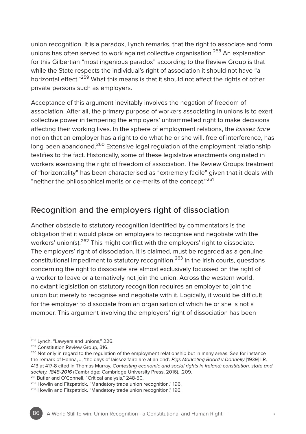union recognition. It is a paradox, Lynch remarks, that the right to associate and form unions has often served to work against collective organisation.<sup>258</sup> An explanation for this Gilbertian "most ingenious paradox" according to the Review Group is that while the State respects the individual's right of association it should not have "a horizontal effect."<sup>259</sup> What this means is that it should not affect the rights of other private persons such as employers.

Acceptance of this argument inevitably involves the negation of freedom of association. After all, the primary purpose of workers associating in unions is to exert collective power in tempering the employers' untrammelled right to make decisions affecting their working lives. In the sphere of employment relations, the *laissez faire* notion that an employer has a right to do what he or she will, free of interference, has long been abandoned.<sup>260</sup> Extensive legal regulation of the employment relationship testifies to the fact. Historically, some of these legislative enactments originated in workers exercising the right of freedom of association. The Review Groups treatment of "horizontality" has been characterised as "extremely facile" given that it deals with "neither the philosophical merits or de-merits of the concept."261

## Recognition and the employers right of dissociation

Another obstacle to statutory recognition identified by commentators is the obligation that it would place on employers to recognise and negotiate with the workers' union(s).<sup>262</sup> This might conflict with the employers' right to dissociate. The employers' right of dissociation, it is claimed, must be regarded as a genuine constitutional impediment to statutory recognition.<sup>263</sup> In the Irish courts, questions concerning the right to dissociate are almost exclusively focussed on the right of a worker to leave or alternatively not join the union. Across the western world, no extant legislation on statutory recognition requires an employer to join the union but merely to recognise and negotiate with it. Logically, it would be difficult for the employer to dissociate from an organisation of which he or she is not a member. This argument involving the employers' right of dissociation has been

261 Butler and O'Connell, "Critical analysis," 248-50.

<sup>258</sup> Lynch, "Lawyers and unions," 226.

<sup>&</sup>lt;sup>259</sup> Constitution Review Group, 316.

<sup>&</sup>lt;sup>260</sup> Not only in regard to the regulation of the employment relationship but in many areas. See for instance the remark of Hanna, J, 'the days of laissez faire are at an end'. *Pigs Marketing Board v Donnelly* [1939] I.R. 413 at 417-8 cited in Thomas Murray, *Contesting economic and social rights in Ireland: constitution, state and society, 1848-2016* (Cambridge: Cambridge University Press, 2016), .209.

<sup>262</sup> Howlin and Fitzpatrick, "Mandatory trade union recognition," 196.

<sup>263</sup> Howlin and Fitzpatrick, "Mandatory trade union recognition," 196.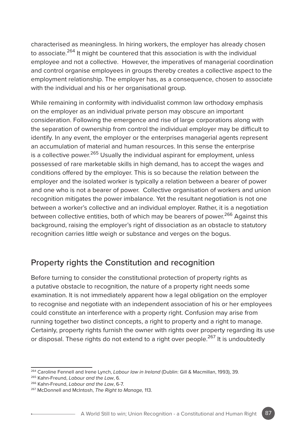characterised as meaningless. In hiring workers, the employer has already chosen to associate.<sup>264</sup> It might be countered that this association is with the individual employee and not a collective. However, the imperatives of managerial coordination and control organise employees in groups thereby creates a collective aspect to the employment relationship. The employer has, as a consequence, chosen to associate with the individual and his or her organisational group.

While remaining in conformity with individualist common law orthodoxy emphasis on the employer as an individual private person may obscure an important consideration. Following the emergence and rise of large corporations along with the separation of ownership from control the individual employer may be difficult to identify. In any event, the employer or the enterprises managerial agents represent an accumulation of material and human resources. In this sense the enterprise is a collective power.<sup>265</sup> Usually the individual aspirant for employment, unless possessed of rare marketable skills in high demand, has to accept the wages and conditions offered by the employer. This is so because the relation between the employer and the isolated worker is typically a relation between a bearer of power and one who is not a bearer of power. Collective organisation of workers and union recognition mitigates the power imbalance. Yet the resultant negotiation is not one between a worker's collective and an individual employer. Rather, it is a negotiation between collective entities, both of which may be bearers of power.<sup>266</sup> Against this background, raising the employer's right of dissociation as an obstacle to statutory recognition carries little weigh or substance and verges on the bogus.

#### Property rights the Constitution and recognition

Before turning to consider the constitutional protection of property rights as a putative obstacle to recognition, the nature of a property right needs some examination. It is not immediately apparent how a legal obligation on the employer to recognise and negotiate with an independent association of his or her employees could constitute an interference with a property right. Confusion may arise from running together two distinct concepts, a right to property and a right to manage. Certainly, property rights furnish the owner with rights over property regarding its use or disposal. These rights do not extend to a right over people.<sup>267</sup> It is undoubtedly

<sup>264</sup> Caroline Fennell and Irene Lynch, *Labour law in Ireland* (Dublin: Gill & Macmillan, 1993), 39.

<sup>265</sup> Kahn-Freund, *Labour and the Law*, 6.

<sup>266</sup> Kahn-Freund, *Labour and the Law*, 6-7.

<sup>267</sup> McDonnell and McIntosh, *The Right to Manage,* 113.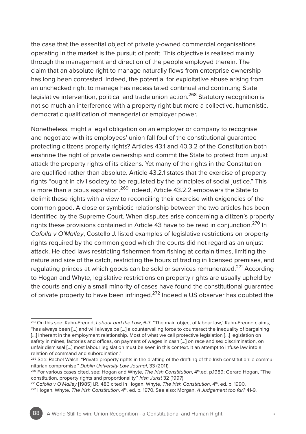the case that the essential object of privately-owned commercial organisations operating in the market is the pursuit of profit. This objective is realised mainly through the management and direction of the people employed therein. The claim that an absolute right to manage naturally flows from enterprise ownership has long been contested. Indeed, the potential for exploitative abuse arising from an unchecked right to manage has necessitated continual and continuing State legislative intervention, political and trade union action.<sup>268</sup> Statutory recognition is not so much an interference with a property right but more a collective, humanistic, democratic qualification of managerial or employer power.

Nonetheless, might a legal obligation on an employer or company to recognise and negotiate with its employees' union fall foul of the constitutional guarantee protecting citizens property rights? Articles 43.1 and 40.3.2 of the Constitution both enshrine the right of private ownership and commit the State to protect from unjust attack the property rights of its citizens. Yet many of the rights in the Constitution are qualified rather than absolute. Article 43.2.1 states that the exercise of property rights "ought in civil society to be regulated by the principles of social justice." This is more than a pious aspiration.<sup>269</sup> Indeed, Article 43.2.2 empowers the State to delimit these rights with a view to reconciling their exercise with exigencies of the common good. A close or symbiotic relationship between the two articles has been identified by the Supreme Court. When disputes arise concerning a citizen's property rights these provisions contained in Article 43 have to be read in conjunction.<sup>270</sup> In *Cafolla v O'Malley*, Costello J. listed examples of legislative restrictions on property rights required by the common good which the courts did not regard as an unjust attack. He cited laws restricting fishermen from fishing at certain times, limiting the nature and size of the catch, restricting the hours of trading in licensed premises, and regulating princes at which goods can be sold or services remunerated.<sup>271</sup> According to Hogan and Whyte, legislative restrictions on property rights are usually upheld by the courts and only a small minority of cases have found the constitutional guarantee of private property to have been infringed.<sup>272</sup> Indeed a US observer has doubted the

<sup>268</sup> On this see: Kahn-Freund, *Labour and the Law*, 6-7: "The main object of labour law," Kahn-Freund claims, "has always been […] and will always be […] a countervailing force to counteract the inequality of bargaining [...] inherent in the employment relationship. Most of what we call protective legislation [...] legislation on safety in mines, factories and offices, on payment of wages in cash […] on race and sex discrimination, on unfair dismissal [...] most labour legislation must be seen in this context. It an attempt to infuse law into a relation of command and subordination."

<sup>&</sup>lt;sup>269</sup> See: Rachel Walsh, "Private property rights in the drafting of the drafting of the Irish constitution: a communitarian compromise," *Dublin University Law Journal*, 33 (2011).

<sup>&</sup>lt;sup>270</sup> For various cases cited, see: Hogan and Whyte, *The Irish Constitution*, 4<sup>th</sup>.ed. p.1989; Gerard Hogan, "The constitution, property rights and proportionality," *Irish Jurist* 32 (1997).

<sup>&</sup>lt;sup>271</sup> Cafolla v O'Malley [1985] I.R. 486 cited in Hogan, Whyte, The Irish Constitution, 4<sup>th</sup>. ed. p. 1990.<br><sup>272</sup> Hogan, Whyte, *The Irish Constitution*, 4<sup>th</sup>. ed. p. 1970. See also: Morgan, *A Judgement too far?* 41-9.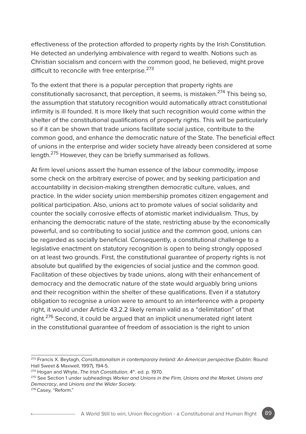effectiveness of the protection afforded to property rights by the Irish Constitution. He detected an underlying ambivalence with regard to wealth. Notions such as Christian socialism and concern with the common good, he believed, might prove difficult to reconcile with free enterprise.<sup>273</sup>

To the extent that there is a popular perception that property rights are constitutionally sacrosanct, that perception, it seems, is mistaken.<sup>274</sup> This being so, the assumption that statutory recognition would automatically attract constitutional infirmity is ill founded. It is more likely that such recognition would come within the shelter of the constitutional qualifications of property rights. This will be particularly so if it can be shown that trade unions facilitate social justice, contribute to the common good, and enhance the democratic nature of the State. The beneficial effect of unions in the enterprise and wider society have already been considered at some length.<sup>275</sup> However, they can be briefly summarised as follows.

At firm level unions assert the human essence of the labour commodity, impose some check on the arbitrary exercise of power, and by seeking participation and accountability in decision-making strengthen democratic culture, values, and practice. In the wider society union membership promotes citizen engagement and political participation. Also, unions act to promote values of social solidarity and counter the socially corrosive effects of atomistic market individualism. Thus, by enhancing the democratic nature of the state, restricting abuse by the economically powerful, and so contributing to social justice and the common good, unions can be regarded as socially beneficial. Consequently, a constitutional challenge to a legislative enactment on statutory recognition is open to being strongly opposed on at least two grounds. First, the constitutional guarantee of property rights is not absolute but qualified by the exigencies of social justice and the common good. Facilitation of these objectives by trade unions, along with their enhancement of democracy and the democratic nature of the state would arguably bring unions and their recognition within the shelter of these qualifications. Even if a statutory obligation to recognise a union were to amount to an interference with a property right, it would under Article 43.2.2 likely remain valid as a "delimitation" of that right.<sup>276</sup> Second, it could be argued that an implicit unenumerated right latent in the constitutional guarantee of freedom of association is the right to union

<sup>273</sup> Francis X. Beytagh, *Constitutionalism in contemporary Ireland: An American perspective* (Dublin: Round Hall Sweet & Maxwell, 1997), 194-5.

<sup>&</sup>lt;sup>274</sup> Hogan and Whyte, *The Irish Constitution*, 4<sup>th</sup>. ed. p. 1970.

<sup>275</sup> See Section 1 under subheadings *Worker and Unions in the Firm, Unions and the Market, Unions and Democracy*, and *Unions and the Wider Society*.

<sup>276</sup> Casey, "Reform."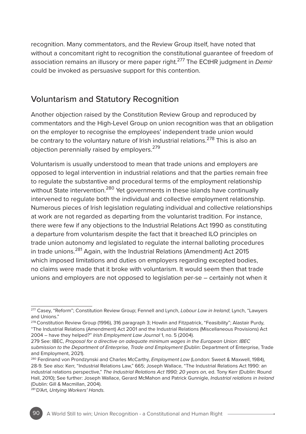recognition. Many commentators, and the Review Group itself, have noted that without a concomitant right to recognition the constitutional guarantee of freedom of association remains an illusory or mere paper right.277 The ECtHR judgment in *Demir* could be invoked as persuasive support for this contention.

#### Voluntarism and Statutory Recognition

Another objection raised by the Constitution Review Group and reproduced by commentators and the High-Level Group on union recognition was that an obligation on the employer to recognise the employees' independent trade union would be contrary to the voluntary nature of Irish industrial relations.<sup>278</sup> This is also an objection perennially raised by employers.279

Voluntarism is usually understood to mean that trade unions and employers are opposed to legal intervention in industrial relations and that the parties remain free to regulate the substantive and procedural terms of the employment relationship without State intervention.<sup>280</sup> Yet governments in these islands have continually intervened to regulate both the individual and collective employment relationship. Numerous pieces of Irish legislation regulating individual and collective relationships at work are not regarded as departing from the voluntarist tradition. For instance, there were few if any objections to the Industrial Relations Act 1990 as constituting a departure from voluntarism despite the fact that it breached ILO principles on trade union autonomy and legislated to regulate the internal balloting procedures in trade unions.<sup>281</sup> Again, with the Industrial Relations (Amendment) Act 2015 which imposed limitations and duties on employers regarding excepted bodies, no claims were made that it broke with voluntarism. It would seem then that trade unions and employers are not opposed to legislation per-se – certainly not when it

<sup>277</sup> Casey, "Reform"; Constitution Review Group; Fennell and Lynch, *Labour Law in Ireland*; Lynch, "Lawyers and Unions."

<sup>278</sup> Constitution Review Group (1996), 316 paragraph 3; Howlin and Fitzpatrick, "Feasibility"; Alastair Purdy, "The Industrial Relations (Amendment) Act 2001 and the Industrial Relations (Miscellaneous Provisions) Act 2004 – have they helped?" *Irish Employment Law Journal* 1, no. 5 (2004).

<sup>279</sup> See: IBEC, *Proposal for a directive on adequate minimum wages in the European Union: IBEC submission to the Department of Enterprise, Trade and Employment* (Dublin: Department of Enterprise, Trade and Employment, 2021).

<sup>280</sup> Ferdinand von Prondzynski and Charles McCarthy, *Employment Law* (London: Sweet & Maxwell, 1984), 28-9. See also: Kerr, "Industrial Relations Law," 665; Joseph Wallace, "The Industrial Relations Act 1990: an industrial relations perspective," The Industrial Relations Act 1990; 20 years on, ed. Tony Kerr (Dublin: Round Hall, 2010); See further: Joseph Wallace, Gerard McMahon and Patrick Gunnigle, *Industrial relations in Ireland* (Dublin: Gill & Macmillan, 2004).

<sup>281</sup> D'Art, *Untying Workers' Hands.*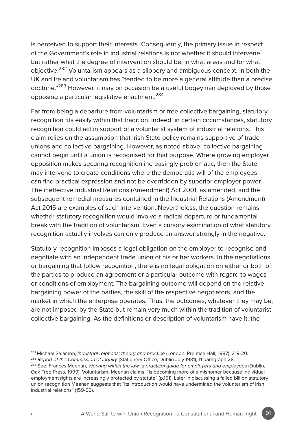is perceived to support their interests. Consequently, the primary issue in respect of the Government's role in industrial relations is not whether it should intervene but rather what the degree of intervention should be, in what areas and for what objective.<sup>282</sup> Voluntarism appears as a slippery and ambiguous concept. In both the UK and Ireland voluntarism has "tended to be more a general attitude than a precise doctrine."<sup>283</sup> However, it may on occasion be a useful bogeyman deployed by those opposing a particular legislative enactment.284

Far from being a departure from voluntarism or free collective bargaining, statutory recognition fits easily within that tradition. Indeed, in certain circumstances, statutory recognition could act in support of a voluntarist system of industrial relations. This claim relies on the assumption that Irish State policy remains supportive of trade unions and collective bargaining. However, as noted above, collective bargaining cannot begin until a union is recognised for that purpose. Where growing employer opposition makes securing recognition increasingly problematic, then the State may intervene to create conditions where the democratic will of the employees can find practical expression and not be overridden by superior employer power. The ineffective Industrial Relations (Amendment) Act 2001, as amended, and the subsequent remedial measures contained in the Industrial Relations (Amendment) Act 2015 are examples of such intervention. Nevertheless, the question remains whether statutory recognition would involve a radical departure or fundamental break with the tradition of voluntarism. Even a cursory examination of what statutory recognition actually involves can only produce an answer strongly in the negative.

Statutory recognition imposes a legal obligation on the employer to recognise and negotiate with an independent trade union of his or her workers. In the negotiations or bargaining that follow recognition, there is no legal obligation on either or both of the parties to produce an agreement or a particular outcome with regard to wages or conditions of employment. The bargaining outcome will depend on the relative bargaining power of the parties, the skill of the respective negotiators, and the market in which the enterprise operates. Thus, the outcomes, whatever they may be, are not imposed by the State but remain very much within the tradition of voluntarist collective bargaining. As the definitions or description of voluntarism have it, the

<sup>282</sup> Michael Salamon, *Industrial relations: theory and practice* (London: Prentice Hall, 1987), 219-20. <sup>283</sup> *Report of the Commission of Inquiry* (Stationery Office, Dublin July 1981), 11 paragraph 28.

<sup>284</sup> See: Frances Meenan, *Working within the law: a practical guide for employers and employees* (Dublin, Oak Tree Press, 1999): Voluntarism, Meenan claims, "is becoming more of a misnomer because individual employment rights are increasingly protected by statute" (p.151). Later in discussing a failed bill on statutory union recognition Meenan suggests that "its introduction would have undermined the voluntarism of Irish industrial relations" (159-60).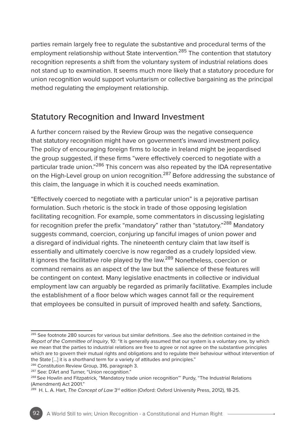parties remain largely free to regulate the substantive and procedural terms of the employment relationship without State intervention.<sup>285</sup> The contention that statutory recognition represents a shift from the voluntary system of industrial relations does not stand up to examination. It seems much more likely that a statutory procedure for union recognition would support voluntarism or collective bargaining as the principal method regulating the employment relationship.

### Statutory Recognition and Inward Investment

A further concern raised by the Review Group was the negative consequence that statutory recognition might have on government's inward investment policy. The policy of encouraging foreign firms to locate in Ireland might be jeopardised the group suggested, if these firms "were effectively coerced to negotiate with a particular trade union."<sup>286</sup> This concern was also repeated by the IDA representative on the High-Level group on union recognition.<sup>287</sup> Before addressing the substance of this claim, the language in which it is couched needs examination.

"Effectively coerced to negotiate with a particular union" is a pejorative partisan formulation. Such rhetoric is the stock in trade of those opposing legislation facilitating recognition. For example, some commentators in discussing legislating for recognition prefer the prefix "mandatory" rather than "statutory."288 Mandatory suggests command, coercion, conjuring up fanciful images of union power and a disregard of individual rights. The nineteenth century claim that law itself is essentially and ultimately coercive is now regarded as a crudely lopsided view. It ignores the facilitative role played by the law.<sup>289</sup> Nonetheless, coercion or command remains as an aspect of the law but the salience of these features will be contingent on context. Many legislative enactments in collective or individual employment law can arguably be regarded as primarily facilitative. Examples include the establishment of a floor below which wages cannot fall or the requirement that employees be consulted in pursuit of improved health and safety. Sanctions,

<sup>&</sup>lt;sup>285</sup> See footnote 280 sources for various but similar definitions. .See also the definition contained in the *Report of the Committee of Inquiry*, 10: "It is generally assumed that our system is a voluntary one, by which we mean that the parties to industrial relations are free to agree or not agree on the substantive principles which are to govern their mutual rights and obligations and to regulate their behaviour without intervention of the State […] it is a shorthand term for a variety of attitudes and principles."

<sup>&</sup>lt;sup>286</sup> Constitution Review Group, 316, paragraph 3.

<sup>287</sup> See: D'Art and Turner, "Union recognition."

<sup>288</sup> See Howlin and Fitzpatrick*,* "Mandatory trade union recognition"' Purdy, "The Industrial Relations (Amendment) Act 2001."

<sup>&</sup>lt;sup>289</sup> H. L. A. Hart, *The Concept of Law* 3<sup>rd</sup> edition (Oxford: Oxford University Press, 2012), 18-25.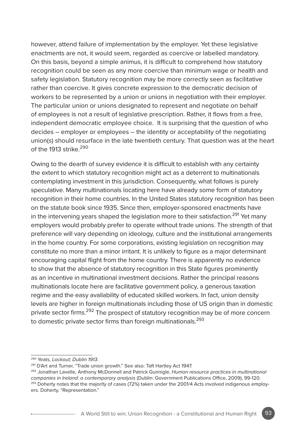however, attend failure of implementation by the employer. Yet these legislative enactments are not, it would seem, regarded as coercive or labelled mandatory. On this basis, beyond a simple animus, it is difficult to comprehend how statutory recognition could be seen as any more coercive than minimum wage or health and safety legislation. Statutory recognition may be more correctly seen as facilitative rather than coercive. It gives concrete expression to the democratic decision of workers to be represented by a union or unions in negotiation with their employer. The particular union or unions designated to represent and negotiate on behalf of employees is not a result of legislative prescription. Rather, it flows from a free, independent democratic employee choice. It is surprising that the question of who decides – employer or employees – the identity or acceptability of the negotiating union(s) should resurface in the late twentieth century. That question was at the heart of the 1913 strike  $^{290}$ 

Owing to the dearth of survey evidence it is difficult to establish with any certainty the extent to which statutory recognition might act as a deterrent to multinationals contemplating investment in this jurisdiction. Consequently, what follows is purely speculative. Many multinationals locating here have already some form of statutory recognition in their home countries. In the United States statutory recognition has been on the statute book since 1935. Since then, employer-sponsored enactments have in the intervening years shaped the legislation more to their satisfaction.<sup>291</sup> Yet manv employers would probably prefer to operate without trade unions. The strength of that preference will vary depending on ideology, culture and the institutional arrangements in the home country. For some corporations, existing legislation on recognition may constitute no more than a minor irritant. It is unlikely to figure as a major determinant encouraging capital flight from the home country. There is apparently no evidence to show that the absence of statutory recognition in this State figures prominently as an incentive in multinational investment decisions. Rather the principal reasons multinationals locate here are facilitative government policy, a generous taxation regime and the easy availability of educated skilled workers. In fact, union density levels are higher in foreign multinationals including those of US origin than in domestic private sector firms.<sup>292</sup> The prospect of statutory recognition may be of more concern to domestic private sector firms than foreign multinationals.<sup>293</sup>

<sup>&</sup>lt;sup>290</sup> Yeats, *Lockout; Dublin 1913.*<br><sup>291</sup> D'Art and Turner, "Trade union growth." See also: Taft Hartley Act 1947.

<sup>292</sup> Jonathan Lavelle, Anthony McDonnell and Patrick Gunnigle, *Human resource practices in multinational companies in Ireland: a contemporary analysis* (Dublin: Government Publications Office, 2009), 99-120. 293 Doherty notes that the majority of cases (72%) taken under the 2001/4 Acts involved indigenous employ-

ers. Doherty, "Representation."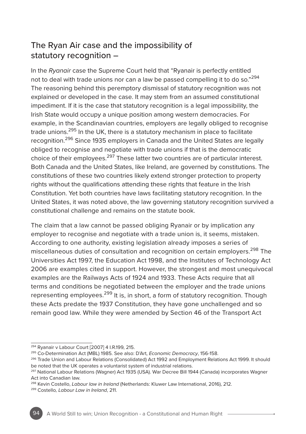# The Ryan Air case and the impossibility of statutory recognition –

In the *Ryanair* case the Supreme Court held that "Ryanair is perfectly entitled not to deal with trade unions nor can a law be passed compelling it to do so."294 The reasoning behind this peremptory dismissal of statutory recognition was not explained or developed in the case. It may stem from an assumed constitutional impediment. If it is the case that statutory recognition is a legal impossibility, the Irish State would occupy a unique position among western democracies. For example, in the Scandinavian countries, employers are legally obliged to recognise trade unions.<sup>295</sup> In the UK, there is a statutory mechanism in place to facilitate recognition.<sup>296</sup> Since 1935 employers in Canada and the United States are legally obliged to recognise and negotiate with trade unions if that is the democratic choice of their employees.<sup>297</sup> These latter two countries are of particular interest. Both Canada and the United States, like Ireland, are governed by constitutions. The constitutions of these two countries likely extend stronger protection to property rights without the qualifications attending these rights that feature in the Irish Constitution. Yet both countries have laws facilitating statutory recognition. In the United States, it was noted above, the law governing statutory recognition survived a constitutional challenge and remains on the statute book.

The claim that a law cannot be passed obliging Ryanair or by implication any employer to recognise and negotiate with a trade union is, it seems, mistaken. According to one authority, existing legislation already imposes a series of miscellaneous duties of consultation and recognition on certain employers.<sup>298</sup> The Universities Act 1997, the Education Act 1998, and the Institutes of Technology Act 2006 are examples cited in support. However, the strongest and most unequivocal examples are the Railways Acts of 1924 and 1933. These Acts require that all terms and conditions be negotiated between the employer and the trade unions representing employees.<sup>299</sup> It is, in short, a form of statutory recognition. Though these Acts predate the 1937 Constitution, they have gone unchallenged and so remain good law. While they were amended by Section 46 of the Transport Act

<sup>&</sup>lt;sup>294</sup> Ryanair v Labour Court [2007] 4 I.R.199, 215.<br><sup>295</sup> Co-Determination Act (MBL) 1985. See also: D'Art, *Economic Democracy*, 156-158.

<sup>&</sup>lt;sup>296</sup> Trade Union and Labour Relations (Consolidated) Act 1992 and Employment Relations Act 1999. It should be noted that the UK operates a voluntarist system of industrial relations.

<sup>297</sup> National Labour Relations (Wagner) Act 1935 (USA). War Decree Bill 1944 (Canada) incorporates Wagner Act into Canadian law.

<sup>298</sup> Kevin Costello, *Labour law in Ireland* (Netherlands: Kluwer Law International, 2016), 212.

<sup>299</sup> Costello*, Labour Law in Ireland*, 211.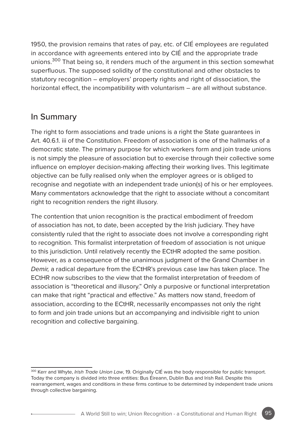1950, the provision remains that rates of pay, etc. of CIÉ employees are regulated in accordance with agreements entered into by CIÉ and the appropriate trade unions.<sup>300</sup> That being so, it renders much of the argument in this section somewhat superfluous. The supposed solidity of the constitutional and other obstacles to statutory recognition – employers' property rights and right of dissociation, the horizontal effect, the incompatibility with voluntarism – are all without substance.

### In Summary

The right to form associations and trade unions is a right the State guarantees in Art. 40.61. iii of the Constitution. Freedom of association is one of the hallmarks of a democratic state. The primary purpose for which workers form and join trade unions is not simply the pleasure of association but to exercise through their collective some influence on employer decision-making affecting their working lives. This legitimate objective can be fully realised only when the employer agrees or is obliged to recognise and negotiate with an independent trade union(s) of his or her employees. Many commentators acknowledge that the right to associate without a concomitant right to recognition renders the right illusory.

The contention that union recognition is the practical embodiment of freedom of association has not, to date, been accepted by the Irish judiciary. They have consistently ruled that the right to associate does not involve a corresponding right to recognition. This formalist interpretation of freedom of association is not unique to this jurisdiction. Until relatively recently the ECtHR adopted the same position. However, as a consequence of the unanimous judgment of the Grand Chamber in *Demir,* a radical departure from the ECtHR's previous case law has taken place. The ECtHR now subscribes to the view that the formalist interpretation of freedom of association is "theoretical and illusory." Only a purposive or functional interpretation can make that right "practical and effective." As matters now stand, freedom of association, according to the ECtHR, necessarily encompasses not only the right to form and join trade unions but an accompanying and indivisible right to union recognition and collective bargaining.

<sup>300</sup> Kerr and Whyte, *Irish Trade Union Law*, 19. Originally CIÉ was the body responsible for public transport. Today the company is divided into three entities: Bus Éireann, Dublin Bus and Irish Rail. Despite this rearrangement, wages and conditions in these firms continue to be determined by independent trade unions through collective bargaining.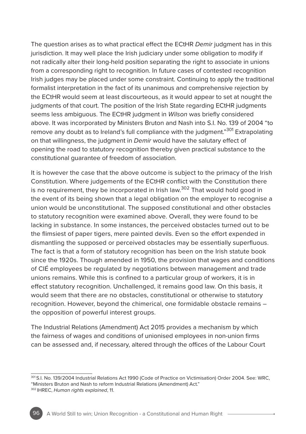The question arises as to what practical effect the ECtHR *Demir* judgment has in this jurisdiction. It may well place the Irish judiciary under some obligation to modify if not radically alter their long-held position separating the right to associate in unions from a corresponding right to recognition. In future cases of contested recognition Irish judges may be placed under some constraint. Continuing to apply the traditional formalist interpretation in the fact of its unanimous and comprehensive rejection by the ECtHR would seem at least discourteous, as it would appear to set at nought the judgments of that court. The position of the Irish State regarding ECtHR judgments seems less ambiguous. The ECtHR judgment in *Wilson* was briefly considered above. It was incorporated by Ministers Bruton and Nash into S.I. No. 139 of 2004 "to remove any doubt as to Ireland's full compliance with the judgment."<sup>301</sup> Extrapolating on that willingness, the judgment in *Demir* would have the salutary effect of opening the road to statutory recognition thereby given practical substance to the constitutional guarantee of freedom of association.

It is however the case that the above outcome is subject to the primacy of the Irish Constitution. Where judgements of the ECtHR conflict with the Constitution there is no requirement, they be incorporated in Irish law.<sup>302</sup> That would hold good in the event of its being shown that a legal obligation on the employer to recognise a union would be unconstitutional. The supposed constitutional and other obstacles to statutory recognition were examined above. Overall, they were found to be lacking in substance. In some instances, the perceived obstacles turned out to be the flimsiest of paper tigers, mere painted devils. Even so the effort expended in dismantling the supposed or perceived obstacles may be essentially superfluous. The fact is that a form of statutory recognition has been on the Irish statute book since the 1920s. Though amended in 1950, the provision that wages and conditions of CIÉ employees be regulated by negotiations between management and trade unions remains. While this is confined to a particular group of workers, it is in effect statutory recognition. Unchallenged, it remains good law. On this basis, it would seem that there are no obstacles, constitutional or otherwise to statutory recognition. However, beyond the chimerical, one formidable obstacle remains – the opposition of powerful interest groups.

The Industrial Relations (Amendment) Act 2015 provides a mechanism by which the fairness of wages and conditions of unionised employees in non-union firms can be assessed and, if necessary, altered through the offices of the Labour Court

<sup>301</sup> S.I. No. 139/2004 Industrial Relations Act 1990 (Code of Practice on Victimisation) Order 2004. See: WRC, "Ministers Bruton and Nash to reform Industrial Relations (Amendment) Act." 302 IHREC, *Human rights explained*, 11.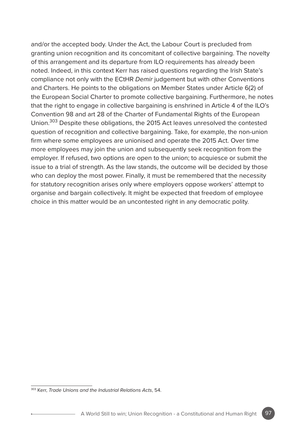and/or the accepted body. Under the Act, the Labour Court is precluded from granting union recognition and its concomitant of collective bargaining. The novelty of this arrangement and its departure from ILO requirements has already been noted. Indeed, in this context Kerr has raised questions regarding the Irish State's compliance not only with the ECtHR *Demir* judgement but with other Conventions and Charters. He points to the obligations on Member States under Article 6(2) of the European Social Charter to promote collective bargaining. Furthermore, he notes that the right to engage in collective bargaining is enshrined in Article 4 of the ILO's Convention 98 and art 28 of the Charter of Fundamental Rights of the European Union.303 Despite these obligations, the 2015 Act leaves unresolved the contested question of recognition and collective bargaining. Take, for example, the non-union firm where some employees are unionised and operate the 2015 Act. Over time more employees may join the union and subsequently seek recognition from the employer. If refused, two options are open to the union; to acquiesce or submit the issue to a trial of strength. As the law stands, the outcome will be decided by those who can deploy the most power. Finally, it must be remembered that the necessity for statutory recognition arises only where employers oppose workers' attempt to organise and bargain collectively. It might be expected that freedom of employee choice in this matter would be an uncontested right in any democratic polity.

<sup>303</sup> Kerr, *Trade Unions and the Industrial Relations Acts*, 54.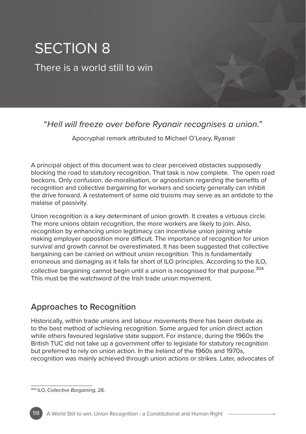# SECTION 8

There is a world still to win

# "*Hell will freeze over before Ryanair recognises a union."*

Apocryphal remark attributed to Michael O'Leary, Ryanair

A principal object of this document was to clear perceived obstacles supposedly blocking the road to statutory recognition. That task is now complete. The open road beckons. Only confusion, de-moralisation, or agnosticism regarding the benefits of recognition and collective bargaining for workers and society generally can inhibit the drive forward. A restatement of some old truisms may serve as an antidote to the malaise of passivity.

Union recognition is a key determinant of union growth. It creates a virtuous circle. The more unions obtain recognition, the more workers are likely to join. Also, recognition by enhancing union legitimacy can incentivise union joining while making employer opposition more difficult. The importance of recognition for union survival and growth cannot be overestimated. It has been suggested that collective bargaining can be carried on without union recognition. This is fundamentally erroneous and damaging as it falls far short of ILO principles. According to the ILO, collective bargaining cannot begin until a union is recognised for that purpose.<sup>304</sup>

This must be the watchword of the Irish trade union movement.

# Approaches to Recognition

Historically, within trade unions and labour movements there has been debate as to the best method of achieving recognition. Some argued for union direct action while others favoured legislative state support. For instance, during the 1960s the British TUC did not take up a government offer to legislate for statutory recognition but preferred to rely on union action. In the Ireland of the 1960s and 1970s, recognition was mainly achieved through union actions or strikes. Later, advocates of

<sup>304</sup> ILO, *Collective Bargaining*, 28.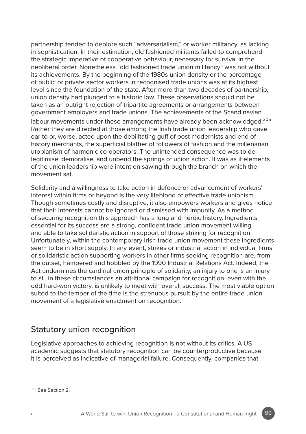partnership tended to deplore such "adversarialism," or worker militancy, as lacking in sophistication. In their estimation, old fashioned militants failed to comprehend the strategic imperative of cooperative behaviour, necessary for survival in the neoliberal order. Nonetheless "old fashioned trade union militancy" was not without its achievements. By the beginning of the 1980s union density or the percentage of public or private sector workers in recognised trade unions was at its highest level since the foundation of the state. After more than two decades of partnership, union density had plunged to a historic low. These observations should not be taken as an outright rejection of tripartite agreements or arrangements between government employers and trade unions. The achievements of the Scandinavian

labour movements under these arrangements have already been acknowledged.<sup>305</sup> Rather they are directed at those among the Irish trade union leadership who gave ear to or, worse, acted upon the debilitating guff of post modernists and end of history merchants, the superficial blather of followers of fashion and the millenarian utopianism of harmonic co-operators. The unintended consequence was to delegitimise, demoralise, and unbend the springs of union action. It was as if elements of the union leadership were intent on sawing through the branch on which the movement sat.

Solidarity and a willingness to take action in defence or advancement of workers' interest within firms or beyond is the very lifeblood of effective trade unionism. Though sometimes costly and disruptive, it also empowers workers and gives notice that their interests cannot be ignored or dismissed with impunity. As a method of securing recognition this approach has a long and heroic history. Ingredients essential for its success are a strong, confident trade union movement willing and able to take solidaristic action in support of those striking for recognition. Unfortunately, within the contemporary Irish trade union movement these ingredients seem to be in short supply. In any event, strikes or industrial action in individual firms or solidaristic action supporting workers in other firms seeking recognition are, from the outset, hampered and hobbled by the 1990 Industrial Relations Act. Indeed, the Act undermines the cardinal union principle of solidarity, an injury to one is an injury to all. In these circumstances an attritional campaign for recognition, even with the odd hard-won victory, is unlikely to meet with overall success. The most viable option suited to the temper of the time is the strenuous pursuit by the entire trade union movement of a legislative enactment on recognition.

# Statutory union recognition

Legislative approaches to achieving recognition is not without its critics. A US academic suggests that statutory recognition can be counterproductive because it is perceived as indicative of managerial failure. Consequently, companies that

<sup>305</sup> See Section 2.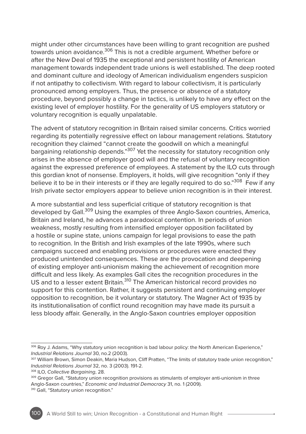might under other circumstances have been willing to grant recognition are pushed towards union avoidance.306 This is not a credible argument. Whether before or after the New Deal of 1935 the exceptional and persistent hostility of American management towards independent trade unions is well established. The deep rooted and dominant culture and ideology of American individualism engenders suspicion if not antipathy to collectivism. With regard to labour collectivism, it is particularly pronounced among employers. Thus, the presence or absence of a statutory procedure, beyond possibly a change in tactics, is unlikely to have any effect on the existing level of employer hostility. For the generality of US employers statutory or voluntary recognition is equally unpalatable.

The advent of statutory recognition in Britain raised similar concerns. Critics worried regarding its potentially regressive effect on labour management relations. Statutory recognition they claimed "cannot create the goodwill on which a meaningful bargaining relationship depends."307 Yet the necessity for statutory recognition only arises in the absence of employer good will and the refusal of voluntary recognition against the expressed preference of employees. A statement by the ILO cuts through this gordian knot of nonsense. Employers, it holds, will give recognition "only if they believe it to be in their interests or if they are legally required to do so."<sup>308</sup> Few if any Irish private sector employers appear to believe union recognition is in their interest.

A more substantial and less superficial critique of statutory recognition is that developed by Gall.309 Using the examples of three Anglo-Saxon countries, America, Britain and Ireland, he advances a paradoxical contention. In periods of union weakness, mostly resulting from intensified employer opposition facilitated by a hostile or supine state, unions campaign for legal provisions to ease the path to recognition. In the British and Irish examples of the late 1990s, where such campaigns succeed and enabling provisions or procedures were enacted they produced unintended consequences. These are the provocation and deepening of existing employer anti-unionism making the achievement of recognition more difficult and less likely. As examples Gall cites the recognition procedures in the US and to a lesser extent Britain.310 The American historical record provides no support for this contention. Rather, it suggests persistent and continuing employer opposition to recognition, be it voluntary or statutory. The Wagner Act of 1935 by its institutionalisation of conflict round recognition may have made its pursuit a less bloody affair. Generally, in the Anglo-Saxon countries employer opposition

<sup>306</sup> Roy J. Adams, "Why statutory union recognition is bad labour policy: the North American Experience," *Industrial Relations Journal* 30, no.2 (2003).

<sup>307</sup> William Brown, Simon Deakin, Maria Hudson, Cliff Pratten, "The limits of statutory trade union recognition," *Industrial Relations Journal* 32, no. 3 (2003). 191-2.

<sup>308</sup> ILO, *Collective Bargaining*, 28.

<sup>309</sup> Gregor Gall, "Statutory union recognition provisions as stimulants of employer anti-unionism in three Anglo-Saxon countries," *Economic and Industrial Democracy* 31, no. 1 (2009).

<sup>310</sup> Gall, "Statutory union recognition."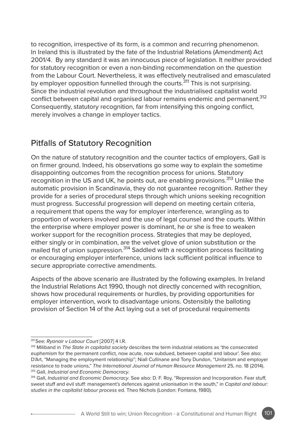to recognition, irrespective of its form, is a common and recurring phenomenon. In Ireland this is illustrated by the fate of the Industrial Relations (Amendment) Act 2001/4. By any standard it was an innocuous piece of legislation. It neither provided for statutory recognition or even a non-binding recommendation on the question from the Labour Court. Nevertheless, it was effectively neutralised and emasculated by employer opposition funnelled through the courts.<sup>311</sup> This is not surprising. Since the industrial revolution and throughout the industrialised capitalist world conflict between capital and organised labour remains endemic and permanent.<sup>312</sup> Consequently, statutory recognition, far from intensifying this ongoing conflict, merely involves a change in employer tactics.

### Pitfalls of Statutory Recognition

On the nature of statutory recognition and the counter tactics of employers, Gall is on firmer ground. Indeed, his observations go some way to explain the sometime disappointing outcomes from the recognition process for unions. Statutory recognition in the US and UK, he points out, are enabling provisions.<sup>313</sup> Unlike the automatic provision in Scandinavia, they do not guarantee recognition. Rather they provide for a series of procedural steps through which unions seeking recognition must progress. Successful progression will depend on meeting certain criteria, a requirement that opens the way for employer interference, wrangling as to proportion of workers involved and the use of legal counsel and the courts. Within the enterprise where employer power is dominant, he or she is free to weaken worker support for the recognition process. Strategies that may be deployed, either singly or in combination, are the velvet glove of union substitution or the mailed fist of union suppression.<sup>314</sup> Saddled with a recognition process facilitating or encouraging employer interference, unions lack sufficient political influence to secure appropriate corrective amendments.

Aspects of the above scenario are illustrated by the following examples. In Ireland the Industrial Relations Act 1990, though not directly concerned with recognition, shows how procedural requirements or hurdles, by providing opportunities for employer intervention, work to disadvantage unions. Ostensibly the balloting provision of Section 14 of the Act laying out a set of procedural requirements

<sup>311</sup> See: *Ryanair v Labour Court* [2007] 4 I.R.

<sup>312</sup> Miliband in *The State in capitalist society* describes the term industrial relations as 'the consecrated euphemism for the permanent conflict, now acute, now subdued, between capital and labour'. See also: D'Art, "Managing the employment relationship"; Niall Cullinane and Tony Dundon, "Unitarism and employer resistance to trade unions," *The International Journal of Human Resource Management* 25, no. 18 (2014). 313 Gall, *Industrial and Economic Democracy*.

<sup>314</sup> Gall, *Industrial and Economic Democracy*. See also: D. F. Roy, "Repression and Incorporation. Fear stuff, sweet stuff and evil stuff: management's defences against unionisation in the south," in *Capital and labour: studies in the capitalist labour process* ed. Theo Nichols (London: Fontana, 1980).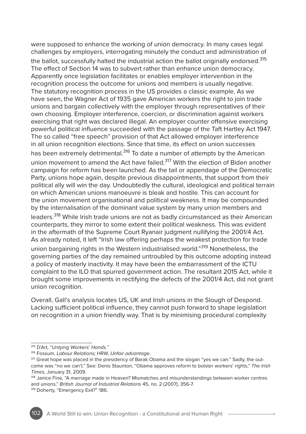were supposed to enhance the working of union democracy. In many cases legal challenges by employers, interrogating minutely the conduct and administration of the ballot, successfully halted the industrial action the ballot originally endorsed.<sup>315</sup> The effect of Section 14 was to subvert rather than enhance union democracy. Apparently once legislation facilitates or enables employer intervention in the recognition process the outcome for unions and members is usually negative. The statutory recognition process in the US provides a classic example. As we have seen, the Wagner Act of 1935 gave American workers the right to join trade unions and bargain collectively with the employer through representatives of their own choosing. Employer interference, coercion, or discrimination against workers exercising that right was declared illegal. An employer counter offensive exercising powerful political influence succeeded with the passage of the Taft Hartley Act 1947. The so called "free speech" provision of that Act allowed employer interference in all union recognition elections. Since that time, its effect on union successes has been extremely detrimental.<sup>316</sup> To date a number of attempts by the American union movement to amend the Act have failed.<sup>317</sup> With the election of Biden another campaign for reform has been launched. As the tail or appendage of the Democratic Party, unions hope again, despite previous disappointments, that support from their political ally will win the day. Undoubtedly the cultural, ideological and political terrain on which American unions manoeuvre is bleak and hostile. This can account for the union movement organisational and political weakness. It may be compounded by the internalisation of the dominant value system by many union members and leaders.<sup>318</sup> While Irish trade unions are not as badly circumstanced as their American counterparts, they mirror to some extent their political weakness. This was evident in the aftermath of the Supreme Court Ryanair judgment nullifying the 2001/4 Act. As already noted, it left "Irish law offering perhaps the weakest protection for trade union bargaining rights in the Western industrialised world."<sup>319</sup> Nonetheless, the governing parties of the day remained untroubled by this outcome adopting instead a policy of masterly inactivity. It may have been the embarrassment of the ICTU complaint to the ILO that spurred government action. The resultant 2015 Act, while it brought some improvements in rectifying the defects of the 2001/4 Act, did not grant union recognition.

Overall, Gall's analysis locates US, UK and Irish unions in the Slough of Despond. Lacking sufficient political influence, they cannot push forward to shape legislation on recognition in a union friendly way. That is by minimising procedural complexity

318 Janice Fine, "A marriage made in Heaven? Mismatches and misunderstandings between worker centres and unions," *British Journal of Industrial Relations* 45, no. 2 (2007), 356-7. <sup>319</sup> Doherty, "Emergency Exit?" 186.

<sup>315</sup> D'Art, "*Untying Workers' Hands."*

<sup>316</sup> Fossum, *Labour Relations;* HRW, *Unfair advantage*.

<sup>&</sup>lt;sup>317</sup> Great hope was placed in the presidency of Barak Obama and the slogan "yes we can." Sadly, the outcome was "no we can't." See: Denis Staunton, "Obama approves reform to bolster workers' rights," *The Irish Times*, January 31, 2009.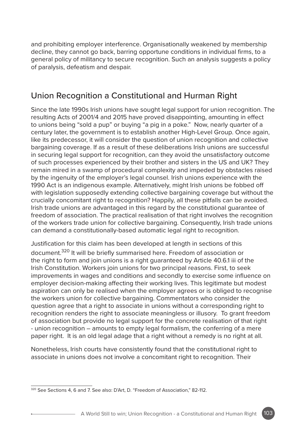and prohibiting employer interference. Organisationally weakened by membership decline, they cannot go back, barring opportune conditions in individual firms, to a general policy of militancy to secure recognition. Such an analysis suggests a policy of paralysis, defeatism and despair.

# Union Recognition a Constitutional and Hurman Right

Since the late 1990s Irish unions have sought legal support for union recognition. The resulting Acts of 2001/4 and 2015 have proved disappointing, amounting in effect to unions being "sold a pup" or buying "a pig in a poke." Now, nearly quarter of a century later, the government is to establish another High-Level Group. Once again, like its predecessor, it will consider the question of union recognition and collective bargaining coverage. If as a result of these deliberations Irish unions are successful in securing legal support for recognition, can they avoid the unsatisfactory outcome of such processes experienced by their brother and sisters in the US and UK? They remain mired in a swamp of procedural complexity and impeded by obstacles raised by the ingenuity of the employer's legal counsel. Irish unions experience with the 1990 Act is an indigenous example. Alternatively, might Irish unions be fobbed off with legislation supposedly extending collective bargaining coverage but without the crucially concomitant right to recognition? Happily, all these pitfalls can be avoided. Irish trade unions are advantaged in this regard by the constitutional guarantee of freedom of association. The practical realisation of that right involves the recognition of the workers trade union for collective bargaining. Consequently, Irish trade unions can demand a constitutionally-based automatic legal right to recognition.

Justification for this claim has been developed at length in sections of this document.<sup>320</sup> It will be briefly summarised here. Freedom of association or the right to form and join unions is a right guaranteed by Article 40.6.1 iii of the Irish Constitution. Workers join unions for two principal reasons. First, to seek improvements in wages and conditions and secondly to exercise some influence on employer decision-making affecting their working lives. This legitimate but modest aspiration can only be realised when the employer agrees or is obliged to recognise the workers union for collective bargaining. Commentators who consider the question agree that a right to associate in unions without a corresponding right to recognition renders the right to associate meaningless or illusory. To grant freedom of association but provide no legal support for the concrete realisation of that right - union recognition – amounts to empty legal formalism, the conferring of a mere paper right. It is an old legal adage that a right without a remedy is no right at all.

Nonetheless, Irish courts have consistently found that the constitutional right to associate in unions does not involve a concomitant right to recognition. Their

<sup>320</sup> See Sections 4, 6 and 7. See also: D'Art, D. "Freedom of Association," 82-112.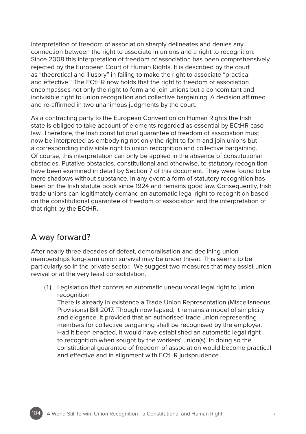interpretation of freedom of association sharply delineates and denies any connection between the right to associate in unions and a right to recognition. Since 2008 this interpretation of freedom of association has been comprehensively rejected by the European Court of Human Rights. It is described by the court as "theoretical and illusory" in failing to make the right to associate "practical and effective." The ECtHR now holds that the right to freedom of association encompasses not only the right to form and join unions but a concomitant and indivisible right to union recognition and collective bargaining. A decision affirmed and re-affirmed in two unanimous judgments by the court.

As a contracting party to the European Convention on Human Rights the Irish state is obliged to take account of elements regarded as essential by ECtHR case law. Therefore, the Irish constitutional guarantee of freedom of association must now be interpreted as embodying not only the right to form and join unions but a corresponding indivisible right to union recognition and collective bargaining. Of course, this interpretation can only be applied in the absence of constitutional obstacles. Putative obstacles, constitutional and otherwise, to statutory recognition have been examined in detail by Section 7 of this document. They were found to be mere shadows without substance. In any event a form of statutory recognition has been on the Irish statute book since 1924 and remains good law. Consequently, Irish trade unions can legitimately demand an automatic legal right to recognition based on the constitutional guarantee of freedom of association and the interpretation of that right by the ECtHR.

#### A way forward?

After nearly three decades of defeat, demoralisation and declining union memberships long-term union survival may be under threat. This seems to be particularly so in the private sector. We suggest two measures that may assist union revival or at the very least consolidation.

(1) Legislation that confers an automatic unequivocal legal right to union recognition

There is already in existence a Trade Union Representation (Miscellaneous Provisions) Bill 2017. Though now lapsed, it remains a model of simplicity and elegance. It provided that an authorised trade union representing members for collective bargaining shall be recognised by the employer. Had it been enacted, it would have established an automatic legal right to recognition when sought by the workers' union(s). In doing so the constitutional guarantee of freedom of association would become practical and effective and in alignment with ECtHR jurisprudence.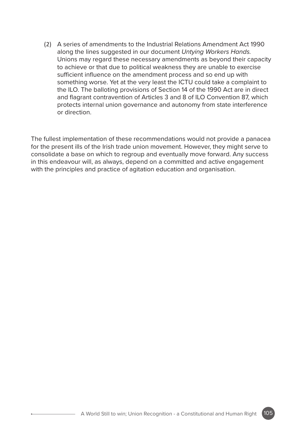(2) A series of amendments to the Industrial Relations Amendment Act 1990 along the lines suggested in our document *Untying Workers Hands.* Unions may regard these necessary amendments as beyond their capacity to achieve or that due to political weakness they are unable to exercise sufficient influence on the amendment process and so end up with something worse. Yet at the very least the ICTU could take a complaint to the ILO. The balloting provisions of Section 14 of the 1990 Act are in direct and flagrant contravention of Articles 3 and 8 of ILO Convention 87, which protects internal union governance and autonomy from state interference or direction.

The fullest implementation of these recommendations would not provide a panacea for the present ills of the Irish trade union movement. However, they might serve to consolidate a base on which to regroup and eventually move forward. Any success in this endeavour will, as always, depend on a committed and active engagement with the principles and practice of agitation education and organisation.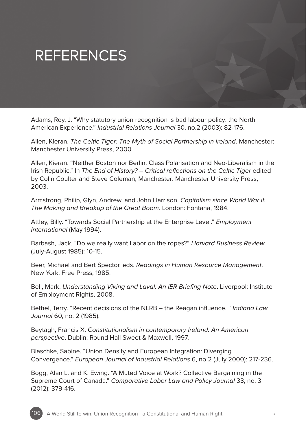# REFERENCES

Adams, Roy, J. "Why statutory union recognition is bad labour policy: the North American Experience." *Industrial Relations Journal* 30, no.2 (2003): 82-176.

Allen, Kieran. *The Celtic Tiger: The Myth of Social Partnership in Ireland*. Manchester: Manchester University Press, 2000.

Allen, Kieran. "Neither Boston nor Berlin: Class Polarisation and Neo-Liberalism in the Irish Republic." In *The End of History? – Critical reflections on the Celtic Tiger* edited by Colin Coulter and Steve Coleman, Manchester: Manchester University Press, 2003.

Armstrong, Philip, Glyn, Andrew, and John Harrison. *Capitalism since World War II: The Making and Breakup of the Great Boom*. London: Fontana, 1984.

Attley, Billy. "Towards Social Partnership at the Enterprise Level." *Employment International* (May 1994).

Barbash, Jack. "Do we really want Labor on the ropes?" *Harvard Business Review* (July-August 1985): 10-15.

Beer, Michael and Bert Spector, eds. *Readings in Human Resource Management*. New York: Free Press, 1985.

Bell, Mark. *Understanding Viking and Laval: An IER Briefing Note*. Liverpool: Institute of Employment Rights, 2008.

Bethel, Terry. "Recent decisions of the NLRB – the Reagan influence. " *Indiana Law Journal* 60, no. 2 (1985).

Beytagh, Francis X. *Constitutionalism in contemporary Ireland: An American perspective*. Dublin: Round Hall Sweet & Maxwell, 1997.

Blaschke, Sabine. "Union Density and European Integration: Diverging Convergence." *European Journal of Industrial Relations* 6, no 2 (July 2000): 217-236.

Bogg, Alan L. and K. Ewing. "A Muted Voice at Work? Collective Bargaining in the Supreme Court of Canada." *Comparative Labor Law and Policy Journal* 33, no. 3 (2012): 379-416.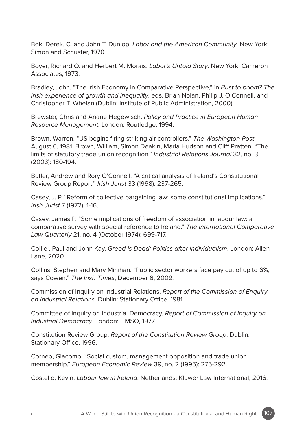Bok, Derek, C. and John T. Dunlop. *Labor and the American Community*. New York: Simon and Schuster, 1970.

Boyer, Richard O. and Herbert M. Morais. *Labor's Untold Story*. New York: Cameron Associates, 1973.

Bradley, John. "The Irish Economy in Comparative Perspective," in *Bust to boom? The Irish experience of growth and inequality*, eds. Brian Nolan, Philip J. O'Connell, and Christopher T. Whelan (Dublin: Institute of Public Administration, 2000).

Brewster, Chris and Ariane Hegewisch. *Policy and Practice in European Human Resource Management*. London: Routledge, 1994.

Brown, Warren. "US begins firing striking air controllers." *The Washington Post*, August 6, 1981. Brown, William, Simon Deakin, Maria Hudson and Cliff Pratten. "The limits of statutory trade union recognition." *Industrial Relations Journal* 32, no. 3 (2003): 180-194.

Butler, Andrew and Rory O'Connell. "A critical analysis of Ireland's Constitutional Review Group Report." *Irish Jurist* 33 (1998): 237-265.

Casey, J. P. "Reform of collective bargaining law: some constitutional implications." *Irish Jurist* 7 (1972): 1-16.

Casey, James P. "Some implications of freedom of association in labour law: a comparative survey with special reference to Ireland." *The International Comparative Law Quarterly* 21, no. 4 (October 1974): 699-717.

Collier, Paul and John Kay. *Greed is Dead: Politics after individualism*. London: Allen Lane, 2020.

Collins, Stephen and Mary Minihan. "Public sector workers face pay cut of up to 6%, says Cowen." *The Irish Times*, December 6, 2009.

Commission of Inquiry on Industrial Relations. *Report of the Commission of Enquiry on Industrial Relations.* Dublin: Stationary Office, 1981.

Committee of Inquiry on Industrial Democracy. *Report of Commission of Inquiry on Industrial Democracy*. London: HMSO, 1977.

Constitution Review Group. *Report of the Constitution Review Group*. Dublin: Stationary Office, 1996.

Corneo, Giacomo. "Social custom, management opposition and trade union membership." *European Economic Review* 39, no. 2 (1995): 275-292.

Costello, Kevin. *Labour law in Ireland*. Netherlands: Kluwer Law International, 2016.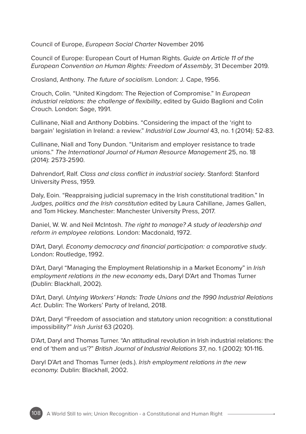Council of Europe, *European Social Charter* November 2016

Council of Europe: European Court of Human Rights. *Guide on Article 11 of the European Convention on Human Rights: Freedom of Assembly*, 31 December 2019.

Crosland, Anthony. *The future of socialism*. London: J. Cape, 1956.

Crouch, Colin. "United Kingdom: The Rejection of Compromise." In *European industrial relations: the challenge of flexibility*, edited by Guido Baglioni and Colin Crouch. London: Sage, 1991.

Cullinane, Niall and Anthony Dobbins. "Considering the impact of the 'right to bargain' legislation in Ireland: a review." *Industrial Law Journal* 43, no. 1 (2014): 52-83.

Cullinane, Niall and Tony Dundon. "Unitarism and employer resistance to trade unions." *The International Journal of Human Resource Management* 25, no. 18 (2014): 2573-2590.

Dahrendorf, Ralf. *Class and class conflict in industrial society*. Stanford: Stanford University Press, 1959.

Daly, Eoin. "Reappraising judicial supremacy in the Irish constitutional tradition." In *Judges, politics and the Irish constitution* edited by Laura Cahillane, James Gallen, and Tom Hickey. Manchester: Manchester University Press, 2017.

Daniel, W. W. and Neil McIntosh. *The right to manage? A study of leadership and reform in employee relations.* London: Macdonald, 1972.

D'Art, Daryl. *Economy democracy and financial participation: a comparative study*. London: Routledge, 1992.

D'Art, Daryl "Managing the Employment Relationship in a Market Economy" in *Irish employment relations in the new economy* eds, Daryl D'Art and Thomas Turner (Dublin: Blackhall, 2002).

D'Art, Daryl. *Untying Workers' Hands: Trade Unions and the 1990 Industrial Relations Act*. Dublin: The Workers' Party of Ireland, 2018.

D'Art, Daryl "Freedom of association and statutory union recognition: a constitutional impossibility?" *Irish Jurist* 63 (2020).

D'Art, Daryl and Thomas Turner. "An attitudinal revolution in Irish industrial relations: the end of 'them and us'?" *British Journal of Industrial Relations* 37, no. 1 (2002): 101-116.

Daryl D'Art and Thomas Turner (eds.). *Irish employment relations in the new economy.* Dublin: Blackhall, 2002.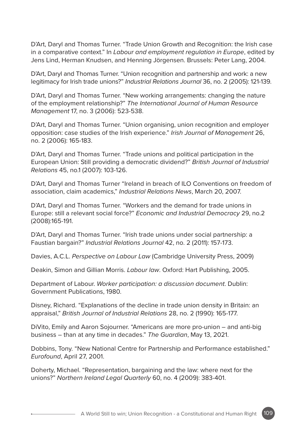D'Art, Daryl and Thomas Turner. "Trade Union Growth and Recognition: the Irish case in a comparative context." In *Labour and employment regulation in Europe*, edited by Jens Lind, Herman Knudsen, and Henning Jörgensen. Brussels: Peter Lang, 2004.

D'Art, Daryl and Thomas Turner. "Union recognition and partnership and work: a new legitimacy for Irish trade unions?" *Industrial Relations Journal* 36, no. 2 (2005): 121-139.

D'Art, Daryl and Thomas Turner. "New working arrangements: changing the nature of the employment relationship?" *The International Journal of Human Resource Management* 17, no. 3 (2006): 523-538.

D'Art, Daryl and Thomas Turner. "Union organising, union recognition and employer opposition: case studies of the Irish experience." *Irish Journal of Management* 26, no. 2 (2006): 165-183.

D'Art, Daryl and Thomas Turner. "Trade unions and political participation in the European Union: Still providing a democratic dividend?" *British Journal of Industrial Relations* 45, no.1 (2007): 103-126.

D'Art, Daryl and Thomas Turner "Ireland in breach of ILO Conventions on freedom of association, claim academics," *Industrial Relations News*, March 20, 2007.

D'Art, Daryl and Thomas Turner. "Workers and the demand for trade unions in Europe: still a relevant social force?" *Economic and Industrial Democracy* 29, no.2 (2008):165-191.

D'Art, Daryl and Thomas Turner. "Irish trade unions under social partnership: a Faustian bargain?" *Industrial Relations Journal* 42, no. 2 (2011): 157-173.

Davies, A.C.L. *Perspective on Labour Law* (Cambridge University Press, 2009)

Deakin, Simon and Gillian Morris. *Labour law*. Oxford: Hart Publishing, 2005.

Department of Labour. *Worker participation: a discussion document*. Dublin: Government Publications, 1980.

Disney, Richard. "Explanations of the decline in trade union density in Britain: an appraisal," *British Journal of Industrial Relations* 28, no. 2 (1990): 165-177.

DiVito, Emily and Aaron Sojourner. "Americans are more pro-union – and anti-big business – than at any time in decades." *The Guardian*, May 13, 2021.

Dobbins, Tony. "New National Centre for Partnership and Performance established." *Eurofound*, April 27, 2001.

Doherty, Michael. "Representation, bargaining and the law: where next for the unions?" *Northern Ireland Legal Quarterly* 60, no. 4 (2009): 383-401.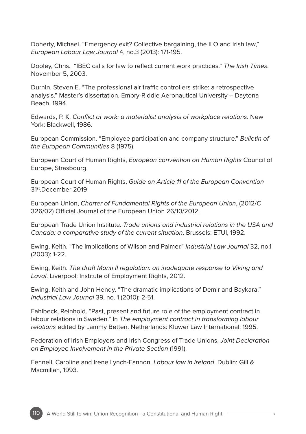Doherty, Michael. "Emergency exit? Collective bargaining, the ILO and Irish law," *European Labour Law Journal* 4, no.3 (2013): 171-195.

Dooley, Chris. "IBEC calls for law to reflect current work practices." *The Irish Times*. November 5, 2003.

Durnin, Steven E. "The professional air traffic controllers strike: a retrospective analysis." Master's dissertation, Embry-Riddle Aeronautical University – Daytona Beach, 1994.

Edwards, P. K. *Conflict at work: a materialist analysis of workplace relations*. New York: Blackwell, 1986.

European Commission. "Employee participation and company structure." *Bulletin of the European Communities* 8 (1975).

European Court of Human Rights, *European convention on Human Rights* Council of Europe, Strasbourg.

European Court of Human Rights, *Guide on Article 11 of the European Convention*  31st.December 2019

European Union, *Charter of Fundamental Rights of the European Union*, (2012/C 326/02) Official Journal of the European Union 26/10/2012.

European Trade Union Institute. *Trade unions and industrial relations in the USA and Canada: a comparative study of the current situation*. Brussels: ETUI, 1992.

Ewing, Keith. "The implications of Wilson and Palmer." *Industrial Law Journal* 32, no.1 (2003): 1-22.

Ewing, Keith. *The draft Monti II regulation: an inadequate response to Viking and Laval*. Liverpool: Institute of Employment Rights, 2012.

Ewing, Keith and John Hendy. "The dramatic implications of Demir and Baykara." *Industrial Law Journal* 39, no. 1 (2010): 2-51.

Fahlbeck, Reinhold. "Past, present and future role of the employment contract in labour relations in Sweden." In *The employment contract in transforming labour relations* edited by Lammy Betten. Netherlands: Kluwer Law International, 1995.

Federation of Irish Employers and Irish Congress of Trade Unions, *Joint Declaration on Employee Involvement in the Private Section* (1991).

Fennell, Caroline and Irene Lynch-Fannon. *Labour law in Ireland*. Dublin: Gill & Macmillan, 1993.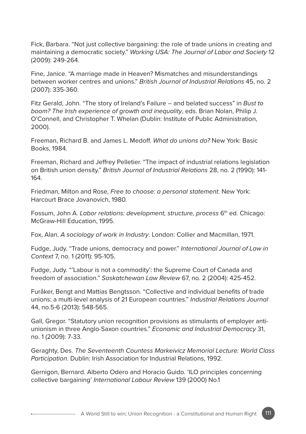Fick, Barbara. "Not just collective bargaining: the role of trade unions in creating and maintaining a democratic society." *Working USA: The Journal of Labor and Society* 12 (2009): 249-264.

Fine, Janice. "A marriage made in Heaven? Mismatches and misunderstandings between worker centres and unions." *British Journal of Industrial Relations* 45, no. 2 (2007): 335-360.

Fitz Gerald, John. "The story of Ireland's Failure – and belated success" in *Bust to boom? The Irish experience of growth and inequality*, eds. Brian Nolan, Philip J. O'Connell, and Christopher T. Whelan (Dublin: Institute of Public Administration, 2000).

Freeman, Richard B. and James L. Medoff. *What do unions do?* New York: Basic Books, 1984.

Freeman, Richard and Jeffrey Pelletier. "The impact of industrial relations legislation on British union density." *British Journal of Industrial Relations* 28, no. 2 (1990): 141- 164.

Friedman, Milton and Rose, *Free to choose: a personal statement*. New York: Harcourt Brace Jovanovich, 1980.

Fossum, John A. *Labor relations: development, structure, process* 6th ed. Chicago: McGraw-Hill Education, 1995.

Fox, Alan. *A sociology of work in Industry*. London: Collier and Macmillan, 1971.

Fudge, Judy. "Trade unions, democracy and power." *International Journal of Law in Context* 7, no. 1 (2011): 95-105.

Fudge, Judy. "'Labour is not a commodity': the Supreme Court of Canada and freedom of association." *Saskatchewan Law Review* 67, no. 2 (2004): 425-452.

Furåker, Bengt and Mattias Bengtsson. "Collective and individual benefits of trade unions: a multi-level analysis of 21 European countries." *Industrial Relations Journal* 44, no.5-6 (2013): 548-565.

Gall, Gregor. "Statutory union recognition provisions as stimulants of employer antiunionism in three Anglo-Saxon countries." *Economic and Industrial Democracy* 31, no. 1 (2009): 7-33.

Geraghty, Des. *The Seventeenth Countess Markeivicz Memorial Lecture: World Class Participation*. Dublin: Irish Association for Industrial Relations, 1992.

Gernigon, Bernard. Alberto Odero and Horacio Guido. 'ILO principles concerning collective bargaining' *International Labour Review* 139 (2000) No.1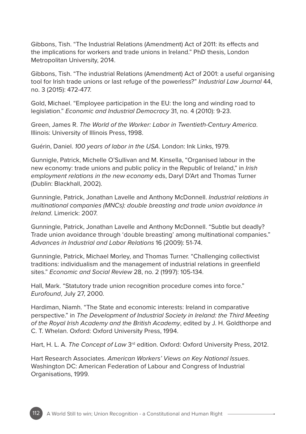Gibbons, Tish. "The Industrial Relations (Amendment) Act of 2011: its effects and the implications for workers and trade unions in Ireland." PhD thesis, London Metropolitan University, 2014.

Gibbons, Tish. "The industrial Relations (Amendment) Act of 2001: a useful organising tool for Irish trade unions or last refuge of the powerless?" *Industrial Law Journal* 44, no. 3 (2015): 472-477.

Gold, Michael. "Employee participation in the EU: the long and winding road to legislation." *Economic and Industrial Democracy* 31, no. 4 (2010): 9-23.

Green, James R. *The World of the Worker: Labor in Twentieth-Century America*. Illinois: University of Illinois Press, 1998.

Guérin, Daniel. *100 years of labor in the USA*. London: Ink Links, 1979.

Gunnigle, Patrick, Michelle O'Sullivan and M. Kinsella, "Organised labour in the new economy: trade unions and public policy in the Republic of Ireland," in *Irish employment relations in the new economy* eds, Daryl D'Art and Thomas Turner (Dublin: Blackhall, 2002).

Gunningle, Patrick, Jonathan Lavelle and Anthony McDonnell. *Industrial relations in multinational companies (MNCs): double breasting and trade union avoidance in Ireland*. Limerick: 2007.

Gunningle, Patrick, Jonathan Lavelle and Anthony McDonnell. "Subtle but deadly? Trade union avoidance through 'double breasting' among multinational companies." *Advances in Industrial and Labor Relations* 16 (2009): 51-74.

Gunningle, Patrick, Michael Morley, and Thomas Turner. "Challenging collectivist traditions: individualism and the management of industrial relations in greenfield sites." *Economic and Social Review* 28, no. 2 (1997): 105-134.

Hall, Mark. "Statutory trade union recognition procedure comes into force." *Eurofound*, July 27, 2000.

Hardiman, Niamh. "The State and economic interests: Ireland in comparative perspective." in *The Development of Industrial Society in Ireland: the Third Meeting of the Royal Irish Academy and the British Academy*, edited by J. H. Goldthorpe and C. T. Whelan. Oxford: Oxford University Press, 1994.

Hart, H. L. A. The Concept of Law 3<sup>rd</sup> edition. Oxford: Oxford University Press, 2012.

Hart Research Associates. *American Workers' Views on Key National Issues*. Washington DC: American Federation of Labour and Congress of Industrial Organisations, 1999.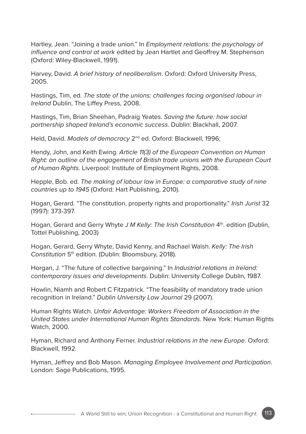Hartley, Jean. "Joining a trade union." In *Employment relations: the psychology of influence and control at work* edited by Jean Hartlet and Geoffrey M. Stephenson (Oxford: Wiley-Blackwell, 1991).

Harvey, David. *A brief history of neoliberalism*. Oxford: Oxford University Press, 2005.

Hastings, Tim, ed. *The state of the unions: challenges facing organised labour in Ireland* Dublin, The Liffey Press, 2008.

Hastings, Tim, Brian Sheehan, Padraig Yeates. *Saving the future: how social partnership shaped Ireland's economic success*. Dublin: Blackhall, 2007.

Held, David. *Models of democracy* 2nd ed. Oxford: Blackwell, 1996;

Hendy, John, and Keith Ewing. *Article 11(3) of the European Convention on Human Right: an outline of the engagement of British trade unions with the European Court of Human Rights*. Liverpool: Institute of Employment Rights, 2008.

Hepple, Bob. ed. *The making of labour law in Europe: a comparative study of nine countries up to 1945* (Oxford: Hart Publishing, 2010).

Hogan, Gerard. "The constitution, property rights and proportionality." *Irish Jurist* 32 (1997): 373-397.

Hogan, Gerard and Gerry Whyte *J M Kelly: The Irish Constitution* 4<sup>th</sup>, edition (Dublin, Tottel Publishing, 2003)

Hogan, Gerard, Gerry Whyte, David Kenny, and Rachael Walsh. *Kelly: The Irish Constitution* 5th edition. (Dublin: Bloomsbury, 2018).

Horgan, J. "The future of collective bargaining." In *Industrial relations in Ireland: contemporary issues and developments*. Dublin: University College Dublin, 1987.

Howlin, Niamh and Robert C Fitzpatrick. "The feasibility of mandatory trade union recognition in Ireland." *Dublin University Law Journal* 29 (2007).

Human Rights Watch. *Unfair Advantage: Workers Freedom of Association in the United States under International Human Rights Standards*. New York: Human Rights Watch, 2000.

Hyman, Richard and Anthony Ferner. *Industrial relations in the new Europe*. Oxford: Blackwell, 1992.

Hyman, Jeffrey and Bob Mason. *Managing Employee Involvement and Participation*. London: Sage Publications, 1995.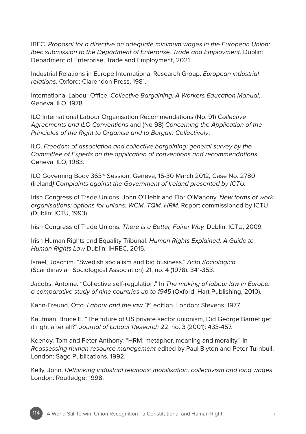IBEC. *Proposal for a directive on adequate minimum wages in the European Union: Ibec submission to the Department of Enterprise, Trade and Employment.* Dublin: Department of Enterprise, Trade and Employment, 2021.

Industrial Relations in Europe International Research Group. *European industrial relations*. Oxford: Clarendon Press, 1981.

International Labour Office. *Collective Bargaining: A Workers Education Manual*. Geneva: ILO, 1978.

ILO International Labour Organisation Recommendations (No. 91) *Collective Agreements and ILO Conventions* and (No 98) *Concerning the Application of the Principles of the Right to Organise and to Bargain Collectively*.

ILO. *Freedom of association and collective bargaining: general survey by the Committee of Experts on the application of conventions and recommendations*. Geneva: ILO, 1983.

ILO Governing Body 363rd Session, Geneva, 15-30 March 2012, Case No. 2780 (Ireland*) Complaints against the Government of Ireland presented by ICTU.*

Irish Congress of Trade Unions, John O'Hehir and Flor O'Mahony, *New forms of work organisations: options for unions: WCM, TQM, HRM.* Report commissioned by ICTU (Dublin: ICTU, 1993).

Irish Congress of Trade Unions. *There is a Better, Fairer Way.* Dublin: ICTU, 2009.

Irish Human Rights and Equality Tribunal. *Human Rights Explained: A Guide to Human Rights Law* Dublin: IHREC, 2015.

Israel, Joachim. "Swedish socialism and big business." *Acta Sociologica*  (Scandinavian Sociological Association) 21, no. 4 (1978): 341-353.

Jacobs, Antoine. "Collective self-regulation." In *The making of labour law in Europe: a comparative study of nine countries up to 1945* (Oxford: Hart Publishing, 2010).

Kahn-Freund, Otto. *Labour and the law* 3rd edition. London: Stevens, 1977.

Kaufman, Bruce E. "The future of US private sector unionism, Did George Barnet get it right after all?" *Journal of Labour Research* 22, no. 3 (2001): 433-457.

Keenoy, Tom and Peter Anthony. "HRM: metaphor, meaning and morality." In *Reassessing human resource management* edited by Paul Blyton and Peter Turnbull. London: Sage Publications, 1992.

Kelly, John. *Rethinking industrial relations: mobilisation, collectivism and long wages*. London: Routledge, 1998.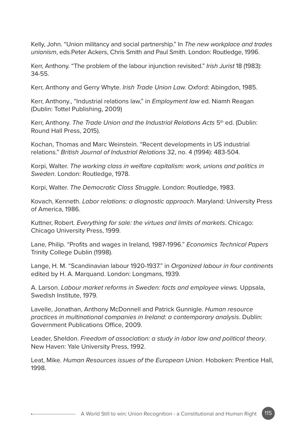Kelly, John. "Union militancy and social partnership." In *The new workplace and trades unionism*, eds.Peter Ackers, Chris Smith and Paul Smith. London: Routledge, 1996.

Kerr, Anthony. "The problem of the labour injunction revisited." *Irish Jurist* 18 (1983): 34-55.

Kerr, Anthony and Gerry Whyte. *Irish Trade Union Law.* Oxford: Abingdon, 1985.

Kerr, Anthony., "Industrial relations law," in *Employment law* ed. Niamh Reagan (Dublin: Tottel Publishing, 2009)

Kerr, Anthony. *The Trade Union and the Industrial Relations Acts* 5th ed. (Dublin: Round Hall Press, 2015).

Kochan, Thomas and Marc Weinstein. "Recent developments in US industrial relations." *British Journal of Industrial Relations* 32, no. 4 (1994): 483-504.

Korpi, Walter. *The working class in welfare capitalism: work, unions and politics in Sweden*. London: Routledge, 1978.

Korpi, Walter. *The Democratic Class Struggle*. London: Routledge, 1983.

Kovach, Kenneth. *Labor relations: a diagnostic approach*. Maryland: University Press of America, 1986.

Kuttner, Robert. *Everything for sale: the virtues and limits of markets*. Chicago: Chicago University Press, 1999.

Lane, Philip. "Profits and wages in Ireland, 1987-1996." *Economics Technical Papers*  Trinity College Dublin (1998).

Lange, H. M. "Scandinavian labour 1920-1937." in *Organized labour in four continents* edited by H. A. Marquand. London: Longmans, 1939.

A. Larson. *Labour market reforms in Sweden: facts and employee views.* Uppsala, Swedish Institute, 1979.

Lavelle, Jonathan, Anthony McDonnell and Patrick Gunnigle. *Human resource practices in multinational companies in Ireland: a contemporary analysis*. Dublin: Government Publications Office, 2009.

Leader, Sheldon. *Freedom of association: a study in labor law and political theory*. New Haven: Yale University Press, 1992.

Leat, Mike. *Human Resources issues of the European Union*. Hoboken: Prentice Hall, 1998.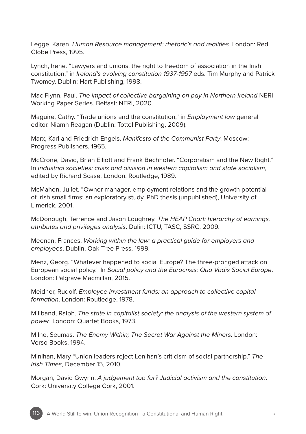Legge, Karen. *Human Resource management: rhetoric's and realities*. London: Red Globe Press, 1995.

Lynch, Irene. "Lawyers and unions: the right to freedom of association in the Irish constitution," in *Ireland's evolving constitution 1937-1997* eds. Tim Murphy and Patrick Twomey. Dublin: Hart Publishing, 1998.

Mac Flynn, Paul. *The impact of collective bargaining on pay in Northern Ireland* NERI Working Paper Series. Belfast: NERI, 2020.

Maguire, Cathy. "Trade unions and the constitution," in *Employment law* general editor. Niamh Reagan (Dublin: Tottel Publishing, 2009).

Marx, Karl and Friedrich Engels. *Manifesto of the Communist Party*. Moscow: Progress Publishers, 1965.

McCrone, David, Brian Elliott and Frank Bechhofer. "Corporatism and the New Right." In *Industrial societies: crisis and division in western capitalism and state socialism*, edited by Richard Scase. London: Routledge, 1989.

McMahon, Juliet. "Owner manager, employment relations and the growth potential of Irish small firms: an exploratory study. PhD thesis (unpublished), University of Limerick, 2001.

McDonough, Terrence and Jason Loughrey. *The HEAP Chart: hierarchy of earnings, attributes and privileges analysis*. Dulin: ICTU, TASC, SSRC, 2009.

Meenan, Frances. *Working within the law: a practical guide for employers and employees*. Dublin, Oak Tree Press, 1999.

Menz, Georg. "Whatever happened to social Europe? The three-pronged attack on European social policy." In *Social policy and the Eurocrisis: Quo Vadis Social Europe*. London: Palgrave Macmillan, 2015.

Meidner, Rudolf. *Employee investment funds: an approach to collective capital formation*. London: Routledge, 1978.

Miliband, Ralph. *The state in capitalist society: the analysis of the western system of power*. London: Quartet Books, 1973.

Milne, Seumas. *The Enemy Within; The Secret War Against the Miners.* London: Verso Books, 1994.

Minihan, Mary "Union leaders reject Lenihan's criticism of social partnership." *The Irish Times*, December 15, 2010.

Morgan, David Gwynn. *A judgement too far? Judicial activism and the constitution*. Cork: University College Cork, 2001.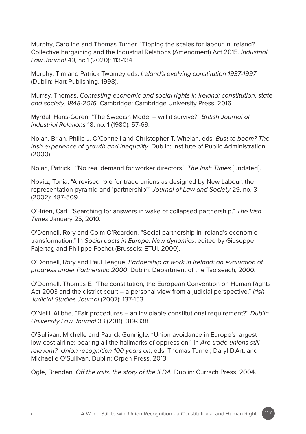Murphy, Caroline and Thomas Turner. "Tipping the scales for labour in Ireland? Collective bargaining and the Industrial Relations (Amendment) Act 2015. *Industrial Law Journal* 49, no.1 (2020): 113-134.

Murphy, Tim and Patrick Twomey eds. *Ireland's evolving constitution 1937-1997* (Dublin: Hart Publishing, 1998).

Murray, Thomas. *Contesting economic and social rights in Ireland: constitution, state and society, 1848-2016*. Cambridge: Cambridge University Press, 2016.

Myrdal, Hans-Gören. "The Swedish Model – will it survive?" *British Journal of Industrial Relations* 18, no. 1 (1980): 57-69.

Nolan, Brian, Philip J. O'Connell and Christopher T. Whelan, eds. *Bust to boom? The Irish experience of growth and inequality*. Dublin: Institute of Public Administration (2000).

Nolan, Patrick. "No real demand for worker directors." *The Irish Times* [undated].

Novitz, Tonia. "A revised role for trade unions as designed by New Labour: the representation pyramid and 'partnership'." *Journal of Law and Society* 29, no. 3 (2002): 487-509.

O'Brien, Carl. "Searching for answers in wake of collapsed partnership." *The Irish Times* January 25, 2010.

O'Donnell, Rory and Colm O'Reardon. "Social partnership in Ireland's economic transformation." In *Social pacts in Europe: New dynamics*, edited by Giuseppe Fajertag and Philippe Pochet (Brussels: ETUI, 2000).

O'Donnell, Rory and Paul Teague. *Partnership at work in Ireland: an evaluation of progress under Partnership 2000*. Dublin: Department of the Taoiseach, 2000.

O'Donnell, Thomas E. "The constitution, the European Convention on Human Rights Act 2003 and the district court – a personal view from a judicial perspective." *Irish Judicial Studies Journal* (2007): 137-153.

O'Neill, Ailbhe. "Fair procedures – an inviolable constitutional requirement?" *Dublin University Law Journal* 33 (2011): 319-338.

O'Sullivan, Michelle and Patrick Gunnigle. "Union avoidance in Europe's largest low-cost airline: bearing all the hallmarks of oppression." In *Are trade unions still relevant?: Union recognition 100 years on*, eds. Thomas Turner, Daryl D'Art, and Michaelle O'Sullivan. Dublin: Orpen Press, 2013.

Ogle, Brendan. *Off the rails: the story of the ILDA*. Dublin: Currach Press, 2004.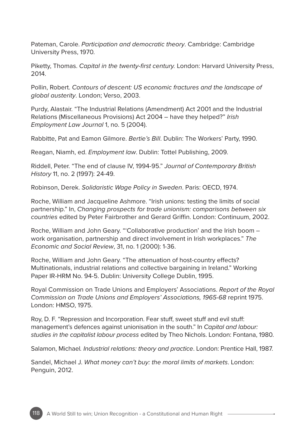Pateman, Carole. *Participation and democratic theory*. Cambridge: Cambridge University Press, 1970.

Piketty, Thomas. *Capital in the twenty-first century.* London: Harvard University Press, 2014.

Pollin, Robert. *Contours of descent: US economic fractures and the landscape of global austerity*. London; Verso, 2003.

Purdy, Alastair. "The Industrial Relations (Amendment) Act 2001 and the Industrial Relations (Miscellaneous Provisions) Act 2004 – have they helped?" *Irish Employment Law Journal* 1, no. 5 (2004).

Rabbitte, Pat and Eamon Gilmore. *Bertie's Bill*. Dublin: The Workers' Party, 1990.

Reagan, Niamh, ed. *Employment law*. Dublin: Tottel Publishing, 2009.

Riddell, Peter. "The end of clause IV, 1994-95." *Journal of Contemporary British History* 11, no. 2 (1997): 24-49.

Robinson, Derek. *Solidaristic Wage Policy in Sweden*. Paris: OECD, 1974.

Roche, William and Jacqueline Ashmore. "Irish unions: testing the limits of social partnership." In, *Changing prospects for trade unionism: comparisons between six countries* edited by Peter Fairbrother and Gerard Griffin. London: Continuum, 2002.

Roche, William and John Geary. "'Collaborative production' and the Irish boom – work organisation, partnership and direct involvement in Irish workplaces." *The Economic and Social Review*, 31, no. 1 (2000): 1-36.

Roche, William and John Geary. "The attenuation of host-country effects? Multinationals, industrial relations and collective bargaining in Ireland." Working Paper IR-HRM No. 94-5. Dublin: University College Dublin, 1995.

Royal Commission on Trade Unions and Employers' Associations. *Report of the Royal Commission on Trade Unions and Employers' Associations, 1965-68* reprint 1975. London: HMSO, 1975.

Roy, D. F. "Repression and Incorporation. Fear stuff, sweet stuff and evil stuff: management's defences against unionisation in the south." In *Capital and labour: studies in the capitalist labour process* edited by Theo Nichols. London: Fontana, 1980.

Salamon, Michael*. Industrial relations: theory and practice*. London: Prentice Hall, 1987.

Sandel, Michael J. *What money can't buy: the moral limits of markets*. London: Penguin, 2012.

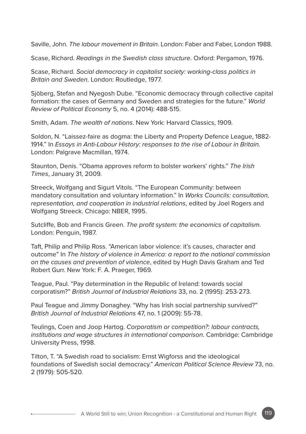Saville, John. *The labour movement in Britain*. London: Faber and Faber, London 1988.

Scase, Richard. *Readings in the Swedish class structure*. Oxford: Pergamon, 1976.

Scase, Richard. *Social democracy in capitalist society: working-class politics in Britain and Sweden*. London: Routledge, 1977.

Sjöberg, Stefan and Nyegosh Dube. "Economic democracy through collective capital formation: the cases of Germany and Sweden and strategies for the future." *World Review of Political Economy* 5, no. 4 (2014): 488-515.

Smith, Adam. *The wealth of nations*. New York: Harvard Classics, 1909.

Soldon, N. "Laissez-faire as dogma: the Liberty and Property Defence League, 1882- 1914." In *Essays in Anti-Labour History: responses to the rise of Labour in Britain*. London: Palgrave Macmillan, 1974.

Staunton, Denis. "Obama approves reform to bolster workers' rights." *The Irish Times*, January 31, 2009.

Streeck, Wolfgang and Sigurt Vitols. "The European Community: between mandatory consultation and voluntary information." In *Works Councils: consultation, representation, and cooperation in industrial relations*, edited by Joel Rogers and Wolfgang Streeck. Chicago: NBER, 1995.

Sutcliffe, Bob and Francis Green. *The profit system: the economics of capitalism*. London: Penguin, 1987.

Taft, Philip and Philip Ross. "American labor violence: it's causes, character and outcome" In *The history of violence in America: a report to the national commission on the causes and prevention of violence*, edited by Hugh Davis Graham and Ted Robert Gurr. New York: F. A. Praeger, 1969.

Teague, Paul. "Pay determination in the Republic of Ireland: towards social corporatism?" *British Journal of Industrial Relations* 33, no. 2 (1995): 253-273.

Paul Teague and Jimmy Donaghey. "Why has Irish social partnership survived?" *British Journal of Industrial Relations* 47, no. 1 (2009): 55-78.

Teulings, Coen and Joop Hartog. *Corporatism or competition?: labour contracts, institutions and wage structures in international comparison*. Cambridge: Cambridge University Press, 1998.

Tilton, T. "A Swedish road to socialism: Ernst Wigforss and the ideological foundations of Swedish social democracy." *American Political Science Review* 73, no. 2 (1979): 505-520.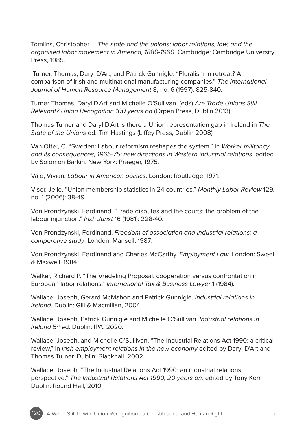Tomlins, Christopher L. *The state and the unions: labor relations, law, and the organised labor movement in America, 1880-1960*. Cambridge: Cambridge University Press, 1985.

 Turner, Thomas, Daryl D'Art, and Patrick Gunnigle. "Pluralism in retreat? A comparison of Irish and multinational manufacturing companies." *The International Journal of Human Resource Management* 8, no. 6 (1997): 825-840.

Turner Thomas, Daryl D'Art and Michelle O'Sullivan, (eds) *Are Trade Unions Still Relevant? Union Recognition 100 years on* (Orpen Press, Dublin 2013).

Thomas Turner and Daryl D'Art Is there a Union representation gap in Ireland in *The State of the Unions* ed. Tim Hastings (Liffey Press, Dublin 2008)

Van Otter, C. "Sweden: Labour reformism reshapes the system." In *Worker militancy and its consequences, 1965-75: new directions in Western industrial relations*, edited by Solomon Barkin. New York: Praeger, 1975.

Vale, Vivian. *Labour in American politics*. London: Routledge, 1971.

Viser, Jelle. "Union membership statistics in 24 countries." *Monthly Labor Review* 129, no. 1 (2006): 38-49.

Von Prondzynski, Ferdinand. "Trade disputes and the courts: the problem of the labour injunction." *Irish Jurist* 16 (1981): 228-40.

Von Prondzynski, Ferdinand. *Freedom of association and industrial relations: a comparative study*. London: Mansell, 1987.

Von Prondzynski, Ferdinand and Charles McCarthy. *Employment Law*. London: Sweet & Maxwell, 1984.

Walker, Richard P. "The Vredeling Proposal: cooperation versus confrontation in European labor relations." *International Tax & Business Lawyer* 1 (1984).

Wallace, Joseph, Gerard McMahon and Patrick Gunnigle. *Industrial relations in Ireland*. Dublin: Gill & Macmillan, 2004.

Wallace, Joseph, Patrick Gunnigle and Michelle O'Sullivan. *Industrial relations in Ireland* 5<sup>th</sup> ed. Dublin: IPA, 2020.

Wallace, Joseph, and Michelle O'Sullivan. "The Industrial Relations Act 1990: a critical review," in *Irish employment relations in the new economy* edited by Daryl D'Art and Thomas Turner. Dublin: Blackhall, 2002.

Wallace, Joseph. "The Industrial Relations Act 1990: an industrial relations perspective," *The Industrial Relations Act 1990; 20 years on,* edited by Tony Kerr. Dublin: Round Hall, 2010.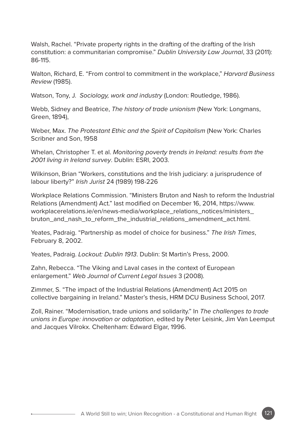Walsh, Rachel. "Private property rights in the drafting of the drafting of the Irish constitution: a communitarian compromise." *Dublin University Law Journal*, 33 (2011): 86-115.

Walton, Richard, E. "From control to commitment in the workplace," *Harvard Business Review* (1985).

Watson, Tony, J. *Sociology, work and industry* (London: Routledge, 1986).

Webb, Sidney and Beatrice, *The history of trade unionism* (New York: Longmans, Green, 1894),

Weber, Max. *The Protestant Ethic and the Spirit of Capitalism* (New York: Charles Scribner and Son, 1958

Whelan, Christopher T. et al. *Monitoring poverty trends in Ireland: results from the 2001 living in Ireland survey*. Dublin: ESRI, 2003.

Wilkinson, Brian "Workers, constitutions and the Irish judiciary: a jurisprudence of labour liberty?" *Irish Jurist* 24 (1989) 198-226

Workplace Relations Commission. "Ministers Bruton and Nash to reform the Industrial Relations (Amendment) Act." last modified on December 16, 2014, https://www. workplacerelations.ie/en/news-media/workplace\_relations\_notices/ministers bruton\_and\_nash\_to\_reform\_the\_industrial\_relations\_amendment\_act.html.

Yeates, Padraig. "Partnership as model of choice for business." *The Irish Times*, February 8, 2002.

Yeates, Padraig. *Lockout: Dublin 1913*. Dublin: St Martin's Press, 2000.

Zahn, Rebecca. "The Viking and Laval cases in the context of European enlargement." *Web Journal of Current Legal Issues* 3 (2008).

Zimmer, S. "The impact of the Industrial Relations (Amendment) Act 2015 on collective bargaining in Ireland." Master's thesis, HRM DCU Business School, 2017.

Zoll, Rainer. "Modernisation, trade unions and solidarity." In *The challenges to trade unions in Europe: innovation or adaptation*, edited by Peter Leisink, Jim Van Leemput and Jacques Vilrokx. Cheltenham: Edward Elgar, 1996.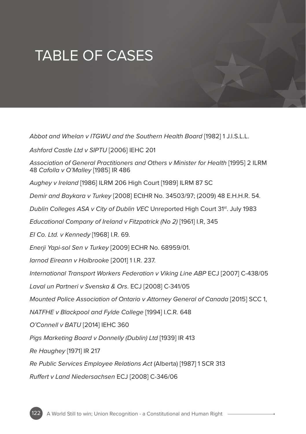## TABLE OF CASES

*Abbot and Whelan v ITGWU and the Southern Health Board* [1982] 1 J.I.S.L.L.

*Ashford Castle Ltd v SIPTU* [2006] IEHC 201

*Association of General Practitioners and Others v Minister for Health* [1995] 2 ILRM 48 *Cafolla v O'Malley* [1985] IR 486

*Aughey v Ireland* [1986] ILRM 206 High Court [1989] ILRM 87 SC

*Demir and Baykara v Turkey* [2008] ECtHR No. 34503/97; (2009) 48 E.H.H.R. 54.

*Dublin Colleges ASA v City of Dublin VEC* Unreported High Court 31<sup>st</sup>. July 1983

*Educational Company of Ireland v Fitzpatrick (No 2)* [1961] I.R, 345

*EI Co. Ltd. v Kennedy* [1968] I.R. 69.

*Enerji Yapi-sol Sen v Turkey* [2009] ECHR No. 68959/01.

*Iarnod Eireann v Holbrooke* [2001] 1 I.R. 237.

*International Transport Workers Federation v Viking Line ABP* ECJ [2007] C-438/05

*Laval un Partneri v Svenska & Ors*. ECJ [2008] C-341/05

*Mounted Police Association of Ontario v Attorney General of Canada* [2015] SCC 1,

*NATFHE v Blackpool and Fylde College* [1994] I.C.R. 648

*O'Connell v BATU* [2014] IEHC 360

*Pigs Marketing Board v Donnelly (Dublin) Ltd* [1939] IR 413

*Re Haughey* [1971] IR 217

*Re Public Services Employee Relations Act* (Alberta) [1987] 1 SCR 313

*Ruffert v Land Niedersachsen* ECJ [2008] C-346/06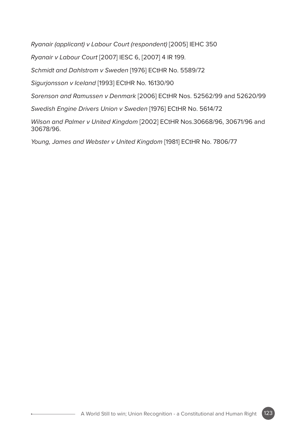*Ryanair (applicant) v Labour Court (respondent)* [2005] IEHC 350

*Ryanair v Labour Court* [2007] IESC 6, [2007] 4 IR 199.

*Schmidt and Dahlstrom v Sweden* [1976] ECtHR No. 5589/72

*Sigurjonsson v Iceland* [1993] ECtHR No. 16130/90

*Sorenson and Ramussen v Denmark* [2006] ECtHR Nos. 52562/99 and 52620/99

*Swedish Engine Drivers Union v Sweden* [1976] ECtHR No. 5614/72

*Wilson and Palmer v United Kingdom* [2002] ECtHR Nos.30668/96, 30671/96 and 30678/96.

*Young, James and Webster v United Kingdom* [1981] ECtHR No. 7806/77